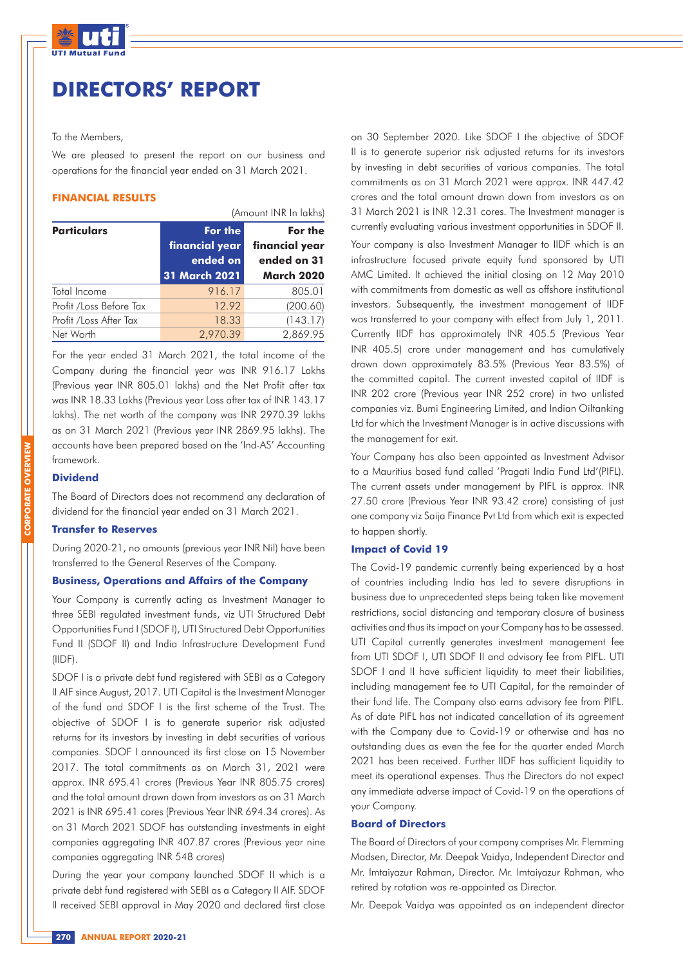

## **DIRECTORS' REPORT**

To the Members,

We are pleased to present the report on our business and operations for the financial year ended on 31 March 2021.

#### **FINANCIAL RESULTS**

|                          | (Amount INR In lakhs) |                   |  |  |
|--------------------------|-----------------------|-------------------|--|--|
| <b>Particulars</b>       | For the               | For the           |  |  |
|                          | financial year        | financial year    |  |  |
|                          | ended on              | ended on 31       |  |  |
|                          | <b>31 March 2021</b>  | <b>March 2020</b> |  |  |
| Total Income             | 916.17                | 805.01            |  |  |
| Profit / Loss Before Tax | 12.92                 | (200.60)          |  |  |
| Profit / Loss After Tax  | 18.33                 | (143.17)          |  |  |
| Net Worth                | 2.970.39              | 2,869.95          |  |  |

For the year ended 31 March 2021, the total income of the Company during the financial year was INR 916.17 Lakhs (Previous year INR 805.01 lakhs) and the Net Profit after tax was INR 18.33 Lakhs (Previous year Loss after tax of INR 143.17 lakhs). The net worth of the company was INR 2970.39 lakhs as on 31 March 2021 (Previous year INR 2869.95 lakhs). The accounts have been prepared based on the 'Ind-AS' Accounting framework.

#### **Dividend**

The Board of Directors does not recommend any declaration of dividend for the financial year ended on 31 March 2021.

#### **Transfer to Reserves**

During 2020-21, no amounts (previous year INR Nil) have been transferred to the General Reserves of the Company.

#### **Business, Operations and Affairs of the Company**

Your Company is currently acting as Investment Manager to three SEBI regulated investment funds, viz UTI Structured Debt Opportunities Fund I (SDOF I), UTI Structured Debt Opportunities Fund II (SDOF II) and India Infrastructure Development Fund (IIDF).

SDOF I is a private debt fund registered with SEBI as a Category II AIF since August, 2017. UTI Capital is the Investment Manager of the fund and SDOF I is the first scheme of the Trust. The objective of SDOF I is to generate superior risk adjusted returns for its investors by investing in debt securities of various companies. SDOF I announced its first close on 15 November 2017. The total commitments as on March 31, 2021 were approx. INR 695.41 crores (Previous Year INR 805.75 crores) and the total amount drawn down from investors as on 31 March 2021 is INR 695.41 cores (Previous Year INR 694.34 crores). As on 31 March 2021 SDOF has outstanding investments in eight companies aggregating INR 407.87 crores (Previous year nine companies aggregating INR 548 crores)

During the year your company launched SDOF II which is a private debt fund registered with SEBI as a Category II AIF. SDOF II received SEBI approval in May 2020 and declared first close on 30 September 2020. Like SDOF I the objective of SDOF II is to generate superior risk adjusted returns for its investors by investing in debt securities of various companies. The total commitments as on 31 March 2021 were approx. INR 447.42 crores and the total amount drawn down from investors as on 31 March 2021 is INR 12.31 cores. The Investment manager is currently evaluating various investment opportunities in SDOF II. Your company is also Investment Manager to IIDF which is an infrastructure focused private equity fund sponsored by UTI AMC Limited. It achieved the initial closing on 12 May 2010 with commitments from domestic as well as offshore institutional investors. Subsequently, the investment management of IIDF was transferred to your company with effect from July 1, 2011. Currently IIDF has approximately INR 405.5 (Previous Year INR 405.5) crore under management and has cumulatively drawn down approximately 83.5% (Previous Year 83.5%) of the committed capital. The current invested capital of IIDF is INR 202 crore (Previous year INR 252 crore) in two unlisted companies viz. Bumi Engineering Limited, and Indian Oiltanking Ltd for which the Investment Manager is in active discussions with the management for exit.

Your Company has also been appointed as Investment Advisor to a Mauritius based fund called 'Pragati India Fund Ltd'(PIFL). The current assets under management by PIFL is approx. INR 27.50 crore (Previous Year INR 93.42 crore) consisting of just one company viz Saija Finance Pvt Ltd from which exit is expected to happen shortly.

#### **Impact of Covid 19**

The Covid-19 pandemic currently being experienced by a host of countries including India has led to severe disruptions in business due to unprecedented steps being taken like movement restrictions, social distancing and temporary closure of business activities and thus its impact on your Company has to be assessed. UTI Capital currently generates investment management fee from UTI SDOF I, UTI SDOF II and advisory fee from PIFL. UTI SDOF I and II have sufficient liquidity to meet their liabilities, including management fee to UTI Capital, for the remainder of their fund life. The Company also earns advisory fee from PIFL. As of date PIFL has not indicated cancellation of its agreement with the Company due to Covid-19 or otherwise and has no outstanding dues as even the fee for the quarter ended March 2021 has been received. Further IIDF has sufficient liquidity to meet its operational expenses. Thus the Directors do not expect any immediate adverse impact of Covid-19 on the operations of your Company.

#### **Board of Directors**

The Board of Directors of your company comprises Mr. Flemming Madsen, Director, Mr. Deepak Vaidya, Independent Director and Mr. Imtaiyazur Rahman, Director. Mr. Imtaiyazur Rahman, who retired by rotation was re-appointed as Director.

Mr. Deepak Vaidya was appointed as an independent director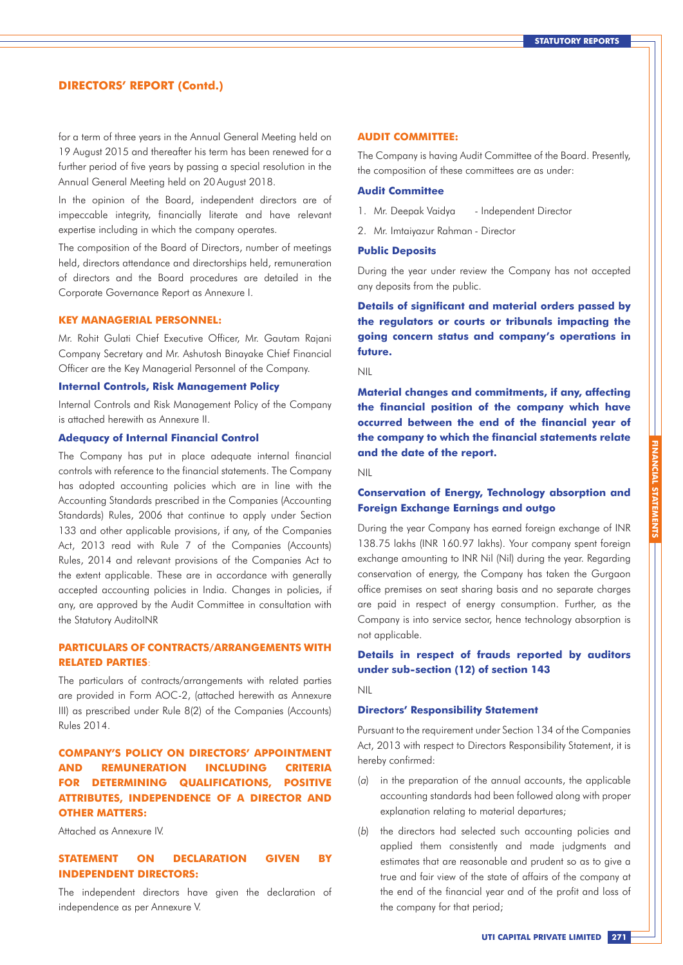#### **DIRECTORS' REPORT (Contd.)**

for a term of three years in the Annual General Meeting held on 19 August 2015 and thereafter his term has been renewed for a further period of five years by passing a special resolution in the Annual General Meeting held on 20 August 2018.

In the opinion of the Board, independent directors are of impeccable integrity, financially literate and have relevant expertise including in which the company operates.

The composition of the Board of Directors, number of meetings held, directors attendance and directorships held, remuneration of directors and the Board procedures are detailed in the Corporate Governance Report as Annexure I.

#### **KEY MANAGERIAL PERSONNEL:**

Mr. Rohit Gulati Chief Executive Officer, Mr. Gautam Rajani Company Secretary and Mr. Ashutosh Binayake Chief Financial Officer are the Key Managerial Personnel of the Company.

#### **Internal Controls, Risk Management Policy**

Internal Controls and Risk Management Policy of the Company is attached herewith as Annexure II.

#### **Adequacy of Internal Financial Control**

The Company has put in place adequate internal financial controls with reference to the financial statements. The Company has adopted accounting policies which are in line with the Accounting Standards prescribed in the Companies (Accounting Standards) Rules, 2006 that continue to apply under Section 133 and other applicable provisions, if any, of the Companies Act, 2013 read with Rule 7 of the Companies (Accounts) Rules, 2014 and relevant provisions of the Companies Act to the extent applicable. These are in accordance with generally accepted accounting policies in India. Changes in policies, if any, are approved by the Audit Committee in consultation with the Statutory AuditoINR

## **PARTICULARS OF CONTRACTS/ARRANGEMENTS WITH RELATED PARTIES**:

The particulars of contracts/arrangements with related parties are provided in Form AOC-2, (attached herewith as Annexure III) as prescribed under Rule 8(2) of the Companies (Accounts) Rules 2014.

## **COMPANY'S POLICY ON DIRECTORS' APPOINTMENT AND REMUNERATION INCLUDING CRITERIA FOR DETERMINING QUALIFICATIONS, POSITIVE ATTRIBUTES, INDEPENDENCE OF A DIRECTOR AND OTHER MATTERS:**

Attached as Annexure IV.

## **STATEMENT ON DECLARATION GIVEN BY INDEPENDENT DIRECTORS:**

The independent directors have given the declaration of independence as per Annexure V.

#### **AUDIT COMMITTEE:**

The Company is having Audit Committee of the Board. Presently, the composition of these committees are as under:

#### **Audit Committee**

- 1. Mr. Deepak Vaidya Independent Director
- 2. Mr. Imtaiyazur Rahman Director

#### **Public Deposits**

During the year under review the Company has not accepted any deposits from the public.

**Details of significant and material orders passed by the regulators or courts or tribunals impacting the going concern status and company's operations in future.**

NIL

**Material changes and commitments, if any, affecting the financial position of the company which have occurred between the end of the financial year of the company to which the financial statements relate and the date of the report.**

NIL

#### **Conservation of Energy, Technology absorption and Foreign Exchange Earnings and outgo**

During the year Company has earned foreign exchange of INR 138.75 lakhs (INR 160.97 lakhs). Your company spent foreign exchange amounting to INR Nil (Nil) during the year. Regarding conservation of energy, the Company has taken the Gurgaon office premises on seat sharing basis and no separate charges are paid in respect of energy consumption. Further, as the Company is into service sector, hence technology absorption is not applicable.

## **Details in respect of frauds reported by auditors under sub-section (12) of section 143**

NIL

#### **Directors' Responsibility Statement**

Pursuant to the requirement under Section 134 of the Companies Act, 2013 with respect to Directors Responsibility Statement, it is hereby confirmed:

- (a) in the preparation of the annual accounts, the applicable accounting standards had been followed along with proper explanation relating to material departures;
- (b) the directors had selected such accounting policies and applied them consistently and made judgments and estimates that are reasonable and prudent so as to give a true and fair view of the state of affairs of the company at the end of the financial year and of the profit and loss of the company for that period;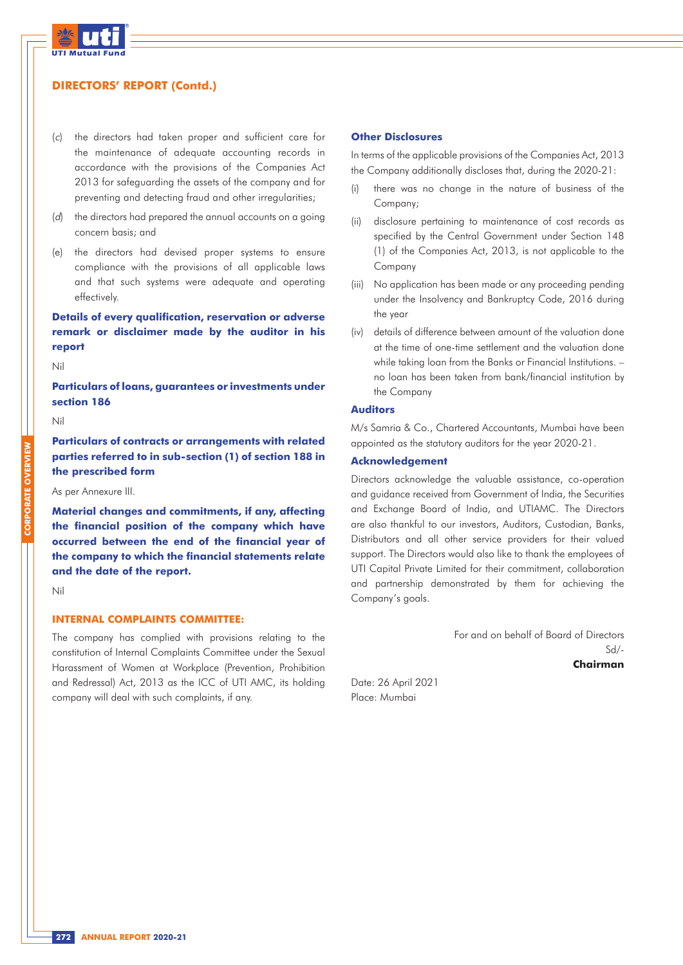

## **DIRECTORS' REPORT (Contd.)**

- (c) the directors had taken proper and sufficient care for the maintenance of adequate accounting records in accordance with the provisions of the Companies Act 2013 for safeguarding the assets of the company and for preventing and detecting fraud and other irregularities;
- (d) the directors had prepared the annual accounts on a going concern basis; and
- (e) the directors had devised proper systems to ensure compliance with the provisions of all applicable laws and that such systems were adequate and operating effectively.

**Details of every qualification, reservation or adverse remark or disclaimer made by the auditor in his report**

Nil

**Particulars of loans, guarantees or investments under section 186**

Nil

**Particulars of contracts or arrangements with related parties referred to in sub-section (1) of section 188 in the prescribed form**

As per Annexure III.

**Material changes and commitments, if any, affecting the financial position of the company which have occurred between the end of the financial year of the company to which the financial statements relate and the date of the report.** 

Nil

#### **INTERNAL COMPLAINTS COMMITTEE:**

The company has complied with provisions relating to the constitution of Internal Complaints Committee under the Sexual Harassment of Women at Workplace (Prevention, Prohibition and Redressal) Act, 2013 as the ICC of UTI AMC, its holding company will deal with such complaints, if any.

#### **Other Disclosures**

In terms of the applicable provisions of the Companies Act, 2013 the Company additionally discloses that, during the 2020-21:

- (i) there was no change in the nature of business of the Company;
- (ii) disclosure pertaining to maintenance of cost records as specified by the Central Government under Section 148 (1) of the Companies Act, 2013, is not applicable to the Company
- (iii) No application has been made or any proceeding pending under the Insolvency and Bankruptcy Code, 2016 during the year
- (iv) details of difference between amount of the valuation done at the time of one-time settlement and the valuation done while taking loan from the Banks or Financial Institutions. no loan has been taken from bank/financial institution by the Company

### **Auditors**

M/s Samria & Co., Chartered Accountants, Mumbai have been appointed as the statutory auditors for the year 2020-21.

#### **Acknowledgement**

Directors acknowledge the valuable assistance, co-operation and guidance received from Government of India, the Securities and Exchange Board of India, and UTIAMC. The Directors are also thankful to our investors, Auditors, Custodian, Banks, Distributors and all other service providers for their valued support. The Directors would also like to thank the employees of UTI Capital Private Limited for their commitment, collaboration and partnership demonstrated by them for achieving the Company's goals.

> For and on behalf of Board of Directors Sd/-

**Chairman**

Date: 26 April 2021 Place: Mumbai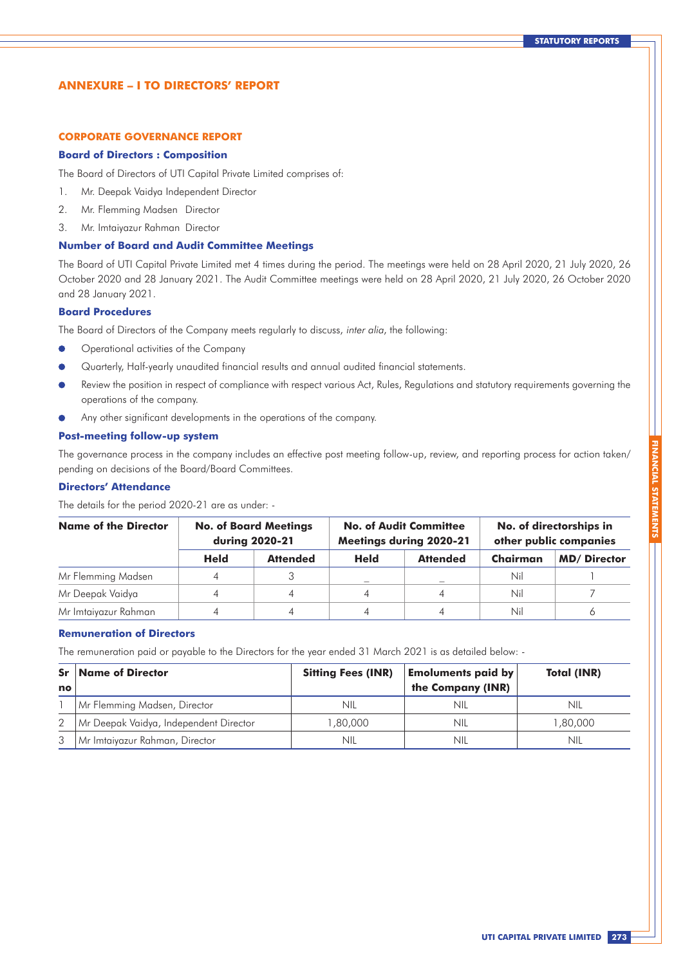## **ANNEXURE – I TO DIRECTORS' REPORT**

## **CORPORATE GOVERNANCE REPORT**

#### **Board of Directors : Composition**

The Board of Directors of UTI Capital Private Limited comprises of:

- 1. Mr. Deepak Vaidya Independent Director
- 2. Mr. Flemming Madsen Director
- 3. Mr. Imtaiyazur Rahman Director

## **Number of Board and Audit Committee Meetings**

The Board of UTI Capital Private Limited met 4 times during the period. The meetings were held on 28 April 2020, 21 July 2020, 26 October 2020 and 28 January 2021. The Audit Committee meetings were held on 28 April 2020, 21 July 2020, 26 October 2020 and 28 January 2021.

#### **Board Procedures**

The Board of Directors of the Company meets regularly to discuss, inter alia, the following:

- Operational activities of the Company
- Quarterly, Half-yearly unaudited financial results and annual audited financial statements.
- Review the position in respect of compliance with respect various Act, Rules, Regulations and statutory requirements governing the operations of the company.
- Any other significant developments in the operations of the company.

#### **Post-meeting follow-up system**

The governance process in the company includes an effective post meeting follow-up, review, and reporting process for action taken/ pending on decisions of the Board/Board Committees.

#### **Directors' Attendance**

The details for the period 2020-21 are as under: -

| <b>Name of the Director</b> | <b>No. of Board Meetings</b><br>during 2020-21 |                 | <b>No. of Audit Committee</b><br><b>Meetings during 2020-21</b> |                 |          | No. of directorships in<br>other public companies |
|-----------------------------|------------------------------------------------|-----------------|-----------------------------------------------------------------|-----------------|----------|---------------------------------------------------|
|                             | <b>Held</b>                                    | <b>Attended</b> | <b>Held</b>                                                     | <b>Attended</b> | Chairman | <b>MD/Director</b>                                |
| Mr Flemming Madsen          | 4                                              |                 |                                                                 |                 | Nil      |                                                   |
| Mr Deepak Vaidya            | 4                                              | 4               |                                                                 |                 | Nil      |                                                   |
| Mr Imtaiyazur Rahman        | 4                                              | 4               |                                                                 |                 | Nil      |                                                   |

#### **Remuneration of Directors**

The remuneration paid or payable to the Directors for the year ended 31 March 2021 is as detailed below: -

| Sr | <b>Name of Director</b>                | <b>Sitting Fees (INR)</b> | <b>Emoluments paid by</b> | <b>Total (INR)</b> |
|----|----------------------------------------|---------------------------|---------------------------|--------------------|
| no |                                        |                           | the Company (INR)         |                    |
|    | Mr Flemming Madsen, Director           | NIL                       | NIL                       | NIL                |
| 2  | Mr Deepak Vaidya, Independent Director | ,80,000                   | nil                       | .80.000            |
| 3  | Mr Imtaiyazur Rahman, Director         | nil                       | nil                       | nil                |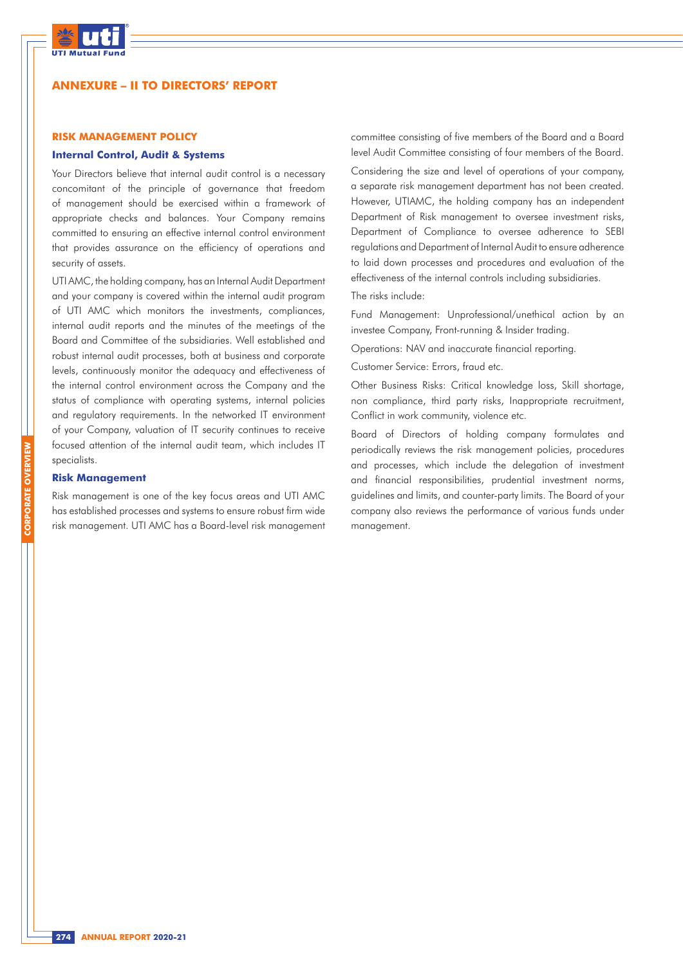

## **ANNEXURE – II TO DIRECTORS' REPORT**

#### **RISK MANAGEMENT POLICY**

#### **Internal Control, Audit & Systems**

Your Directors believe that internal audit control is a necessary concomitant of the principle of governance that freedom of management should be exercised within a framework of appropriate checks and balances. Your Company remains committed to ensuring an effective internal control environment that provides assurance on the efficiency of operations and security of assets.

UTI AMC, the holding company, has an Internal Audit Department and your company is covered within the internal audit program of UTI AMC which monitors the investments, compliances, internal audit reports and the minutes of the meetings of the Board and Committee of the subsidiaries. Well established and robust internal audit processes, both at business and corporate levels, continuously monitor the adequacy and effectiveness of the internal control environment across the Company and the status of compliance with operating systems, internal policies and regulatory requirements. In the networked IT environment of your Company, valuation of IT security continues to receive focused attention of the internal audit team, which includes IT specialists.

#### **Risk Management**

Risk management is one of the key focus areas and UTI AMC has established processes and systems to ensure robust firm wide risk management. UTI AMC has a Board-level risk management committee consisting of five members of the Board and a Board level Audit Committee consisting of four members of the Board.

Considering the size and level of operations of your company, a separate risk management department has not been created. However, UTIAMC, the holding company has an independent Department of Risk management to oversee investment risks, Department of Compliance to oversee adherence to SEBI regulations and Department of Internal Audit to ensure adherence to laid down processes and procedures and evaluation of the effectiveness of the internal controls including subsidiaries.

The risks include:

Fund Management: Unprofessional/unethical action by an investee Company, Front-running & Insider trading.

Operations: NAV and inaccurate financial reporting.

Customer Service: Errors, fraud etc.

Other Business Risks: Critical knowledge loss, Skill shortage, non compliance, third party risks, Inappropriate recruitment, Conflict in work community, violence etc.

Board of Directors of holding company formulates and periodically reviews the risk management policies, procedures and processes, which include the delegation of investment and financial responsibilities, prudential investment norms, guidelines and limits, and counter-party limits. The Board of your company also reviews the performance of various funds under management.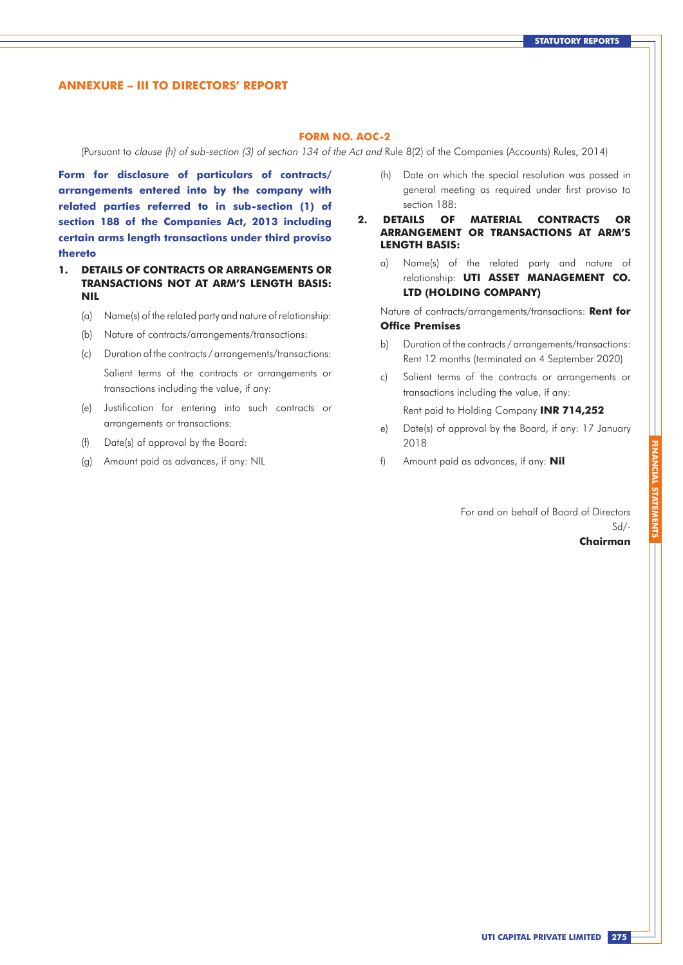## **ANNEXURE – III TO DIRECTORS' REPORT**

#### **FORM NO. AOC-2**

(Pursuant to clause (h) of sub-section (3) of section 134 of the Act and Rule 8(2) of the Companies (Accounts) Rules, 2014)

**Form for disclosure of particulars of contracts/ arrangements entered into by the company with related parties referred to in sub-section (1) of section 188 of the Companies Act, 2013 including certain arms length transactions under third proviso thereto**

- **1. DETAILS OF CONTRACTS OR ARRANGEMENTS OR TRANSACTIONS NOT AT ARM'S LENGTH BASIS: NIL**
	- (a) Name(s) of the related party and nature of relationship:
	- (b) Nature of contracts/arrangements/transactions:
	- (c) Duration of the contracts / arrangements/transactions: Salient terms of the contracts or arrangements or transactions including the value, if any:
	- (e) Justification for entering into such contracts or arrangements or transactions:
	- (f) Date(s) of approval by the Board:
	- (g) Amount paid as advances, if any: NIL
- (h) Date on which the special resolution was passed in general meeting as required under first proviso to section 188:
- **2. DETAILS OF MATERIAL CONTRACTS OR ARRANGEMENT OR TRANSACTIONS AT ARM'S LENGTH BASIS:**
	- a) Name(s) of the related party and nature of relationship: **UTI ASSET MANAGEMENT CO. LTD (HOLDING COMPANY)**

Nature of contracts/arrangements/transactions: **Rent for Office Premises** 

- b) Duration of the contracts / arrangements/transactions: Rent 12 months (terminated on 4 September 2020)
- c) Salient terms of the contracts or arrangements or transactions including the value, if any:

Rent paid to Holding Company **INR 714,252**

- e) Date(s) of approval by the Board, if any: 17 January 2018
- f) Amount paid as advances, if any: **Nil**

 For and on behalf of Board of Directors Sd/-

**Chairman**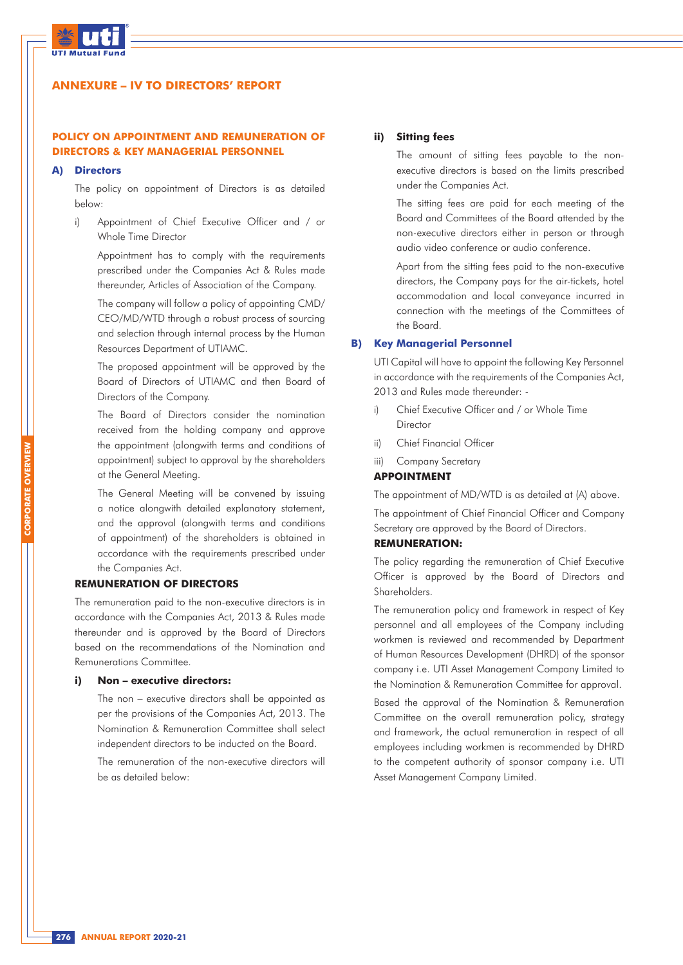

## **ANNEXURE – IV TO DIRECTORS' REPORT**

## **POLICY ON APPOINTMENT AND REMUNERATION OF DIRECTORS & KEY MANAGERIAL PERSONNEL**

#### **A) Directors**

The policy on appointment of Directors is as detailed below:

i) Appointment of Chief Executive Officer and / or Whole Time Director

Appointment has to comply with the requirements prescribed under the Companies Act & Rules made thereunder, Articles of Association of the Company.

The company will follow a policy of appointing CMD/ CEO/MD/WTD through a robust process of sourcing and selection through internal process by the Human Resources Department of UTIAMC.

The proposed appointment will be approved by the Board of Directors of UTIAMC and then Board of Directors of the Company.

The Board of Directors consider the nomination received from the holding company and approve the appointment (alongwith terms and conditions of appointment) subject to approval by the shareholders at the General Meeting.

The General Meeting will be convened by issuing a notice alongwith detailed explanatory statement, and the approval (alongwith terms and conditions of appointment) of the shareholders is obtained in accordance with the requirements prescribed under the Companies Act.

## **REMUNERATION OF DIRECTORS**

The remuneration paid to the non-executive directors is in accordance with the Companies Act, 2013 & Rules made thereunder and is approved by the Board of Directors based on the recommendations of the Nomination and Remunerations Committee.

#### **i) Non – executive directors:**

The non – executive directors shall be appointed as per the provisions of the Companies Act, 2013. The Nomination & Remuneration Committee shall select independent directors to be inducted on the Board.

The remuneration of the non-executive directors will be as detailed below:

#### **ii) Sitting fees**

The amount of sitting fees payable to the nonexecutive directors is based on the limits prescribed under the Companies Act.

The sitting fees are paid for each meeting of the Board and Committees of the Board attended by the non-executive directors either in person or through audio video conference or audio conference.

Apart from the sitting fees paid to the non-executive directors, the Company pays for the air-tickets, hotel accommodation and local conveyance incurred in connection with the meetings of the Committees of the Board.

#### **B) Key Managerial Personnel**

UTI Capital will have to appoint the following Key Personnel in accordance with the requirements of the Companies Act, 2013 and Rules made thereunder: -

- i) Chief Executive Officer and / or Whole Time **Director**
- ii) Chief Financial Officer
- iii) Company Secretary

#### **APPOINTMENT**

The appointment of MD/WTD is as detailed at (A) above.

The appointment of Chief Financial Officer and Company Secretary are approved by the Board of Directors.

#### **REMUNERATION:**

The policy regarding the remuneration of Chief Executive Officer is approved by the Board of Directors and Shareholders.

The remuneration policy and framework in respect of Key personnel and all employees of the Company including workmen is reviewed and recommended by Department of Human Resources Development (DHRD) of the sponsor company i.e. UTI Asset Management Company Limited to the Nomination & Remuneration Committee for approval.

Based the approval of the Nomination & Remuneration Committee on the overall remuneration policy, strategy and framework, the actual remuneration in respect of all employees including workmen is recommended by DHRD to the competent authority of sponsor company i.e. UTI Asset Management Company Limited.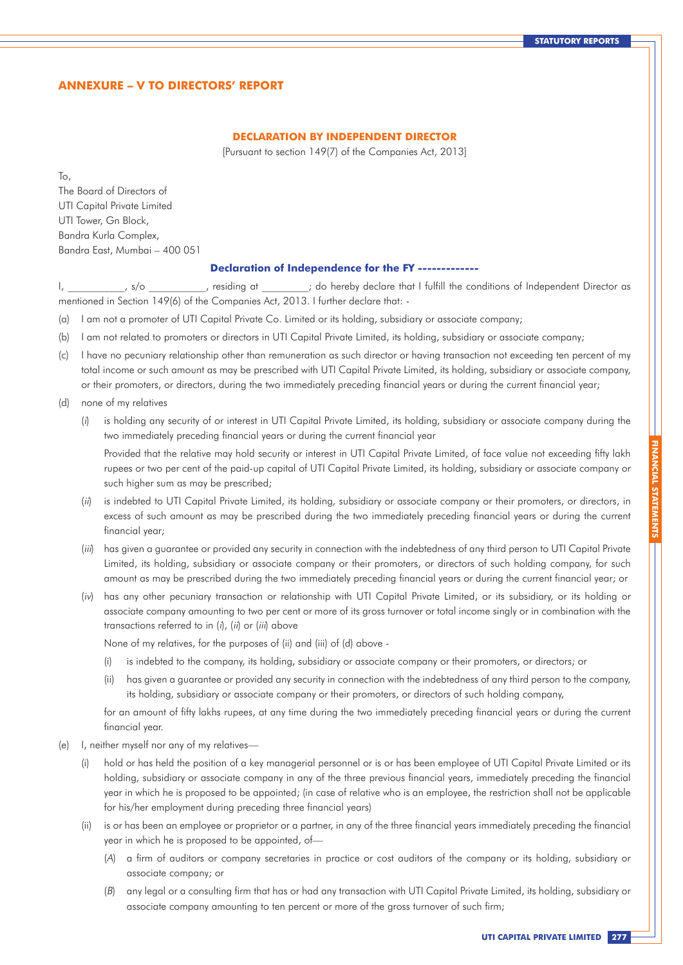## **ANNEXURE – V TO DIRECTORS' REPORT**

#### **DECLARATION BY INDEPENDENT DIRECTOR**

[Pursuant to section 149(7) of the Companies Act, 2013]

To, The Board of Directors of UTI Capital Private Limited UTI Tower, Gn Block, Bandra Kurla Complex, Bandra East, Mumbai – 400 051

#### **Declaration of Independence for the FY -------------**

I, s/o esiding at  $\qquad$  ; do hereby declare that I fulfill the conditions of Independent Director as mentioned in Section 149(6) of the Companies Act, 2013. I further declare that: -

- (a) I am not a promoter of UTI Capital Private Co. Limited or its holding, subsidiary or associate company;
- (b) I am not related to promoters or directors in UTI Capital Private Limited, its holding, subsidiary or associate company;
- (c) I have no pecuniary relationship other than remuneration as such director or having transaction not exceeding ten percent of my total income or such amount as may be prescribed with UTI Capital Private Limited, its holding, subsidiary or associate company, or their promoters, or directors, during the two immediately preceding financial years or during the current financial year;
- (d) none of my relatives
	- (i) is holding any security of or interest in UTI Capital Private Limited, its holding, subsidiary or associate company during the two immediately preceding financial years or during the current financial year

Provided that the relative may hold security or interest in UTI Capital Private Limited, of face value not exceeding fifty lakh rupees or two per cent of the paid-up capital of UTI Capital Private Limited, its holding, subsidiary or associate company or such higher sum as may be prescribed;

- (ii) is indebted to UTI Capital Private Limited, its holding, subsidiary or associate company or their promoters, or directors, in excess of such amount as may be prescribed during the two immediately preceding financial years or during the current financial year;
- (iii) has given a guarantee or provided any security in connection with the indebtedness of any third person to UTI Capital Private Limited, its holding, subsidiary or associate company or their promoters, or directors of such holding company, for such amount as may be prescribed during the two immediately preceding financial years or during the current financial year; or
- (iv) has any other pecuniary transaction or relationship with UTI Capital Private Limited, or its subsidiary, or its holding or associate company amounting to two per cent or more of its gross turnover or total income singly or in combination with the transactions referred to in  $(i)$ ,  $(ii)$  or  $(iii)$  above

None of my relatives, for the purposes of (ii) and (iii) of (d) above -

- is indebted to the company, its holding, subsidiary or associate company or their promoters, or directors; or
- (ii) has given a guarantee or provided any security in connection with the indebtedness of any third person to the company, its holding, subsidiary or associate company or their promoters, or directors of such holding company,

for an amount of fifty lakhs rupees, at any time during the two immediately preceding financial years or during the current financial year.

- (e) I, neither myself nor any of my relatives—
	- (i) hold or has held the position of a key managerial personnel or is or has been employee of UTI Capital Private Limited or its holding, subsidiary or associate company in any of the three previous financial years, immediately preceding the financial year in which he is proposed to be appointed; (in case of relative who is an employee, the restriction shall not be applicable for his/her employment during preceding three financial years)
	- (ii) is or has been an employee or proprietor or a partner, in any of the three financial years immediately preceding the financial year in which he is proposed to be appointed, of—
		- (A) a firm of auditors or company secretaries in practice or cost auditors of the company or its holding, subsidiary or associate company; or
		- (B) any legal or a consulting firm that has or had any transaction with UTI Capital Private Limited, its holding, subsidiary or associate company amounting to ten percent or more of the gross turnover of such firm;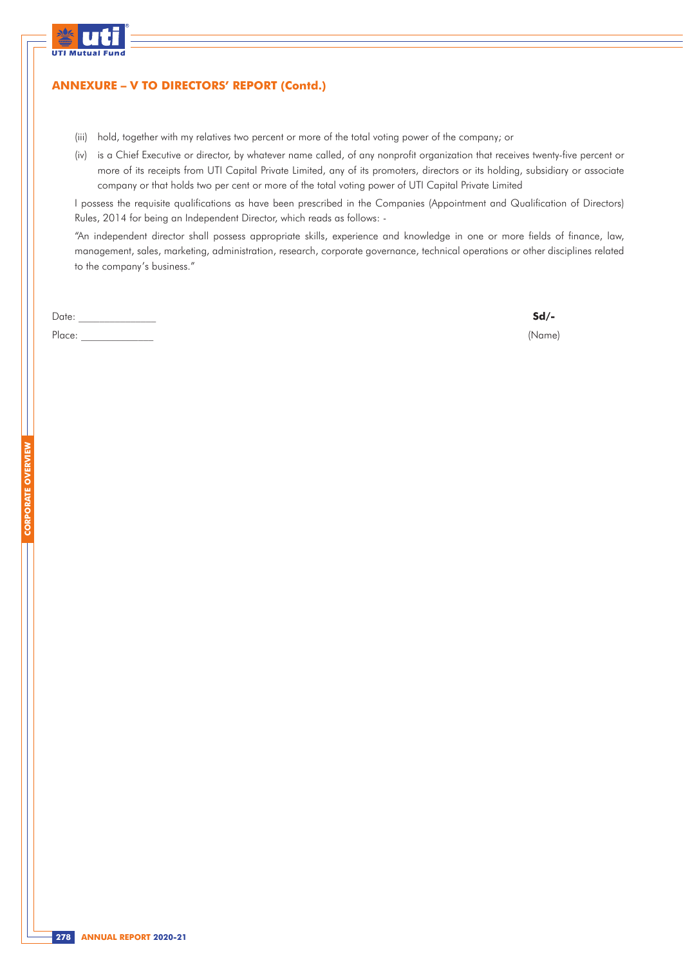

## **ANNEXURE – V TO DIRECTORS' REPORT (Contd.)**

- (iii) hold, together with my relatives two percent or more of the total voting power of the company; or
- (iv) is a Chief Executive or director, by whatever name called, of any nonprofit organization that receives twenty-five percent or more of its receipts from UTI Capital Private Limited, any of its promoters, directors or its holding, subsidiary or associate company or that holds two per cent or more of the total voting power of UTI Capital Private Limited

I possess the requisite qualifications as have been prescribed in the Companies (Appointment and Qualification of Directors) Rules, 2014 for being an Independent Director, which reads as follows: -

"An independent director shall possess appropriate skills, experience and knowledge in one or more fields of finance, law, management, sales, marketing, administration, research, corporate governance, technical operations or other disciplines related to the company's business."

Date: \_\_\_\_\_\_\_\_\_\_\_\_\_\_\_ **Sd/-**

Place: \_\_\_\_\_\_\_\_\_\_\_\_\_\_ (Name)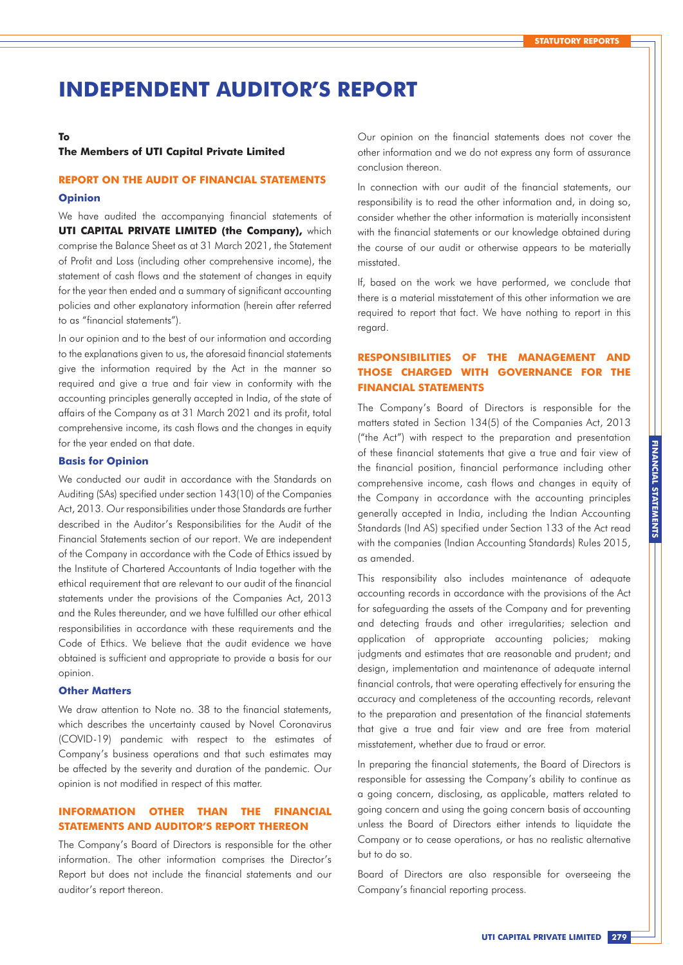## **INDEPENDENT AUDITOR'S REPORT**

#### **To**

#### **The Members of UTI Capital Private Limited**

## **REPORT ON THE AUDIT OF FINANCIAL STATEMENTS Opinion**

We have audited the accompanying financial statements of **UTI CAPITAL PRIVATE LIMITED (the Company), which** comprise the Balance Sheet as at 31 March 2021, the Statement of Profit and Loss (including other comprehensive income), the statement of cash flows and the statement of changes in equity for the year then ended and a summary of significant accounting policies and other explanatory information (herein after referred to as "financial statements").

In our opinion and to the best of our information and according to the explanations given to us, the aforesaid financial statements give the information required by the Act in the manner so required and give a true and fair view in conformity with the accounting principles generally accepted in India, of the state of affairs of the Company as at 31 March 2021 and its profit, total comprehensive income, its cash flows and the changes in equity for the year ended on that date.

#### **Basis for Opinion**

We conducted our audit in accordance with the Standards on Auditing (SAs) specified under section 143(10) of the Companies Act, 2013. Our responsibilities under those Standards are further described in the Auditor's Responsibilities for the Audit of the Financial Statements section of our report. We are independent of the Company in accordance with the Code of Ethics issued by the Institute of Chartered Accountants of India together with the ethical requirement that are relevant to our audit of the financial statements under the provisions of the Companies Act, 2013 and the Rules thereunder, and we have fulfilled our other ethical responsibilities in accordance with these requirements and the Code of Ethics. We believe that the audit evidence we have obtained is sufficient and appropriate to provide a basis for our opinion.

#### **Other Matters**

We draw attention to Note no. 38 to the financial statements, which describes the uncertainty caused by Novel Coronavirus (COVID-19) pandemic with respect to the estimates of Company's business operations and that such estimates may be affected by the severity and duration of the pandemic. Our opinion is not modified in respect of this matter.

## **INFORMATION OTHER THAN THE FINANCIAL STATEMENTS AND AUDITOR'S REPORT THEREON**

The Company's Board of Directors is responsible for the other information. The other information comprises the Director's Report but does not include the financial statements and our auditor's report thereon.

Our opinion on the financial statements does not cover the other information and we do not express any form of assurance conclusion thereon.

In connection with our audit of the financial statements, our responsibility is to read the other information and, in doing so, consider whether the other information is materially inconsistent with the financial statements or our knowledge obtained during the course of our audit or otherwise appears to be materially misstated.

If, based on the work we have performed, we conclude that there is a material misstatement of this other information we are required to report that fact. We have nothing to report in this regard.

## **RESPONSIBILITIES OF THE MANAGEMENT AND THOSE CHARGED WITH GOVERNANCE FOR THE FINANCIAL STATEMENTS**

The Company's Board of Directors is responsible for the matters stated in Section 134(5) of the Companies Act, 2013 ("the Act") with respect to the preparation and presentation of these financial statements that give a true and fair view of the financial position, financial performance including other comprehensive income, cash flows and changes in equity of the Company in accordance with the accounting principles generally accepted in India, including the Indian Accounting Standards (Ind AS) specified under Section 133 of the Act read with the companies (Indian Accounting Standards) Rules 2015, as amended.

This responsibility also includes maintenance of adequate accounting records in accordance with the provisions of the Act for safeguarding the assets of the Company and for preventing and detecting frauds and other irregularities; selection and application of appropriate accounting policies; making judgments and estimates that are reasonable and prudent; and design, implementation and maintenance of adequate internal financial controls, that were operating effectively for ensuring the accuracy and completeness of the accounting records, relevant to the preparation and presentation of the financial statements that give a true and fair view and are free from material misstatement, whether due to fraud or error.

In preparing the financial statements, the Board of Directors is responsible for assessing the Company's ability to continue as a going concern, disclosing, as applicable, matters related to going concern and using the going concern basis of accounting unless the Board of Directors either intends to liquidate the Company or to cease operations, or has no realistic alternative but to do so.

Board of Directors are also responsible for overseeing the Company's financial reporting process.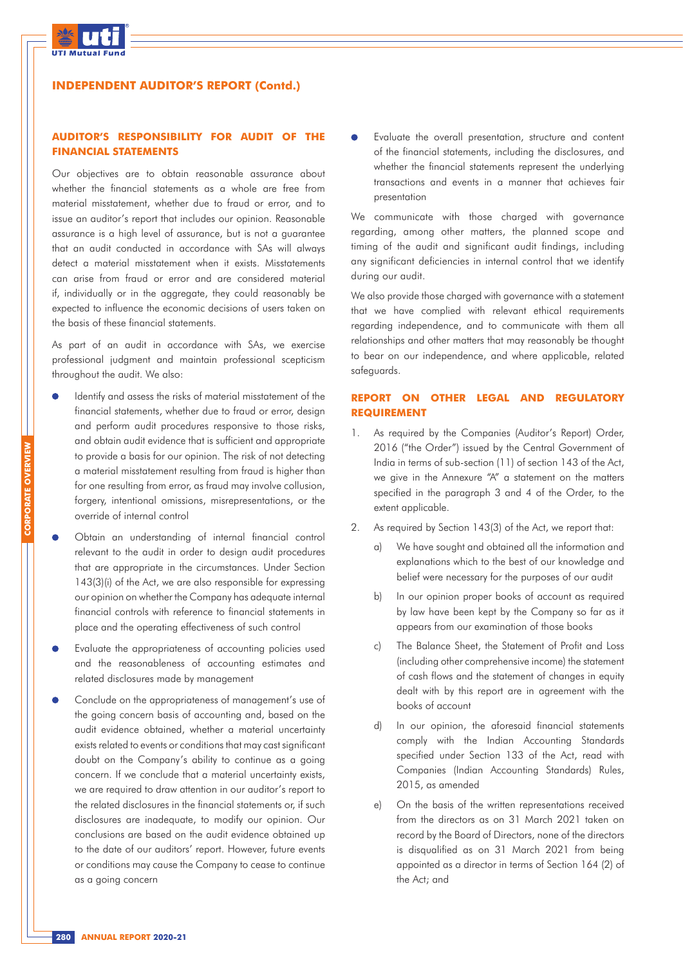

## **AUDITOR'S RESPONSIBILITY FOR AUDIT OF THE FINANCIAL STATEMENTS**

Our objectives are to obtain reasonable assurance about whether the financial statements as a whole are free from material misstatement, whether due to fraud or error, and to issue an auditor's report that includes our opinion. Reasonable assurance is a high level of assurance, but is not a guarantee that an audit conducted in accordance with SAs will always detect a material misstatement when it exists. Misstatements can arise from fraud or error and are considered material if, individually or in the aggregate, they could reasonably be expected to influence the economic decisions of users taken on the basis of these financial statements.

As part of an audit in accordance with SAs, we exercise professional judgment and maintain professional scepticism throughout the audit. We also:

- Identify and assess the risks of material misstatement of the financial statements, whether due to fraud or error, design and perform audit procedures responsive to those risks, and obtain audit evidence that is sufficient and appropriate to provide a basis for our opinion. The risk of not detecting a material misstatement resulting from fraud is higher than for one resulting from error, as fraud may involve collusion, forgery, intentional omissions, misrepresentations, or the override of internal control
- Obtain an understanding of internal financial control relevant to the audit in order to design audit procedures that are appropriate in the circumstances. Under Section 143(3)(i) of the Act, we are also responsible for expressing our opinion on whether the Company has adequate internal financial controls with reference to financial statements in place and the operating effectiveness of such control
- Evaluate the appropriateness of accounting policies used and the reasonableness of accounting estimates and related disclosures made by management
- Conclude on the appropriateness of management's use of the going concern basis of accounting and, based on the audit evidence obtained, whether a material uncertainty exists related to events or conditions that may cast significant doubt on the Company's ability to continue as a going concern. If we conclude that a material uncertainty exists, we are required to draw attention in our auditor's report to the related disclosures in the financial statements or, if such disclosures are inadequate, to modify our opinion. Our conclusions are based on the audit evidence obtained up to the date of our auditors' report. However, future events or conditions may cause the Company to cease to continue as a going concern

Evaluate the overall presentation, structure and content of the financial statements, including the disclosures, and whether the financial statements represent the underlying transactions and events in a manner that achieves fair presentation

We communicate with those charged with governance regarding, among other matters, the planned scope and timing of the audit and significant audit findings, including any significant deficiencies in internal control that we identify during our audit.

We also provide those charged with governance with a statement that we have complied with relevant ethical requirements regarding independence, and to communicate with them all relationships and other matters that may reasonably be thought to bear on our independence, and where applicable, related safeguards.

## **REPORT ON OTHER LEGAL AND REGULATORY REQUIREMENT**

- 1. As required by the Companies (Auditor's Report) Order, 2016 ("the Order") issued by the Central Government of India in terms of sub-section (11) of section 143 of the Act, we give in the Annexure "A" a statement on the matters specified in the paragraph 3 and 4 of the Order, to the extent applicable.
- 2. As required by Section 143(3) of the Act, we report that:
	- a) We have sought and obtained all the information and explanations which to the best of our knowledge and belief were necessary for the purposes of our audit
	- b) In our opinion proper books of account as required by law have been kept by the Company so far as it appears from our examination of those books
	- c) The Balance Sheet, the Statement of Profit and Loss (including other comprehensive income) the statement of cash flows and the statement of changes in equity dealt with by this report are in agreement with the books of account
	- d) In our opinion, the aforesaid financial statements comply with the Indian Accounting Standards specified under Section 133 of the Act, read with Companies (Indian Accounting Standards) Rules, 2015, as amended
	- e) On the basis of the written representations received from the directors as on 31 March 2021 taken on record by the Board of Directors, none of the directors is disqualified as on 31 March 2021 from being appointed as a director in terms of Section 164 (2) of the Act; and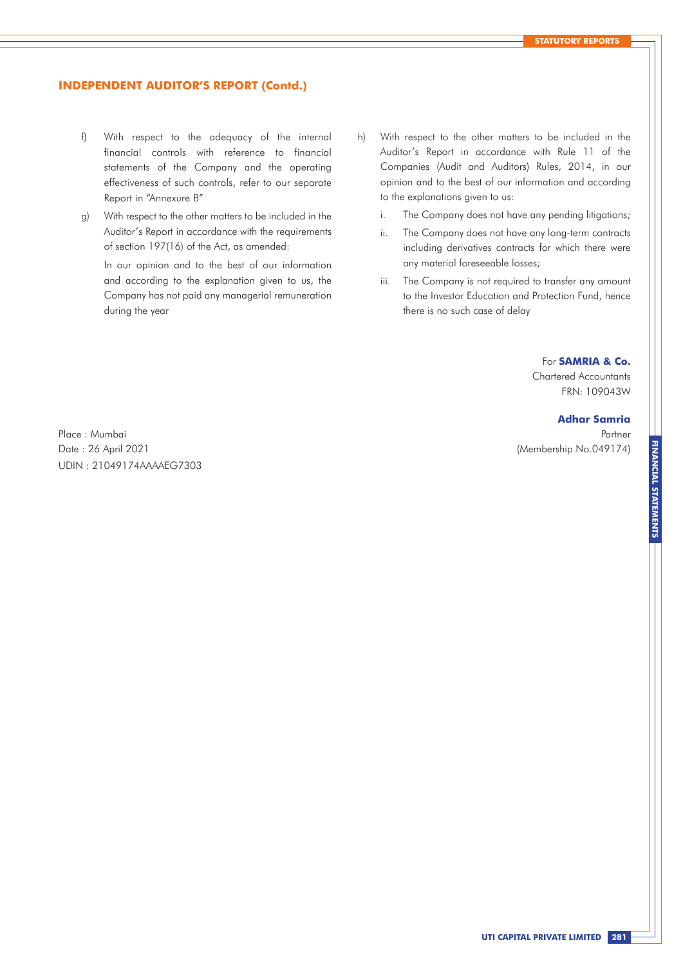- f) With respect to the adequacy of the internal financial controls with reference to financial statements of the Company and the operating effectiveness of such controls, refer to our separate Report in "Annexure B"
- g) With respect to the other matters to be included in the Auditor's Report in accordance with the requirements of section 197(16) of the Act, as amended:

In our opinion and to the best of our information and according to the explanation given to us, the Company has not paid any managerial remuneration during the year

- h) With respect to the other matters to be included in the Auditor's Report in accordance with Rule 11 of the Companies (Audit and Auditors) Rules, 2014, in our opinion and to the best of our information and according to the explanations given to us:
	- i. The Company does not have any pending litigations;
	- ii. The Company does not have any long-term contracts including derivatives contracts for which there were any material foreseeable losses;
	- iii. The Company is not required to transfer any amount to the Investor Education and Protection Fund, hence there is no such case of delay

## For **SAMRIA & Co.**

Chartered Accountants FRN: 109043W

#### **Adhar Samria**

**FINANCIAL STATEMENTS**

**FINANCIAL STATEMENTS** 

Place : Mumbai Partner Date : 26 April 2021 (Membership No.049174) UDIN : 21049174AAAAEG7303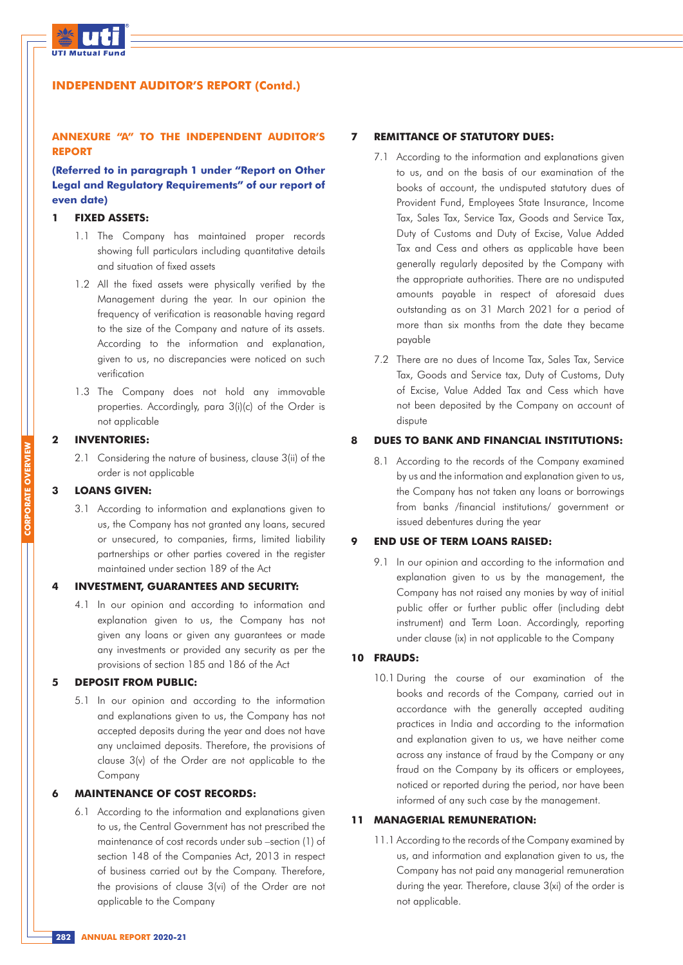

## **ANNEXURE "A" TO THE INDEPENDENT AUDITOR'S REPORT**

**(Referred to in paragraph 1 under "Report on Other Legal and Regulatory Requirements" of our report of even date)**

#### **1 FIXED ASSETS:**

- 1.1 The Company has maintained proper records showing full particulars including quantitative details and situation of fixed assets
- 1.2 All the fixed assets were physically verified by the Management during the year. In our opinion the frequency of verification is reasonable having regard to the size of the Company and nature of its assets. According to the information and explanation, given to us, no discrepancies were noticed on such verification
- 1.3 The Company does not hold any immovable properties. Accordingly, para 3(i)(c) of the Order is not applicable

#### **2 INVENTORIES:**

2.1 Considering the nature of business, clause 3(ii) of the order is not applicable

#### **3 LOANS GIVEN:**

3.1 According to information and explanations given to us, the Company has not granted any loans, secured or unsecured, to companies, firms, limited liability partnerships or other parties covered in the register maintained under section 189 of the Act

## **4 INVESTMENT, GUARANTEES AND SECURITY:**

4.1 In our opinion and according to information and explanation given to us, the Company has not given any loans or given any guarantees or made any investments or provided any security as per the provisions of section 185 and 186 of the Act

## **5 DEPOSIT FROM PUBLIC:**

5.1 In our opinion and according to the information and explanations given to us, the Company has not accepted deposits during the year and does not have any unclaimed deposits. Therefore, the provisions of clause 3(v) of the Order are not applicable to the Company

#### **6 MAINTENANCE OF COST RECORDS:**

6.1 According to the information and explanations given to us, the Central Government has not prescribed the maintenance of cost records under sub –section (1) of section 148 of the Companies Act, 2013 in respect of business carried out by the Company. Therefore, the provisions of clause 3(vi) of the Order are not applicable to the Company

### **7 REMITTANCE OF STATUTORY DUES:**

- 7.1 According to the information and explanations given to us, and on the basis of our examination of the books of account, the undisputed statutory dues of Provident Fund, Employees State Insurance, Income Tax, Sales Tax, Service Tax, Goods and Service Tax, Duty of Customs and Duty of Excise, Value Added Tax and Cess and others as applicable have been generally regularly deposited by the Company with the appropriate authorities. There are no undisputed amounts payable in respect of aforesaid dues outstanding as on 31 March 2021 for a period of more than six months from the date they became payable
- 7.2 There are no dues of Income Tax, Sales Tax, Service Tax, Goods and Service tax, Duty of Customs, Duty of Excise, Value Added Tax and Cess which have not been deposited by the Company on account of dispute

## **8 DUES TO BANK AND FINANCIAL INSTITUTIONS:**

8.1 According to the records of the Company examined by us and the information and explanation given to us, the Company has not taken any loans or borrowings from banks /financial institutions/ government or issued debentures during the year

#### **9 END USE OF TERM LOANS RAISED:**

9.1 In our opinion and according to the information and explanation given to us by the management, the Company has not raised any monies by way of initial public offer or further public offer (including debt instrument) and Term Loan. Accordingly, reporting under clause (ix) in not applicable to the Company

## **10 FRAUDS:**

10.1 During the course of our examination of the books and records of the Company, carried out in accordance with the generally accepted auditing practices in India and according to the information and explanation given to us, we have neither come across any instance of fraud by the Company or any fraud on the Company by its officers or employees, noticed or reported during the period, nor have been informed of any such case by the management.

## **11 MANAGERIAL REMUNERATION:**

11.1 According to the records of the Company examined by us, and information and explanation given to us, the Company has not paid any managerial remuneration during the year. Therefore, clause 3(xi) of the order is not applicable.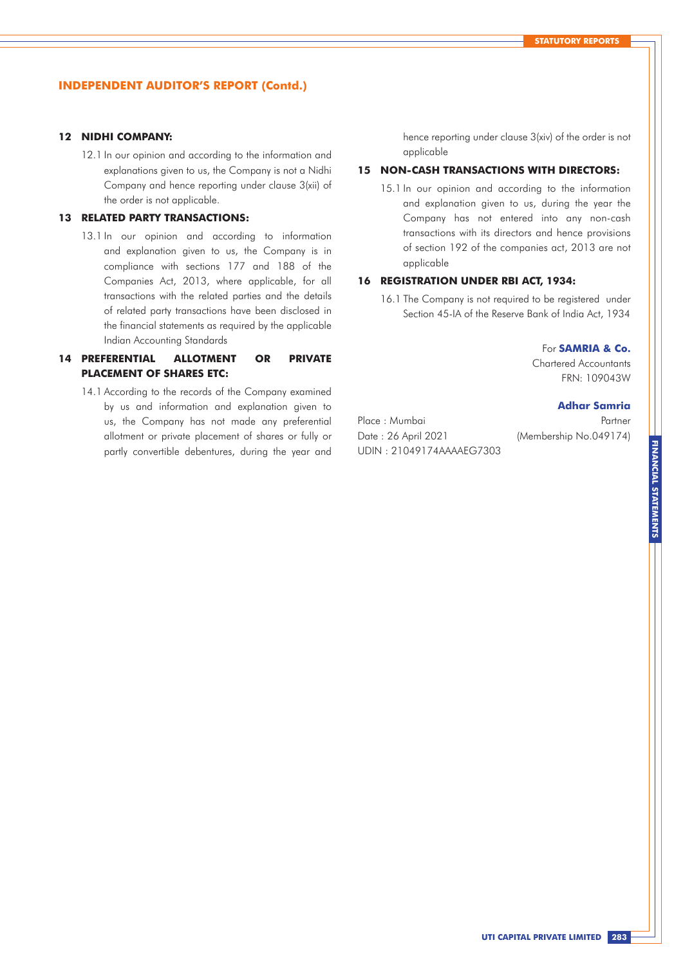#### **12 NIDHI COMPANY:**

12.1 In our opinion and according to the information and explanations given to us, the Company is not a Nidhi Company and hence reporting under clause 3(xii) of the order is not applicable.

#### **13 RELATED PARTY TRANSACTIONS:**

13.1 In our opinion and according to information and explanation given to us, the Company is in compliance with sections 177 and 188 of the Companies Act, 2013, where applicable, for all transactions with the related parties and the details of related party transactions have been disclosed in the financial statements as required by the applicable Indian Accounting Standards

## **14 PREFERENTIAL ALLOTMENT OR PRIVATE PLACEMENT OF SHARES ETC:**

14.1 According to the records of the Company examined by us and information and explanation given to us, the Company has not made any preferential allotment or private placement of shares or fully or partly convertible debentures, during the year and hence reporting under clause 3(xiv) of the order is not applicable

## **15 NON-CASH TRANSACTIONS WITH DIRECTORS:**

15.1 In our opinion and according to the information and explanation given to us, during the year the Company has not entered into any non-cash transactions with its directors and hence provisions of section 192 of the companies act, 2013 are not applicable

#### **16 REGISTRATION UNDER RBI ACT, 1934:**

16.1 The Company is not required to be registered under Section 45-IA of the Reserve Bank of India Act, 1934

For **SAMRIA & Co.**

Chartered Accountants FRN: 109043W

## **Adhar Samria**

Date : 26 April 2021 (Membership No.049174) UDIN : 21049174AAAAEG7303

Place : Mumbai Partner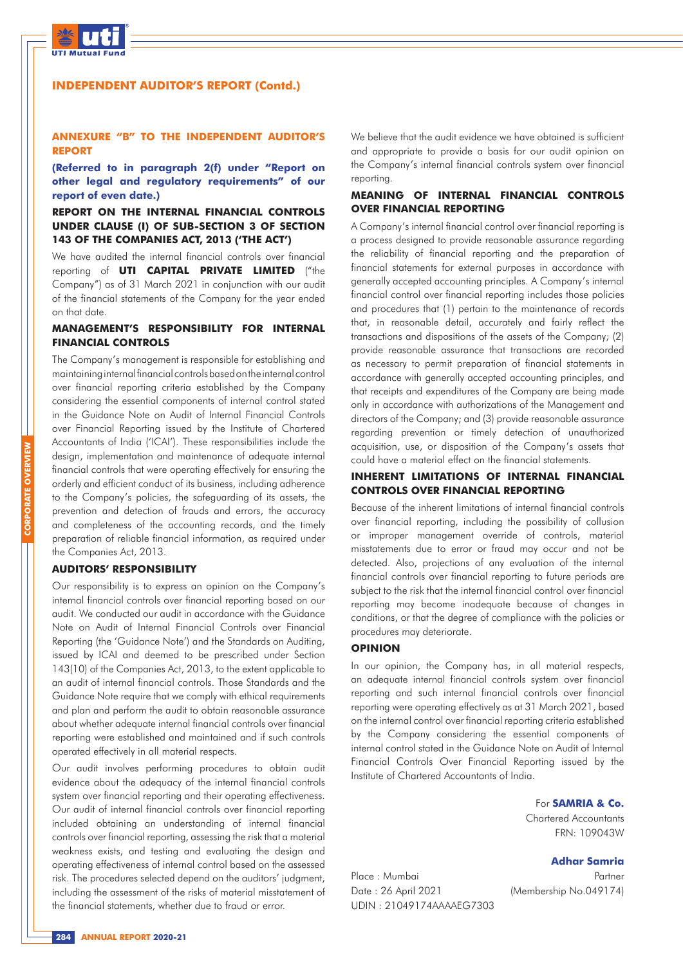

#### **ANNEXURE "B" TO THE INDEPENDENT AUDITOR'S REPORT**

## **(Referred to in paragraph 2(f) under "Report on other legal and regulatory requirements" of our report of even date.)**

#### **REPORT ON THE INTERNAL FINANCIAL CONTROLS UNDER CLAUSE (I) OF SUB-SECTION 3 OF SECTION 143 OF THE COMPANIES ACT, 2013 ('THE ACT')**

We have audited the internal financial controls over financial reporting of **UTI CAPITAL PRIVATE LIMITED** ("the Company") as of 31 March 2021 in conjunction with our audit of the financial statements of the Company for the year ended on that date.

#### **MANAGEMENT'S RESPONSIBILITY FOR INTERNAL FINANCIAL CONTROLS**

The Company's management is responsible for establishing and maintaining internal financial controls based on the internal control over financial reporting criteria established by the Company considering the essential components of internal control stated in the Guidance Note on Audit of Internal Financial Controls over Financial Reporting issued by the Institute of Chartered Accountants of India ('ICAI'). These responsibilities include the design, implementation and maintenance of adequate internal financial controls that were operating effectively for ensuring the orderly and efficient conduct of its business, including adherence to the Company's policies, the safeguarding of its assets, the prevention and detection of frauds and errors, the accuracy and completeness of the accounting records, and the timely preparation of reliable financial information, as required under the Companies Act, 2013.

#### **AUDITORS' RESPONSIBILITY**

Our responsibility is to express an opinion on the Company's internal financial controls over financial reporting based on our audit. We conducted our audit in accordance with the Guidance Note on Audit of Internal Financial Controls over Financial Reporting (the 'Guidance Note') and the Standards on Auditing, issued by ICAI and deemed to be prescribed under Section 143(10) of the Companies Act, 2013, to the extent applicable to an audit of internal financial controls. Those Standards and the Guidance Note require that we comply with ethical requirements and plan and perform the audit to obtain reasonable assurance about whether adequate internal financial controls over financial reporting were established and maintained and if such controls operated effectively in all material respects.

Our audit involves performing procedures to obtain audit evidence about the adequacy of the internal financial controls system over financial reporting and their operating effectiveness. Our audit of internal financial controls over financial reporting included obtaining an understanding of internal financial controls over financial reporting, assessing the risk that a material weakness exists, and testing and evaluating the design and operating effectiveness of internal control based on the assessed risk. The procedures selected depend on the auditors' judgment, including the assessment of the risks of material misstatement of the financial statements, whether due to fraud or error.

We believe that the audit evidence we have obtained is sufficient and appropriate to provide a basis for our audit opinion on the Company's internal financial controls system over financial reporting.

#### **MEANING OF INTERNAL FINANCIAL CONTROLS OVER FINANCIAL REPORTING**

A Company's internal financial control over financial reporting is a process designed to provide reasonable assurance regarding the reliability of financial reporting and the preparation of financial statements for external purposes in accordance with generally accepted accounting principles. A Company's internal financial control over financial reporting includes those policies and procedures that (1) pertain to the maintenance of records that, in reasonable detail, accurately and fairly reflect the transactions and dispositions of the assets of the Company; (2) provide reasonable assurance that transactions are recorded as necessary to permit preparation of financial statements in accordance with generally accepted accounting principles, and that receipts and expenditures of the Company are being made only in accordance with authorizations of the Management and directors of the Company; and (3) provide reasonable assurance regarding prevention or timely detection of unauthorized acquisition, use, or disposition of the Company's assets that could have a material effect on the financial statements.

#### **INHERENT LIMITATIONS OF INTERNAL FINANCIAL CONTROLS OVER FINANCIAL REPORTING**

Because of the inherent limitations of internal financial controls over financial reporting, including the possibility of collusion or improper management override of controls, material misstatements due to error or fraud may occur and not be detected. Also, projections of any evaluation of the internal financial controls over financial reporting to future periods are subject to the risk that the internal financial control over financial reporting may become inadequate because of changes in conditions, or that the degree of compliance with the policies or procedures may deteriorate.

#### **OPINION**

In our opinion, the Company has, in all material respects, an adequate internal financial controls system over financial reporting and such internal financial controls over financial reporting were operating effectively as at 31 March 2021, based on the internal control over financial reporting criteria established by the Company considering the essential components of internal control stated in the Guidance Note on Audit of Internal Financial Controls Over Financial Reporting issued by the Institute of Chartered Accountants of India.

#### For **SAMRIA & Co.**

Chartered Accountants FRN: 109043W

#### **Adhar Samria**

Date : 26 April 2021 (Membership No.049174) UDIN : 21049174AAAAEG7303

Place : Mumbai Partner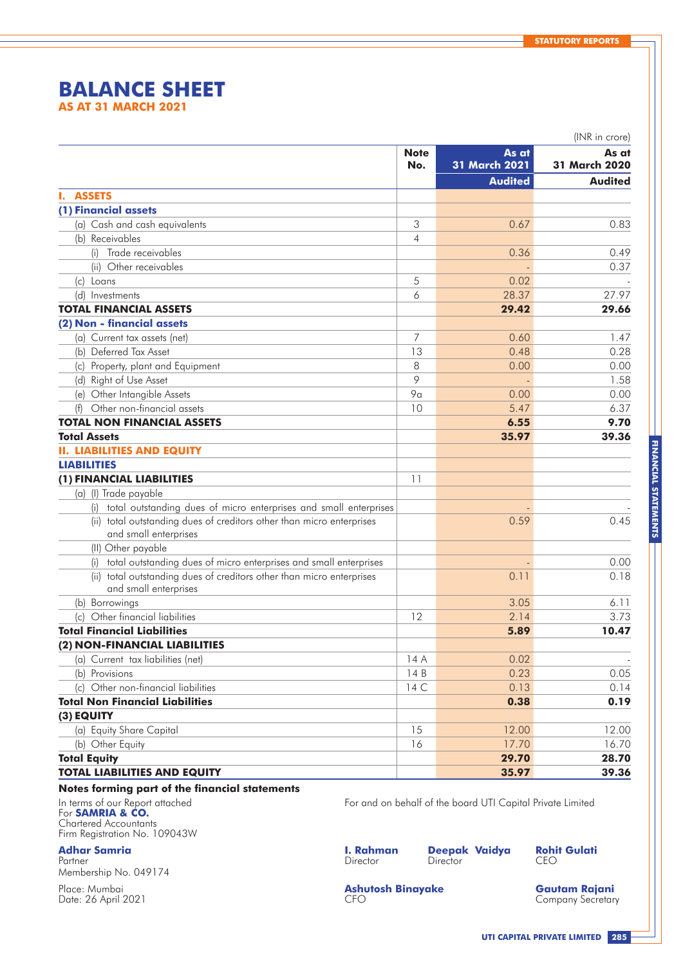## **BALANCE SHEET AS AT 31 MARCH 2021**

| <b>Note</b><br>No.<br>I. ASSETS<br>(1) Financial assets<br>(a) Cash and cash equivalents<br>3<br>(b) Receivables<br>4<br>(i) Trade receivables<br>(ii) Other receivables<br>5<br>(c) Loans<br>6<br>(d) Investments<br><b>TOTAL FINANCIAL ASSETS</b><br>(2) Non - financial assets<br>(a) Current tax assets (net)<br>7<br>(b) Deferred Tax Asset<br>13<br>(c) Property, plant and Equipment<br>8<br>9<br>(d) Right of Use Asset<br>(e) Other Intangible Assets<br>9 <sub>a</sub><br>(f) Other non-financial assets | As at<br><b>31 March 2021</b><br><b>Audited</b> | As at<br><b>31 March 2020</b> |
|--------------------------------------------------------------------------------------------------------------------------------------------------------------------------------------------------------------------------------------------------------------------------------------------------------------------------------------------------------------------------------------------------------------------------------------------------------------------------------------------------------------------|-------------------------------------------------|-------------------------------|
|                                                                                                                                                                                                                                                                                                                                                                                                                                                                                                                    |                                                 |                               |
|                                                                                                                                                                                                                                                                                                                                                                                                                                                                                                                    |                                                 | <b>Audited</b>                |
|                                                                                                                                                                                                                                                                                                                                                                                                                                                                                                                    |                                                 |                               |
|                                                                                                                                                                                                                                                                                                                                                                                                                                                                                                                    |                                                 |                               |
|                                                                                                                                                                                                                                                                                                                                                                                                                                                                                                                    | 0.67                                            | 0.83                          |
|                                                                                                                                                                                                                                                                                                                                                                                                                                                                                                                    |                                                 |                               |
|                                                                                                                                                                                                                                                                                                                                                                                                                                                                                                                    | 0.36                                            | 0.49                          |
|                                                                                                                                                                                                                                                                                                                                                                                                                                                                                                                    |                                                 | 0.37                          |
|                                                                                                                                                                                                                                                                                                                                                                                                                                                                                                                    | 0.02                                            |                               |
|                                                                                                                                                                                                                                                                                                                                                                                                                                                                                                                    | 28.37                                           | 27.97                         |
|                                                                                                                                                                                                                                                                                                                                                                                                                                                                                                                    | 29.42                                           | 29.66                         |
|                                                                                                                                                                                                                                                                                                                                                                                                                                                                                                                    |                                                 |                               |
|                                                                                                                                                                                                                                                                                                                                                                                                                                                                                                                    | 0.60                                            | 1.47                          |
|                                                                                                                                                                                                                                                                                                                                                                                                                                                                                                                    | 0.48                                            | 0.28                          |
|                                                                                                                                                                                                                                                                                                                                                                                                                                                                                                                    | 0.00                                            | 0.00                          |
|                                                                                                                                                                                                                                                                                                                                                                                                                                                                                                                    |                                                 | 1.58                          |
|                                                                                                                                                                                                                                                                                                                                                                                                                                                                                                                    | 0.00                                            | 0.00                          |
| 10                                                                                                                                                                                                                                                                                                                                                                                                                                                                                                                 | 5.47                                            | 6.37                          |
| <b>TOTAL NON FINANCIAL ASSETS</b>                                                                                                                                                                                                                                                                                                                                                                                                                                                                                  | 6.55                                            | 9.70                          |
| <b>Total Assets</b>                                                                                                                                                                                                                                                                                                                                                                                                                                                                                                | 35.97                                           | 39.36                         |
| <b>II. LIABILITIES AND EQUITY</b>                                                                                                                                                                                                                                                                                                                                                                                                                                                                                  |                                                 |                               |
| <b>LIABILITIES</b>                                                                                                                                                                                                                                                                                                                                                                                                                                                                                                 |                                                 |                               |
| (1) FINANCIAL LIABILITIES<br>11                                                                                                                                                                                                                                                                                                                                                                                                                                                                                    |                                                 |                               |
| (a) (I) Trade payable                                                                                                                                                                                                                                                                                                                                                                                                                                                                                              |                                                 |                               |
| total outstanding dues of micro enterprises and small enterprises                                                                                                                                                                                                                                                                                                                                                                                                                                                  |                                                 |                               |
| (ii) total outstanding dues of creditors other than micro enterprises<br>and small enterprises                                                                                                                                                                                                                                                                                                                                                                                                                     | 0.59                                            | 0.45                          |
| (II) Other payable                                                                                                                                                                                                                                                                                                                                                                                                                                                                                                 |                                                 |                               |
| (i) total outstanding dues of micro enterprises and small enterprises                                                                                                                                                                                                                                                                                                                                                                                                                                              |                                                 | 0.00                          |
| (ii) total outstanding dues of creditors other than micro enterprises<br>and small enterprises                                                                                                                                                                                                                                                                                                                                                                                                                     | 0.11                                            | 0.18                          |
| (b) Borrowings                                                                                                                                                                                                                                                                                                                                                                                                                                                                                                     | 3.05                                            | 6.11                          |
| (c) Other financial liabilities<br>12                                                                                                                                                                                                                                                                                                                                                                                                                                                                              | 2.14                                            | 3.73                          |
| <b>Total Financial Liabilities</b>                                                                                                                                                                                                                                                                                                                                                                                                                                                                                 | 5.89                                            | 10.47                         |
| (2) NON-FINANCIAL LIABILITIES                                                                                                                                                                                                                                                                                                                                                                                                                                                                                      |                                                 |                               |
| 14A<br>(a) Current tax liabilities (net)                                                                                                                                                                                                                                                                                                                                                                                                                                                                           | 0.02                                            |                               |
| (b) Provisions<br>14B                                                                                                                                                                                                                                                                                                                                                                                                                                                                                              | 0.23                                            | 0.05                          |
| (c) Other non-financial liabilities<br>14 C                                                                                                                                                                                                                                                                                                                                                                                                                                                                        | 0.13                                            | 0.14                          |
| <b>Total Non Financial Liabilities</b>                                                                                                                                                                                                                                                                                                                                                                                                                                                                             | 0.38                                            | 0.19                          |
| (3) EQUITY                                                                                                                                                                                                                                                                                                                                                                                                                                                                                                         |                                                 |                               |
| (a) Equity Share Capital<br>15                                                                                                                                                                                                                                                                                                                                                                                                                                                                                     | 12.00                                           | 12.00                         |
| (b) Other Equity<br>16                                                                                                                                                                                                                                                                                                                                                                                                                                                                                             | 17.70                                           | 16.70                         |
| <b>Total Equity</b>                                                                                                                                                                                                                                                                                                                                                                                                                                                                                                |                                                 |                               |
| <b>TOTAL LIABILITIES AND EQUITY</b>                                                                                                                                                                                                                                                                                                                                                                                                                                                                                | 29.70                                           | 28.70                         |
| Notes forming part of the financial statements                                                                                                                                                                                                                                                                                                                                                                                                                                                                     | 35.97                                           | 39.36                         |

**For SAMRIA & CO.**<br>For **SAMRIA & CO.** Chartered Accountants Firm Registration No. 109043W

Membership No. 049174

For and on behalf of the board UTI Capital Private Limited

**Adhar Samria I. Rahman Deepak Vaidya Rohit Gulati** Partner CEO CONSERVERSITY CONTROLLER Director Director Director CEO

Place: Mumbai **Ashutosh Binayake Gautam Rajani** Date: 26 April 2021 CFO Company Secretary

FINANCIAL STATEMENTS **FINANCIAL STATEMENTS**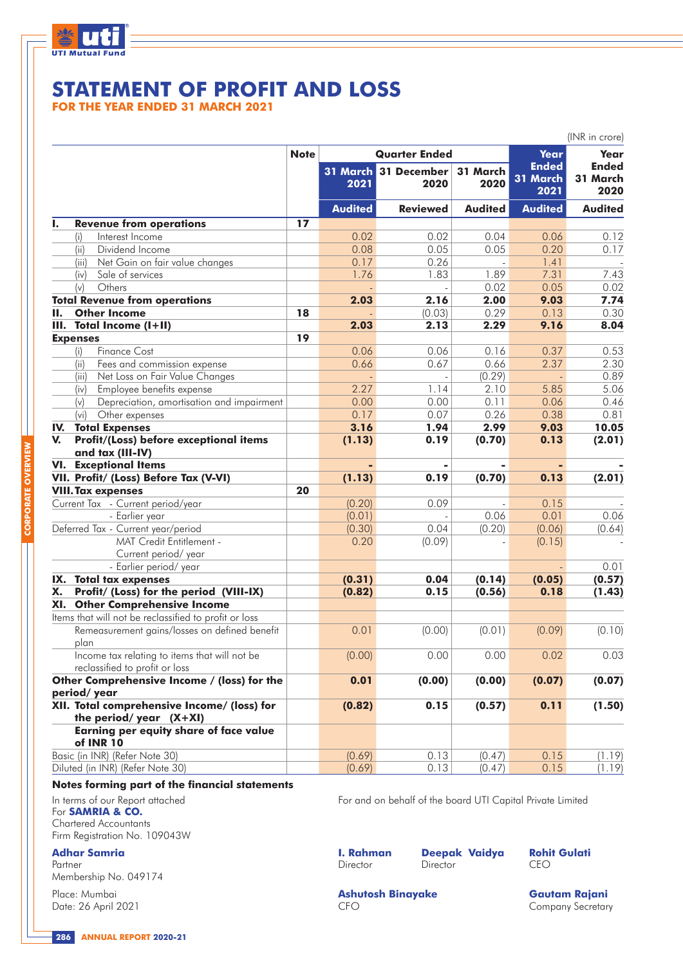

# **STATEMENT OF PROFIT AND LOSS**

**FOR THE YEAR ENDED 31 MARCH 2021**

|     |                                                                                 |             |                |                              |                  |                                  | (INR in crore)                   |
|-----|---------------------------------------------------------------------------------|-------------|----------------|------------------------------|------------------|----------------------------------|----------------------------------|
|     |                                                                                 | <b>Note</b> |                | <b>Quarter Ended</b>         |                  | Year                             | <b>Year</b>                      |
|     |                                                                                 |             | 2021           | 31 March 31 December<br>2020 | 31 March<br>2020 | <b>Ended</b><br>31 March<br>2021 | <b>Ended</b><br>31 March<br>2020 |
|     |                                                                                 |             | <b>Audited</b> | <b>Reviewed</b>              | <b>Audited</b>   | <b>Audited</b>                   | <b>Audited</b>                   |
| ı.  | <b>Revenue from operations</b>                                                  | 17          |                |                              |                  |                                  |                                  |
|     | Interest Income<br>(i)                                                          |             | 0.02           | 0.02                         | 0.04             | 0.06                             | 0.12                             |
|     | Dividend Income<br>(ii)                                                         |             | 0.08           | 0.05                         | 0.05             | 0.20                             | 0.17                             |
|     | Net Gain on fair value changes<br>(iii)                                         |             | 0.17           | 0.26                         |                  | 1.41                             |                                  |
|     | Sale of services<br>(iv)                                                        |             | 1.76           | 1.83                         | 1.89             | 7.31                             | 7.43                             |
|     | Others<br>(v)                                                                   |             | $\omega$       |                              | 0.02             | 0.05                             | 0.02                             |
|     | <b>Total Revenue from operations</b>                                            |             | 2.03           | 2.16                         | 2.00             | 9.03                             | 7.74                             |
| П.  | <b>Other Income</b>                                                             | 18          |                | (0.03)                       | 0.29             | 0.13                             | 0.30                             |
|     | III. Total Income (I+II)                                                        |             | 2.03           | 2.13                         | 2.29             | 9.16                             | 8.04                             |
|     | <b>Expenses</b>                                                                 | 19          |                |                              |                  |                                  |                                  |
|     | <b>Finance Cost</b><br>(i)                                                      |             | 0.06           | 0.06                         | 0.16             | 0.37                             | 0.53                             |
|     | Fees and commission expense<br>(ii)                                             |             | 0.66           | 0.67                         | 0.66             | 2.37                             | 2.30                             |
|     | Net Loss on Fair Value Changes<br>(iii)                                         |             |                |                              | (0.29)           |                                  | 0.89                             |
|     | Employee benefits expense<br>(iv)                                               |             | 2.27           | 1.14                         | 2.10             | 5.85                             | 5.06                             |
|     | Depreciation, amortisation and impairment<br>(v)                                |             | 0.00           | 0.00                         | 0.11             | 0.06                             | 0.46                             |
|     | Other expenses<br>(vi)                                                          |             | 0.17           | 0.07                         | 0.26             | 0.38                             | 0.81                             |
| IV. | <b>Total Expenses</b>                                                           |             | 3.16           | 1.94                         | 2.99             | 9.03                             | 10.05                            |
| V.  | Profit/(Loss) before exceptional items                                          |             | (1.13)         | 0.19                         | (0.70)           | 0.13                             | (2.01)                           |
|     | and tax (III-IV)                                                                |             |                |                              |                  |                                  |                                  |
|     | <b>VI.</b> Exceptional Items                                                    |             |                | $\blacksquare$               |                  | ٠                                |                                  |
|     | VII. Profit/ (Loss) Before Tax (V-VI)                                           |             | (1.13)         | 0.19                         | (0.70)           | 0.13                             | (2.01)                           |
|     | <b>VIII. Tax expenses</b>                                                       | 20          |                |                              |                  |                                  |                                  |
|     | Current Tax - Current period/year                                               |             | (0.20)         | 0.09                         |                  | 0.15                             |                                  |
|     | - Earlier year                                                                  |             | (0.01)         |                              | 0.06             | 0.01                             | 0.06                             |
|     | Deferred Tax - Current year/period                                              |             | (0.30)         | 0.04                         | (0.20)           | (0.06)                           | (0.64)                           |
|     | MAT Credit Entitlement -                                                        |             | 0.20           | (0.09)                       |                  | (0.15)                           |                                  |
|     | Current period/year                                                             |             |                |                              |                  |                                  |                                  |
|     | - Earlier period/year                                                           |             |                |                              |                  |                                  | 0.01                             |
|     | IX. Total tax expenses                                                          |             | (0.31)         | 0.04                         | (0.14)           | (0.05)                           | (0.57)                           |
| Х.  | Profit/ (Loss) for the period (VIII-IX)                                         |             | (0.82)         | 0.15                         | (0.56)           | 0.18                             | (1.43)                           |
|     | XI. Other Comprehensive Income                                                  |             |                |                              |                  |                                  |                                  |
|     | Items that will not be reclassified to profit or loss                           |             |                |                              |                  |                                  |                                  |
|     | Remeasurement gains/losses on defined benefit<br>plan                           |             | 0.01           | (0.00)                       | (0.01)           | (0.09)                           | (0.10)                           |
|     | Income tax relating to items that will not be<br>reclassified to profit or loss |             | (0.00)         | 0.00                         | 0.00             | 0.02                             | 0.03                             |
|     | Other Comprehensive Income / (loss) for the<br>period/year                      |             | 0.01           | (0.00)                       | (0.00)           | (0.07)                           | (0.07)                           |
|     | XII. Total comprehensive Income/ (loss) for<br>the period/year $(X+XI)$         |             | (0.82)         | 0.15                         | (0.57)           | 0.11                             | (1.50)                           |
|     | <b>Earning per equity share of face value</b><br>of INR 10                      |             |                |                              |                  |                                  |                                  |
|     | Basic (in INR) (Refer Note 30)                                                  |             | (0.69)         | 0.13                         | (0.47)           | 0.15                             | (1.19)                           |
|     | Diluted (in INR) (Refer Note 30)                                                |             | (0.69)         | 0.13                         | (0.47)           | 0.15                             | (1.19)                           |
|     |                                                                                 |             |                |                              |                  |                                  |                                  |

## **Notes forming part of the financial statements**

For **SAMRIA & CO.**

Chartered Accountants Firm Registration No. 109043W

### **Adhar Samria I. Rahman Deepak Vaidya Rohit Gulati**

Partner Director Director CEO Membership No. 049174

In terms of our Report attached For and on behalf of the board UTI Capital Private Limited

Place: Mumbai **Ashutosh Binayake Gautam Rajani** Date: 26 April 2021 **CFO** CFO Company Secretary CFO Company Secretary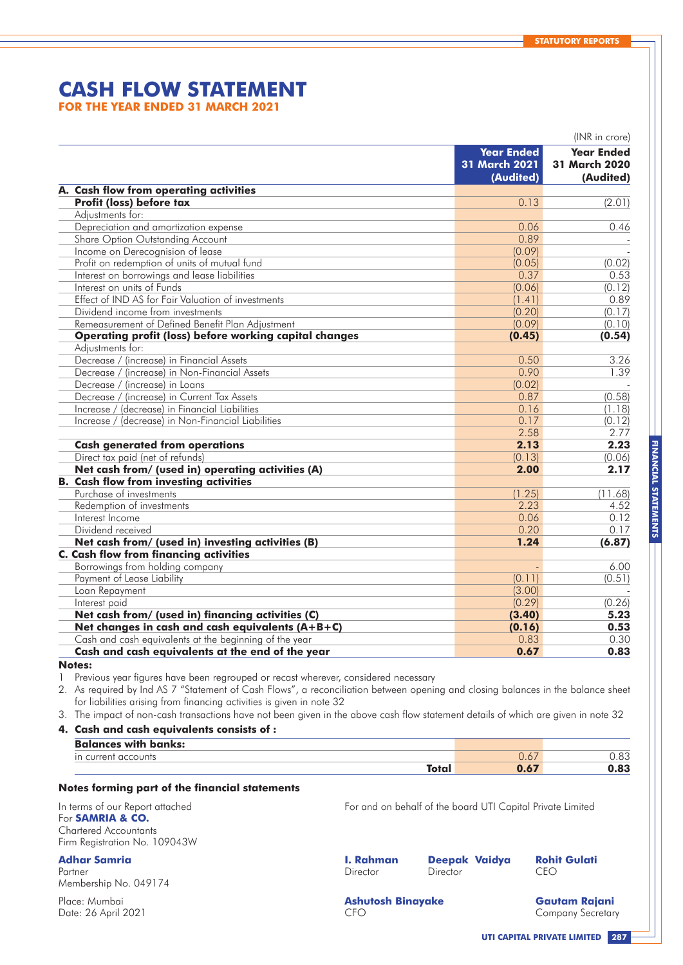## **CASH FLOW STATEMENT**

**FOR THE YEAR ENDED 31 MARCH 2021**

|                                                               |                      | (INR in crore)    |
|---------------------------------------------------------------|----------------------|-------------------|
|                                                               | <b>Year Ended</b>    | <b>Year Ended</b> |
|                                                               | <b>31 March 2021</b> | 31 March 2020     |
|                                                               | (Audited)            | (Audited)         |
| A. Cash flow from operating activities                        |                      |                   |
| Profit (loss) before tax                                      | 0.13                 | (2.01)            |
| Adjustments for:                                              |                      |                   |
| Depreciation and amortization expense                         | 0.06                 | 0.46              |
| Share Option Outstanding Account                              | 0.89                 |                   |
| Income on Derecognision of lease                              | (0.09)               |                   |
| Profit on redemption of units of mutual fund                  | (0.05)               | (0.02)            |
| Interest on borrowings and lease liabilities                  | 0.37                 | 0.53              |
| Interest on units of Funds                                    | (0.06)               | (0.12)            |
| Effect of IND AS for Fair Valuation of investments            | (1.41)               | 0.89              |
| Dividend income from investments                              | (0.20)               | (0.17)            |
| Remeasurement of Defined Benefit Plan Adjustment              | (0.09)               | (0.10)            |
| <b>Operating profit (loss) before working capital changes</b> | (0.45)               | (0.54)            |
| Adjustments for:                                              |                      |                   |
| Decrease / (increase) in Financial Assets                     | 0.50                 | 3.26              |
| Decrease / (increase) in Non-Financial Assets                 | 0.90                 | 1.39              |
| Decrease / (increase) in Loans                                | (0.02)               |                   |
| Decrease / (increase) in Current Tax Assets                   | 0.87                 | (0.58)            |
| Increase / (decrease) in Financial Liabilities                | 0.16                 | (1.18)            |
| Increase / (decrease) in Non-Financial Liabilities            | 0.17                 | (0.12)            |
|                                                               | 2.58                 | 2.77              |
| <b>Cash generated from operations</b>                         | 2.13                 | 2.23              |
| Direct tax paid (net of refunds)                              | (0.13)               | (0.06)            |
| Net cash from/ (used in) operating activities (A)             | 2.00                 | 2.17              |
| <b>B.</b> Cash flow from investing activities                 |                      |                   |
| Purchase of investments                                       | (1.25)               | (11.68)           |
| Redemption of investments                                     | 2.23                 | 4.52              |
| Interest Income                                               | 0.06                 | 0.12              |
| Dividend received                                             | 0.20                 | 0.17              |
| Net cash from/ (used in) investing activities (B)             | 1.24                 | (6.87)            |
| <b>C. Cash flow from financing activities</b>                 |                      |                   |
| Borrowings from holding company                               |                      | 6.00              |
| Payment of Lease Liability                                    | (0.11)               | (0.51)            |
| Loan Repayment                                                | (3.00)               |                   |
| Interest paid                                                 | (0.29)               | (0.26)            |
| Net cash from/ (used in) financing activities (C)             | (3.40)               | 5.23              |
| Net changes in cash and cash equivalents (A+B+C)              | (0.16)               | 0.53              |
| Cash and cash equivalents at the beginning of the year        | 0.83                 | 0.30              |
| Cash and cash equivalents at the end of the year              | 0.67                 | 0.83              |

**Notes:**

1 Previous year figures have been regrouped or recast wherever, considered necessary

2. As required by Ind AS 7 "Statement of Cash Flows", a reconciliation between opening and closing balances in the balance sheet for liabilities arising from financing activities is given in note 32

3. The impact of non-cash transactions have not been given in the above cash flow statement details of which are given in note 32

#### **4. Cash and cash equivalents consists of :**

| <b>Balances with banks:</b> |              |
|-----------------------------|--------------|
| current<br>accounts<br>ın   | . U J        |
|                             | $\mathbf{A}$ |

#### **Notes forming part of the financial statements**

For **SAMRIA & CO.** Chartered Accountants Firm Registration No. 109043W

#### In terms of our Report attached For and on behalf of the board UTI Capital Private Limited

Partner CEO and the CEO control of the Director Director Director CEO control of the CEO control of the Director CEO control of the Director CEO control of the Director CEO control of the Director CEO control of the Direct Membership No. 049174

Date: 26 April 2021

**Adhar Samria I. Rahman Deepak Vaidya Rohit Gulati**

Place: Mumbai **Ashutosh Binayake Gautam Rajani**

**UTI CAPITAL PRIVATE LIMITED 287**

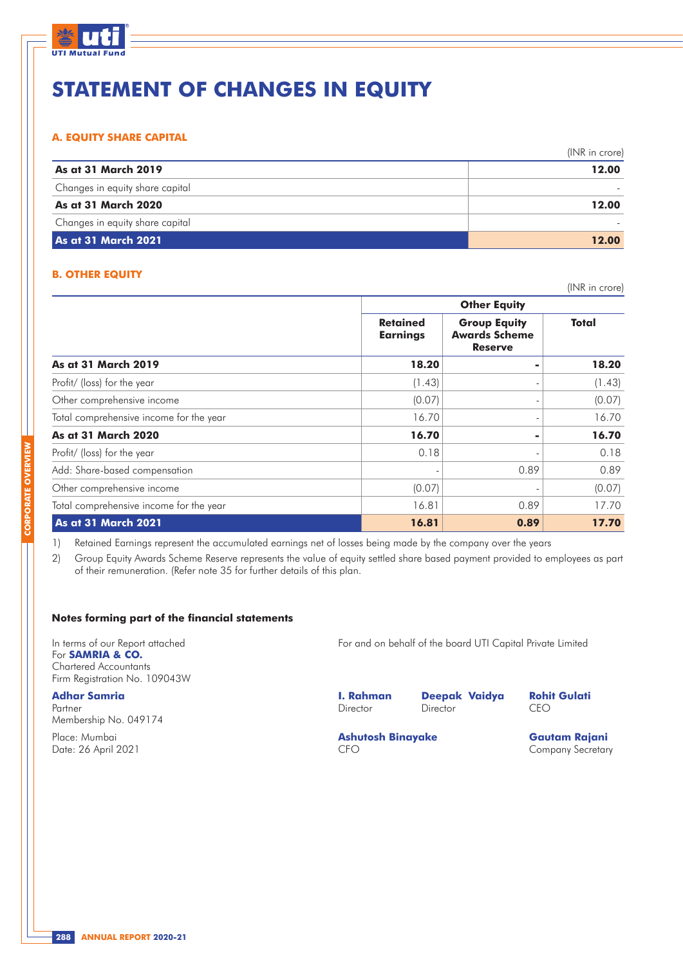

# **STATEMENT OF CHANGES IN EQUITY**

## **A. EQUITY SHARE CAPITAL**

|                                 | (INR in crore) |
|---------------------------------|----------------|
| As at 31 March 2019             | 12.00          |
| Changes in equity share capital |                |
| As at 31 March 2020             | 12.00          |
| Changes in equity share capital |                |
| As at 31 March 2021             | 12.00          |

## **B. OTHER EQUITY**

(INR in crore)

|                                         | <b>Other Equity</b>                |                                                               |        |  |
|-----------------------------------------|------------------------------------|---------------------------------------------------------------|--------|--|
|                                         | <b>Retained</b><br><b>Earnings</b> | <b>Group Equity</b><br><b>Awards Scheme</b><br><b>Reserve</b> | Total  |  |
| As at 31 March 2019                     | 18.20                              |                                                               | 18.20  |  |
| Profit/ (loss) for the year             | (1.43)                             |                                                               | (1.43) |  |
| Other comprehensive income              | (0.07)                             | $\overline{\phantom{a}}$                                      | (0.07) |  |
| Total comprehensive income for the year | 16.70                              |                                                               | 16.70  |  |
| As at 31 March 2020                     | 16.70                              | ۰                                                             | 16.70  |  |
| Profit/ (loss) for the year             | 0.18                               |                                                               | 0.18   |  |
| Add: Share-based compensation           | $\overline{\phantom{a}}$           | 0.89                                                          | 0.89   |  |
| Other comprehensive income              | (0.07)                             |                                                               | (0.07) |  |
| Total comprehensive income for the year | 16.81                              | 0.89                                                          | 17.70  |  |
| As at 31 March 2021                     | 16.81                              | 0.89                                                          | 17.70  |  |

1) Retained Earnings represent the accumulated earnings net of losses being made by the company over the years

2) Group Equity Awards Scheme Reserve represents the value of equity settled share based payment provided to employees as part of their remuneration. (Refer note 35 for further details of this plan.

## **Notes forming part of the financial statements**

For **SAMRIA & CO.** Chartered Accountants Firm Registration No. 109043W

Partner CEO and the CEO control of the Director Director Director CEO control of the CEO control of the Director CEO control of the Director CEO control of the Director CEO control of the Director CEO control of the Direct Membership No. 049174

In terms of our Report attached For and on behalf of the board UTI Capital Private Limited

**Adhar Samria I. Rahman Deepak Vaidya Rohit Gulati**

Place: Mumbai **Ashutosh Binayake Gautam Rajani** Date: 26 April 2021 **CFO** CFO Company Secretary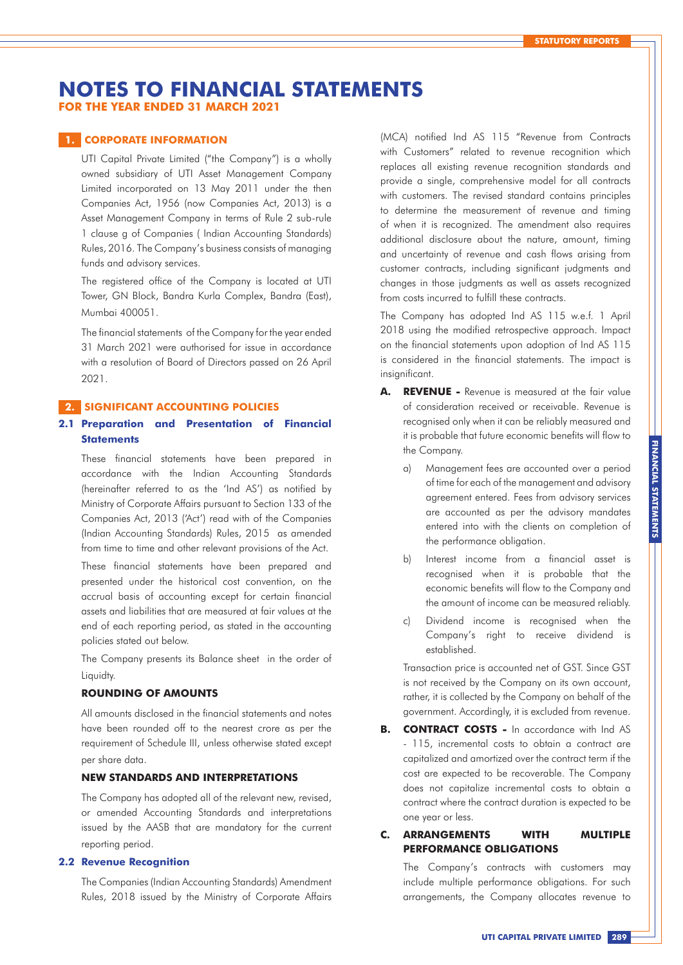# **NOTES TO FINANCIAL STATEMENTS**

**FOR THE YEAR ENDED 31 MARCH 2021**

#### **1. CORPORATE INFORMATION**

UTI Capital Private Limited ("the Company") is a wholly owned subsidiary of UTI Asset Management Company Limited incorporated on 13 May 2011 under the then Companies Act, 1956 (now Companies Act, 2013) is a Asset Management Company in terms of Rule 2 sub-rule 1 clause g of Companies ( Indian Accounting Standards) Rules, 2016. The Company's business consists of managing funds and advisory services.

The registered office of the Company is located at UTI Tower, GN Block, Bandra Kurla Complex, Bandra (East), Mumbai 400051.

The financial statements of the Company for the year ended 31 March 2021 were authorised for issue in accordance with a resolution of Board of Directors passed on 26 April 2021.

#### **2. SIGNIFICANT ACCOUNTING POLICIES**

#### **2.1 Preparation and Presentation of Financial Statements**

These financial statements have been prepared in accordance with the Indian Accounting Standards (hereinafter referred to as the 'Ind AS') as notified by Ministry of Corporate Affairs pursuant to Section 133 of the Companies Act, 2013 ('Act') read with of the Companies (Indian Accounting Standards) Rules, 2015 as amended from time to time and other relevant provisions of the Act.

These financial statements have been prepared and presented under the historical cost convention, on the accrual basis of accounting except for certain financial assets and liabilities that are measured at fair values at the end of each reporting period, as stated in the accounting policies stated out below.

The Company presents its Balance sheet in the order of Liquidty.

#### **ROUNDING OF AMOUNTS**

All amounts disclosed in the financial statements and notes have been rounded off to the nearest crore as per the requirement of Schedule III, unless otherwise stated except per share data.

#### **NEW STANDARDS AND INTERPRETATIONS**

The Company has adopted all of the relevant new, revised, or amended Accounting Standards and interpretations issued by the AASB that are mandatory for the current reporting period.

#### **2.2 Revenue Recognition**

The Companies (Indian Accounting Standards) Amendment Rules, 2018 issued by the Ministry of Corporate Affairs (MCA) notified Ind AS 115 "Revenue from Contracts with Customers" related to revenue recognition which replaces all existing revenue recognition standards and provide a single, comprehensive model for all contracts with customers. The revised standard contains principles to determine the measurement of revenue and timing of when it is recognized. The amendment also requires additional disclosure about the nature, amount, timing and uncertainty of revenue and cash flows arising from customer contracts, including significant judgments and changes in those judgments as well as assets recognized from costs incurred to fulfill these contracts.

The Company has adopted Ind AS 115 w.e.f. 1 April 2018 using the modified retrospective approach. Impact on the financial statements upon adoption of Ind AS 115 is considered in the financial statements. The impact is insignificant.

- **A. REVENUE -** Revenue is measured at the fair value of consideration received or receivable. Revenue is recognised only when it can be reliably measured and it is probable that future economic benefits will flow to the Company.
	- a) Management fees are accounted over a period of time for each of the management and advisory agreement entered. Fees from advisory services are accounted as per the advisory mandates entered into with the clients on completion of the performance obligation.
	- b) Interest income from a financial asset is recognised when it is probable that the economic benefits will flow to the Company and the amount of income can be measured reliably.
	- c) Dividend income is recognised when the Company's right to receive dividend is established.

Transaction price is accounted net of GST. Since GST is not received by the Company on its own account, rather, it is collected by the Company on behalf of the government. Accordingly, it is excluded from revenue.

- **B. CONTRACT COSTS -** In accordance with Ind AS - 115, incremental costs to obtain a contract are capitalized and amortized over the contract term if the cost are expected to be recoverable. The Company does not capitalize incremental costs to obtain a contract where the contract duration is expected to be one year or less.
- **C. ARRANGEMENTS WITH MULTIPLE PERFORMANCE OBLIGATIONS**

The Company's contracts with customers may include multiple performance obligations. For such arrangements, the Company allocates revenue to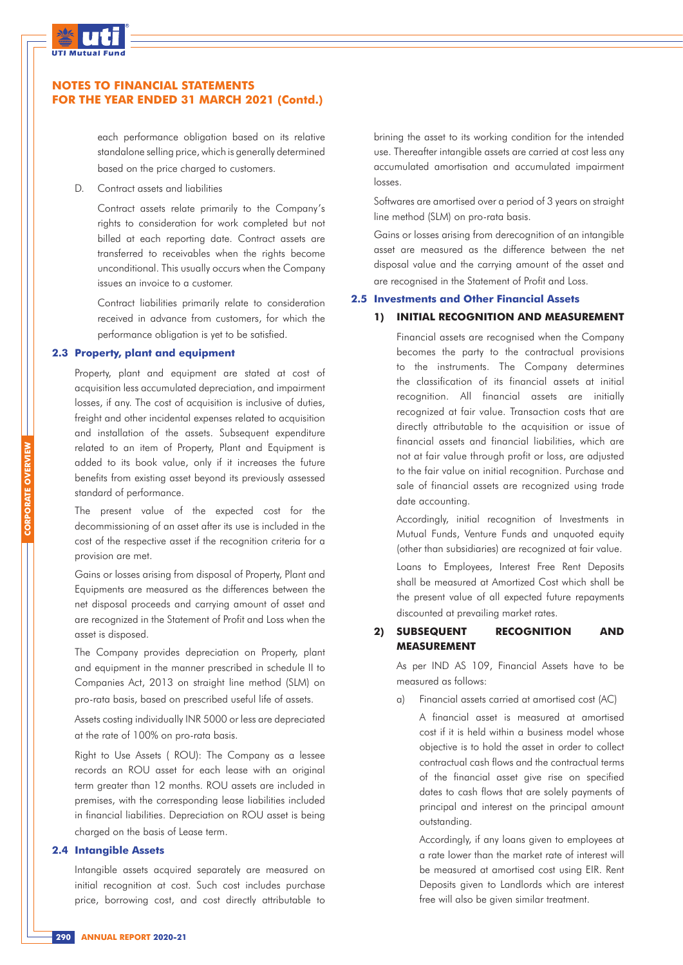

each performance obligation based on its relative standalone selling price, which is generally determined based on the price charged to customers.

D. Contract assets and liabilities

Contract assets relate primarily to the Company's rights to consideration for work completed but not billed at each reporting date. Contract assets are transferred to receivables when the rights become unconditional. This usually occurs when the Company issues an invoice to a customer.

Contract liabilities primarily relate to consideration received in advance from customers, for which the performance obligation is yet to be satisfied.

#### **2.3 Property, plant and equipment**

Property, plant and equipment are stated at cost of acquisition less accumulated depreciation, and impairment losses, if any. The cost of acquisition is inclusive of duties, freight and other incidental expenses related to acquisition and installation of the assets. Subsequent expenditure related to an item of Property, Plant and Equipment is added to its book value, only if it increases the future benefits from existing asset beyond its previously assessed standard of performance.

The present value of the expected cost for the decommissioning of an asset after its use is included in the cost of the respective asset if the recognition criteria for a provision are met.

Gains or losses arising from disposal of Property, Plant and Equipments are measured as the differences between the net disposal proceeds and carrying amount of asset and are recognized in the Statement of Profit and Loss when the asset is disposed.

The Company provides depreciation on Property, plant and equipment in the manner prescribed in schedule II to Companies Act, 2013 on straight line method (SLM) on pro-rata basis, based on prescribed useful life of assets.

Assets costing individually INR 5000 or less are depreciated at the rate of 100% on pro-rata basis.

Right to Use Assets ( ROU): The Company as a lessee records an ROU asset for each lease with an original term greater than 12 months. ROU assets are included in premises, with the corresponding lease liabilities included in financial liabilities. Depreciation on ROU asset is being charged on the basis of Lease term.

#### **2.4 Intangible Assets**

Intangible assets acquired separately are measured on initial recognition at cost. Such cost includes purchase price, borrowing cost, and cost directly attributable to

brining the asset to its working condition for the intended use. Thereafter intangible assets are carried at cost less any accumulated amortisation and accumulated impairment losses.

Softwares are amortised over a period of 3 years on straight line method (SLM) on pro-rata basis.

Gains or losses arising from derecognition of an intangible asset are measured as the difference between the net disposal value and the carrying amount of the asset and are recognised in the Statement of Profit and Loss.

#### **2.5 Investments and Other Financial Assets**

#### **1) INITIAL RECOGNITION AND MEASUREMENT**

Financial assets are recognised when the Company becomes the party to the contractual provisions to the instruments. The Company determines the classification of its financial assets at initial recognition. All financial assets are initially recognized at fair value. Transaction costs that are directly attributable to the acquisition or issue of financial assets and financial liabilities, which are not at fair value through profit or loss, are adjusted to the fair value on initial recognition. Purchase and sale of financial assets are recognized using trade date accounting.

Accordingly, initial recognition of Investments in Mutual Funds, Venture Funds and unquoted equity (other than subsidiaries) are recognized at fair value.

Loans to Employees, Interest Free Rent Deposits shall be measured at Amortized Cost which shall be the present value of all expected future repayments discounted at prevailing market rates.

## **2) SUBSEQUENT RECOGNITION AND MEASUREMENT**

As per IND AS 109, Financial Assets have to be measured as follows:

- a) Financial assets carried at amortised cost (AC)
	- A financial asset is measured at amortised cost if it is held within a business model whose objective is to hold the asset in order to collect contractual cash flows and the contractual terms of the financial asset give rise on specified dates to cash flows that are solely payments of principal and interest on the principal amount outstanding.

Accordingly, if any loans given to employees at a rate lower than the market rate of interest will be measured at amortised cost using EIR. Rent Deposits given to Landlords which are interest free will also be given similar treatment.

**CORPORATE OVERVIEW**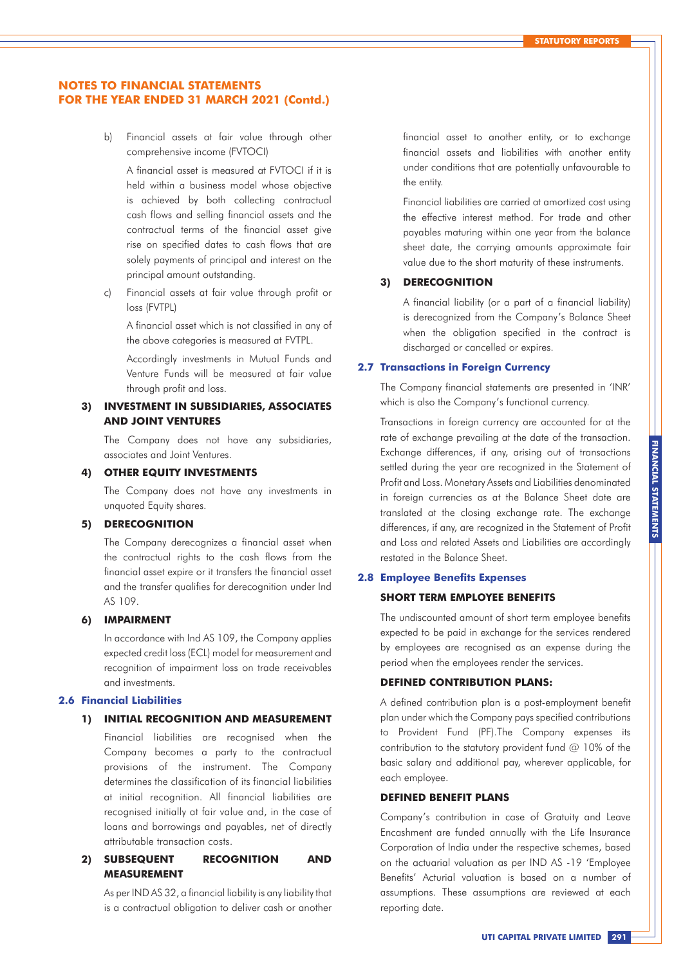b) Financial assets at fair value through other comprehensive income (FVTOCI)

A financial asset is measured at FVTOCI if it is held within a business model whose objective is achieved by both collecting contractual cash flows and selling financial assets and the contractual terms of the financial asset give rise on specified dates to cash flows that are solely payments of principal and interest on the principal amount outstanding.

c) Financial assets at fair value through profit or loss (FVTPL)

A financial asset which is not classified in any of the above categories is measured at FVTPL.

Accordingly investments in Mutual Funds and Venture Funds will be measured at fair value through profit and loss.

## **3) INVESTMENT IN SUBSIDIARIES, ASSOCIATES AND JOINT VENTURES**

The Company does not have any subsidiaries, associates and Joint Ventures.

#### **4) OTHER EQUITY INVESTMENTS**

The Company does not have any investments in unquoted Equity shares.

## **5) DERECOGNITION**

The Company derecognizes a financial asset when the contractual rights to the cash flows from the financial asset expire or it transfers the financial asset and the transfer qualifies for derecognition under Ind AS 109.

#### **6) IMPAIRMENT**

In accordance with Ind AS 109, the Company applies expected credit loss (ECL) model for measurement and recognition of impairment loss on trade receivables and investments.

#### **2.6 Financial Liabilities**

#### **1) INITIAL RECOGNITION AND MEASUREMENT**

Financial liabilities are recognised when the Company becomes a party to the contractual provisions of the instrument. The Company determines the classification of its financial liabilities at initial recognition. All financial liabilities are recognised initially at fair value and, in the case of loans and borrowings and payables, net of directly attributable transaction costs.

## **2) SUBSEQUENT RECOGNITION AND MEASUREMENT**

As per IND AS 32, a financial liability is any liability that is a contractual obligation to deliver cash or another financial asset to another entity, or to exchange financial assets and liabilities with another entity under conditions that are potentially unfavourable to the entity.

Financial liabilities are carried at amortized cost using the effective interest method. For trade and other payables maturing within one year from the balance sheet date, the carrying amounts approximate fair value due to the short maturity of these instruments.

### **3) DERECOGNITION**

A financial liability (or a part of a financial liability) is derecognized from the Company's Balance Sheet when the obligation specified in the contract is discharged or cancelled or expires.

#### **2.7 Transactions in Foreign Currency**

The Company financial statements are presented in 'INR' which is also the Company's functional currency.

Transactions in foreign currency are accounted for at the rate of exchange prevailing at the date of the transaction. Exchange differences, if any, arising out of transactions settled during the year are recognized in the Statement of Profit and Loss. Monetary Assets and Liabilities denominated in foreign currencies as at the Balance Sheet date are translated at the closing exchange rate. The exchange differences, if any, are recognized in the Statement of Profit and Loss and related Assets and Liabilities are accordingly restated in the Balance Sheet.

#### **2.8 Employee Benefits Expenses**

## **SHORT TERM EMPLOYEE BENEFITS**

The undiscounted amount of short term employee benefits expected to be paid in exchange for the services rendered by employees are recognised as an expense during the period when the employees render the services.

### **DEFINED CONTRIBUTION PLANS:**

A defined contribution plan is a post-employment benefit plan under which the Company pays specified contributions to Provident Fund (PF).The Company expenses its contribution to the statutory provident fund @ 10% of the basic salary and additional pay, wherever applicable, for each employee.

#### **DEFINED BENEFIT PLANS**

Company's contribution in case of Gratuity and Leave Encashment are funded annually with the Life Insurance Corporation of India under the respective schemes, based on the actuarial valuation as per IND AS -19 'Employee Benefits' Acturial valuation is based on a number of assumptions. These assumptions are reviewed at each reporting date.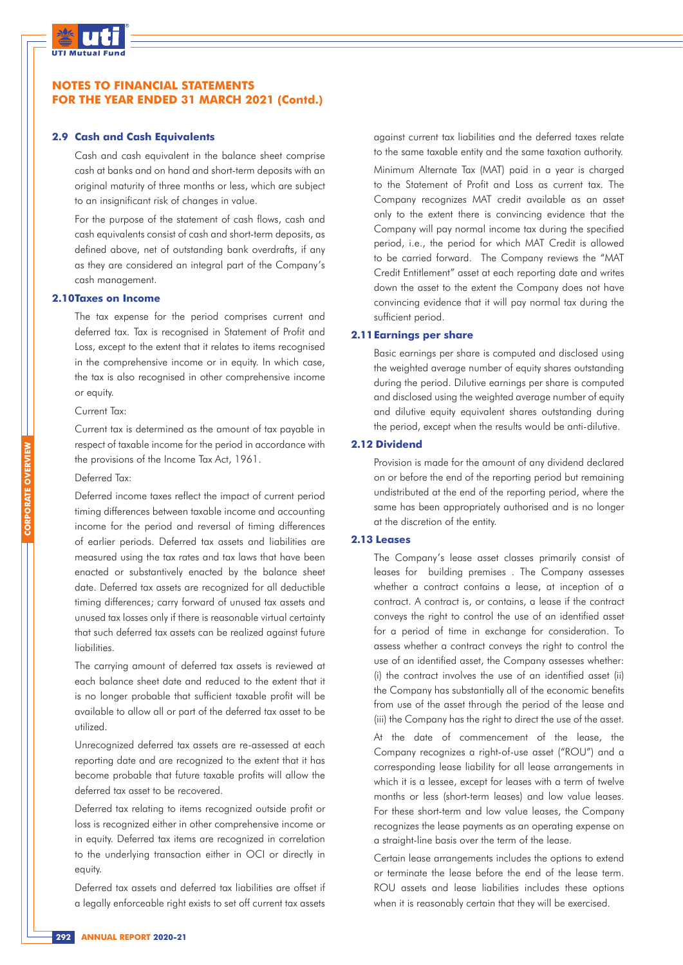

#### **2.9 Cash and Cash Equivalents**

Cash and cash equivalent in the balance sheet comprise cash at banks and on hand and short-term deposits with an original maturity of three months or less, which are subject to an insignificant risk of changes in value.

For the purpose of the statement of cash flows, cash and cash equivalents consist of cash and short-term deposits, as defined above, net of outstanding bank overdrafts, if any as they are considered an integral part of the Company's cash management.

#### **2.10Taxes on Income**

The tax expense for the period comprises current and deferred tax. Tax is recognised in Statement of Profit and Loss, except to the extent that it relates to items recognised in the comprehensive income or in equity. In which case, the tax is also recognised in other comprehensive income or equity.

Current Tax:

Current tax is determined as the amount of tax payable in respect of taxable income for the period in accordance with the provisions of the Income Tax Act, 1961.

#### Deferred Tax:

Deferred income taxes reflect the impact of current period timing differences between taxable income and accounting income for the period and reversal of timing differences of earlier periods. Deferred tax assets and liabilities are measured using the tax rates and tax laws that have been enacted or substantively enacted by the balance sheet date. Deferred tax assets are recognized for all deductible timing differences; carry forward of unused tax assets and unused tax losses only if there is reasonable virtual certainty that such deferred tax assets can be realized against future liabilities.

The carrying amount of deferred tax assets is reviewed at each balance sheet date and reduced to the extent that it is no longer probable that sufficient taxable profit will be available to allow all or part of the deferred tax asset to be utilized.

Unrecognized deferred tax assets are re-assessed at each reporting date and are recognized to the extent that it has become probable that future taxable profits will allow the deferred tax asset to be recovered.

Deferred tax relating to items recognized outside profit or loss is recognized either in other comprehensive income or in equity. Deferred tax items are recognized in correlation to the underlying transaction either in OCI or directly in equity.

Deferred tax assets and deferred tax liabilities are offset if a legally enforceable right exists to set off current tax assets

against current tax liabilities and the deferred taxes relate to the same taxable entity and the same taxation authority.

Minimum Alternate Tax (MAT) paid in a year is charged to the Statement of Profit and Loss as current tax. The Company recognizes MAT credit available as an asset only to the extent there is convincing evidence that the Company will pay normal income tax during the specified period, i.e., the period for which MAT Credit is allowed to be carried forward. The Company reviews the "MAT Credit Entitlement" asset at each reporting date and writes down the asset to the extent the Company does not have convincing evidence that it will pay normal tax during the sufficient period.

#### **2.11Earnings per share**

Basic earnings per share is computed and disclosed using the weighted average number of equity shares outstanding during the period. Dilutive earnings per share is computed and disclosed using the weighted average number of equity and dilutive equity equivalent shares outstanding during the period, except when the results would be anti-dilutive.

## **2.12 Dividend**

Provision is made for the amount of any dividend declared on or before the end of the reporting period but remaining undistributed at the end of the reporting period, where the same has been appropriately authorised and is no longer at the discretion of the entity.

#### **2.13 Leases**

The Company's lease asset classes primarily consist of leases for building premises . The Company assesses whether a contract contains a lease, at inception of a contract. A contract is, or contains, a lease if the contract conveys the right to control the use of an identified asset for a period of time in exchange for consideration. To assess whether a contract conveys the right to control the use of an identified asset, the Company assesses whether: (i) the contract involves the use of an identified asset (ii) the Company has substantially all of the economic benefits from use of the asset through the period of the lease and (iii) the Company has the right to direct the use of the asset.

At the date of commencement of the lease, the Company recognizes a right-of-use asset ("ROU") and a corresponding lease liability for all lease arrangements in which it is a lessee, except for leases with a term of twelve months or less (short-term leases) and low value leases. For these short-term and low value leases, the Company recognizes the lease payments as an operating expense on a straight-line basis over the term of the lease.

Certain lease arrangements includes the options to extend or terminate the lease before the end of the lease term. ROU assets and lease liabilities includes these options when it is reasonably certain that they will be exercised.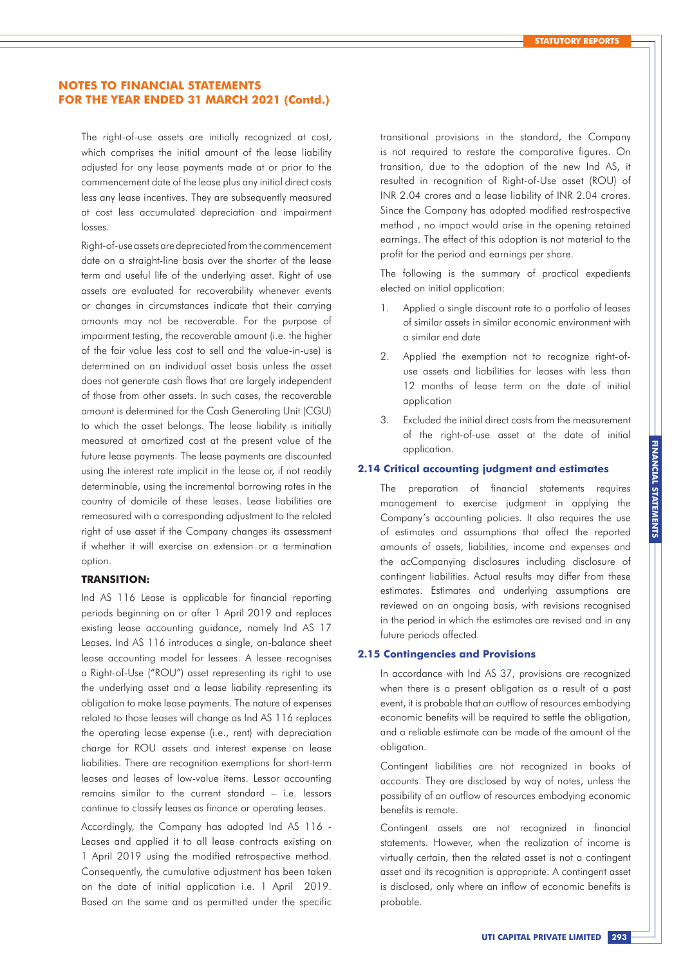The right-of-use assets are initially recognized at cost, which comprises the initial amount of the lease liability adjusted for any lease payments made at or prior to the commencement date of the lease plus any initial direct costs less any lease incentives. They are subsequently measured at cost less accumulated depreciation and impairment losses.

Right-of-use assets are depreciated from the commencement date on a straight-line basis over the shorter of the lease term and useful life of the underlying asset. Right of use assets are evaluated for recoverability whenever events or changes in circumstances indicate that their carrying amounts may not be recoverable. For the purpose of impairment testing, the recoverable amount (i.e. the higher of the fair value less cost to sell and the value-in-use) is determined on an individual asset basis unless the asset does not generate cash flows that are largely independent of those from other assets. In such cases, the recoverable amount is determined for the Cash Generating Unit (CGU) to which the asset belongs. The lease liability is initially measured at amortized cost at the present value of the future lease payments. The lease payments are discounted using the interest rate implicit in the lease or, if not readily determinable, using the incremental borrowing rates in the country of domicile of these leases. Lease liabilities are remeasured with a corresponding adjustment to the related right of use asset if the Company changes its assessment if whether it will exercise an extension or a termination option.

#### **TRANSITION:**

Ind AS 116 Lease is applicable for financial reporting periods beginning on or after 1 April 2019 and replaces existing lease accounting guidance, namely Ind AS 17 Leases. Ind AS 116 introduces a single, on-balance sheet lease accounting model for lessees. A lessee recognises a Right-of-Use ("ROU") asset representing its right to use the underlying asset and a lease liability representing its obligation to make lease payments. The nature of expenses related to those leases will change as Ind AS 116 replaces the operating lease expense (i.e., rent) with depreciation charge for ROU assets and interest expense on lease liabilities. There are recognition exemptions for short-term leases and leases of low-value items. Lessor accounting remains similar to the current standard – i.e. lessors continue to classify leases as finance or operating leases.

Accordingly, the Company has adopted Ind AS 116 - Leases and applied it to all lease contracts existing on 1 April 2019 using the modified retrospective method. Consequently, the cumulative adjustment has been taken on the date of initial application i.e. 1 April 2019. Based on the same and as permitted under the specific

transitional provisions in the standard, the Company is not required to restate the comparative figures. On transition, due to the adoption of the new Ind AS, it resulted in recognition of Right-of-Use asset (ROU) of INR 2.04 crores and a lease liability of INR 2.04 crores. Since the Company has adopted modified restrospective method , no impact would arise in the opening retained earnings. The effect of this adoption is not material to the profit for the period and earnings per share.

The following is the summary of practical expedients elected on initial application:

- 1. Applied a single discount rate to a portfolio of leases of similar assets in similar economic environment with a similar end date
- 2. Applied the exemption not to recognize right-ofuse assets and liabilities for leases with less than 12 months of lease term on the date of initial application
- 3. Excluded the initial direct costs from the measurement of the right-of-use asset at the date of initial application.

#### **2.14 Critical accounting judgment and estimates**

The preparation of financial statements requires management to exercise judgment in applying the Company's accounting policies. It also requires the use of estimates and assumptions that affect the reported amounts of assets, liabilities, income and expenses and the acCompanying disclosures including disclosure of contingent liabilities. Actual results may differ from these estimates. Estimates and underlying assumptions are reviewed on an ongoing basis, with revisions recognised in the period in which the estimates are revised and in any future periods affected.

#### **2.15 Contingencies and Provisions**

In accordance with Ind AS 37, provisions are recognized when there is a present obligation as a result of a past event, it is probable that an outflow of resources embodying economic benefits will be required to settle the obligation, and a reliable estimate can be made of the amount of the obligation.

Contingent liabilities are not recognized in books of accounts. They are disclosed by way of notes, unless the possibility of an outflow of resources embodying economic benefits is remote.

Contingent assets are not recognized in financial statements. However, when the realization of income is virtually certain, then the related asset is not a contingent asset and its recognition is appropriate. A contingent asset is disclosed, only where an inflow of economic benefits is probable.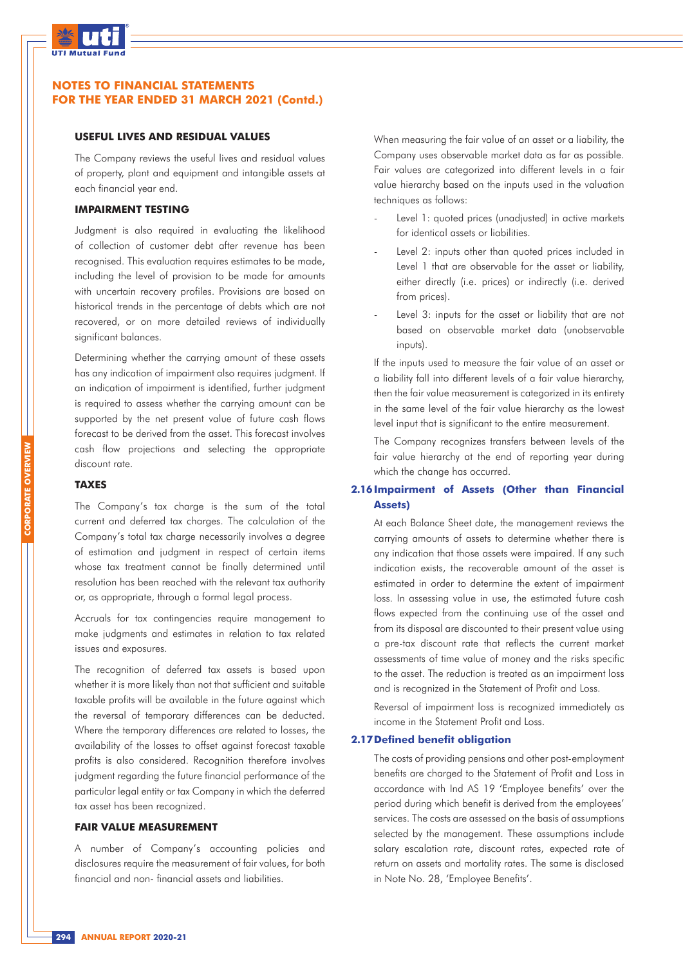

#### **USEFUL LIVES AND RESIDUAL VALUES**

The Company reviews the useful lives and residual values of property, plant and equipment and intangible assets at each financial year end.

#### **IMPAIRMENT TESTING**

Judgment is also required in evaluating the likelihood of collection of customer debt after revenue has been recognised. This evaluation requires estimates to be made, including the level of provision to be made for amounts with uncertain recovery profiles. Provisions are based on historical trends in the percentage of debts which are not recovered, or on more detailed reviews of individually significant balances.

Determining whether the carrying amount of these assets has any indication of impairment also requires judgment. If an indication of impairment is identified, further judgment is required to assess whether the carrying amount can be supported by the net present value of future cash flows forecast to be derived from the asset. This forecast involves cash flow projections and selecting the appropriate discount rate.

#### **TAXES**

The Company's tax charge is the sum of the total current and deferred tax charges. The calculation of the Company's total tax charge necessarily involves a degree of estimation and judgment in respect of certain items whose tax treatment cannot be finally determined until resolution has been reached with the relevant tax authority or, as appropriate, through a formal legal process.

Accruals for tax contingencies require management to make judgments and estimates in relation to tax related issues and exposures.

The recognition of deferred tax assets is based upon whether it is more likely than not that sufficient and suitable taxable profits will be available in the future against which the reversal of temporary differences can be deducted. Where the temporary differences are related to losses, the availability of the losses to offset against forecast taxable profits is also considered. Recognition therefore involves judgment regarding the future financial performance of the particular legal entity or tax Company in which the deferred tax asset has been recognized.

#### **FAIR VALUE MEASUREMENT**

A number of Company's accounting policies and disclosures require the measurement of fair values, for both financial and non- financial assets and liabilities.

When measuring the fair value of an asset or a liability, the Company uses observable market data as far as possible. Fair values are categorized into different levels in a fair value hierarchy based on the inputs used in the valuation techniques as follows:

- Level 1: quoted prices (unadjusted) in active markets for identical assets or liabilities.
- Level 2: inputs other than quoted prices included in Level 1 that are observable for the asset or liability, either directly (i.e. prices) or indirectly (i.e. derived from prices).
- Level 3: inputs for the asset or liability that are not based on observable market data (unobservable inputs).

If the inputs used to measure the fair value of an asset or a liability fall into different levels of a fair value hierarchy, then the fair value measurement is categorized in its entirety in the same level of the fair value hierarchy as the lowest level input that is significant to the entire measurement.

The Company recognizes transfers between levels of the fair value hierarchy at the end of reporting year during which the change has occurred.

## **2.16Impairment of Assets (Other than Financial Assets)**

At each Balance Sheet date, the management reviews the carrying amounts of assets to determine whether there is any indication that those assets were impaired. If any such indication exists, the recoverable amount of the asset is estimated in order to determine the extent of impairment loss. In assessing value in use, the estimated future cash flows expected from the continuing use of the asset and from its disposal are discounted to their present value using a pre-tax discount rate that reflects the current market assessments of time value of money and the risks specific to the asset. The reduction is treated as an impairment loss and is recognized in the Statement of Profit and Loss.

Reversal of impairment loss is recognized immediately as income in the Statement Profit and Loss.

#### **2.17Defined benefit obligation**

The costs of providing pensions and other post-employment benefits are charged to the Statement of Profit and Loss in accordance with Ind AS 19 'Employee benefits' over the period during which benefit is derived from the employees' services. The costs are assessed on the basis of assumptions selected by the management. These assumptions include salary escalation rate, discount rates, expected rate of return on assets and mortality rates. The same is disclosed in Note No. 28, 'Employee Benefits'.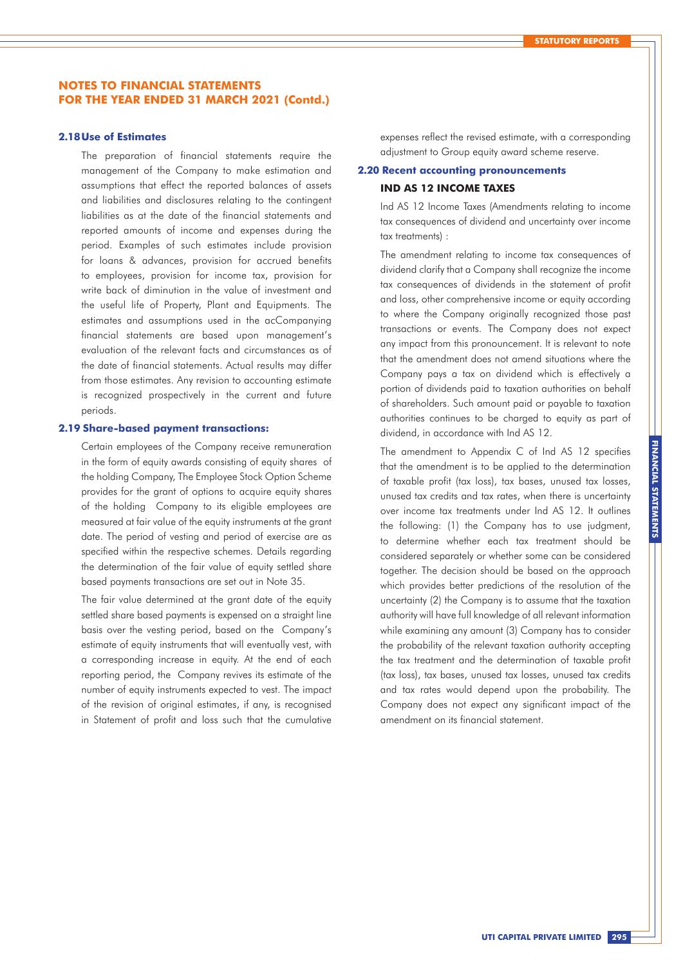#### **2.18Use of Estimates**

The preparation of financial statements require the management of the Company to make estimation and assumptions that effect the reported balances of assets and liabilities and disclosures relating to the contingent liabilities as at the date of the financial statements and reported amounts of income and expenses during the period. Examples of such estimates include provision for loans & advances, provision for accrued benefits to employees, provision for income tax, provision for write back of diminution in the value of investment and the useful life of Property, Plant and Equipments. The estimates and assumptions used in the acCompanying financial statements are based upon management's evaluation of the relevant facts and circumstances as of the date of financial statements. Actual results may differ from those estimates. Any revision to accounting estimate is recognized prospectively in the current and future periods.

#### **2.19 Share-based payment transactions:**

Certain employees of the Company receive remuneration in the form of equity awards consisting of equity shares of the holding Company, The Employee Stock Option Scheme provides for the grant of options to acquire equity shares of the holding Company to its eligible employees are measured at fair value of the equity instruments at the grant date. The period of vesting and period of exercise are as specified within the respective schemes. Details regarding the determination of the fair value of equity settled share based payments transactions are set out in Note 35.

The fair value determined at the grant date of the equity settled share based payments is expensed on a straight line basis over the vesting period, based on the Company's estimate of equity instruments that will eventually vest, with a corresponding increase in equity. At the end of each reporting period, the Company revives its estimate of the number of equity instruments expected to vest. The impact of the revision of original estimates, if any, is recognised in Statement of profit and loss such that the cumulative

expenses reflect the revised estimate, with a corresponding adjustment to Group equity award scheme reserve.

## **2.20 Recent accounting pronouncements**

#### **IND AS 12 INCOME TAXES**

Ind AS 12 Income Taxes (Amendments relating to income tax consequences of dividend and uncertainty over income tax treatments) :

The amendment relating to income tax consequences of dividend clarify that a Company shall recognize the income tax consequences of dividends in the statement of profit and loss, other comprehensive income or equity according to where the Company originally recognized those past transactions or events. The Company does not expect any impact from this pronouncement. It is relevant to note that the amendment does not amend situations where the Company pays a tax on dividend which is effectively a portion of dividends paid to taxation authorities on behalf of shareholders. Such amount paid or payable to taxation authorities continues to be charged to equity as part of dividend, in accordance with Ind AS 12.

The amendment to Appendix C of Ind AS 12 specifies that the amendment is to be applied to the determination of taxable profit (tax loss), tax bases, unused tax losses, unused tax credits and tax rates, when there is uncertainty over income tax treatments under Ind AS 12. It outlines the following: (1) the Company has to use judgment, to determine whether each tax treatment should be considered separately or whether some can be considered together. The decision should be based on the approach which provides better predictions of the resolution of the uncertainty (2) the Company is to assume that the taxation authority will have full knowledge of all relevant information while examining any amount (3) Company has to consider the probability of the relevant taxation authority accepting the tax treatment and the determination of taxable profit (tax loss), tax bases, unused tax losses, unused tax credits and tax rates would depend upon the probability. The Company does not expect any significant impact of the amendment on its financial statement.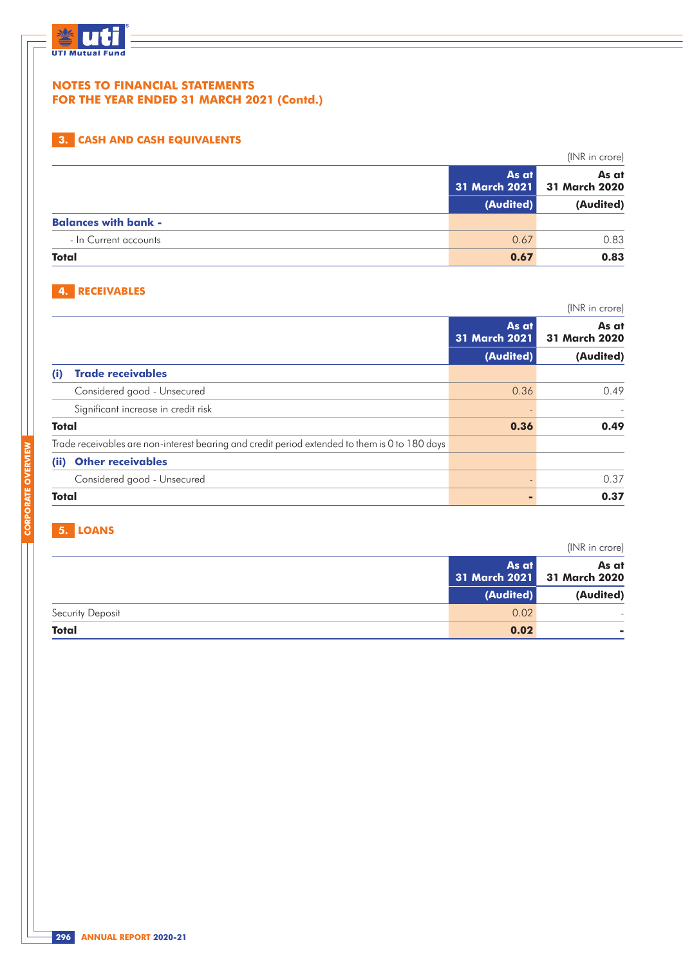

## **3. CASH AND CASH EQUIVALENTS**

|                             | (INR in crore)                      |                        |  |
|-----------------------------|-------------------------------------|------------------------|--|
|                             | As at<br>31 March 2021<br>(Audited) | As at<br>31 March 2020 |  |
|                             |                                     | (Audited)              |  |
| <b>Balances with bank -</b> |                                     |                        |  |
| - In Current accounts       | 0.67                                | 0.83                   |  |
| <b>Total</b>                | 0.67                                | 0.83                   |  |

## **4. RECEIVABLES**

|                                                                                                |                               | (INR in crore)         |
|------------------------------------------------------------------------------------------------|-------------------------------|------------------------|
|                                                                                                | As at<br><b>31 March 2021</b> | As at<br>31 March 2020 |
|                                                                                                | (Audited)                     | (Audited)              |
| <b>Trade receivables</b><br>(i)                                                                |                               |                        |
| Considered good - Unsecured                                                                    | 0.36                          | 0.49                   |
| Significant increase in credit risk                                                            | $\qquad \qquad \blacksquare$  |                        |
| <b>Total</b>                                                                                   | 0.36                          | 0.49                   |
| Trade receivables are non-interest bearing and credit period extended to them is 0 to 180 days |                               |                        |
| <b>Other receivables</b><br>(iii)                                                              |                               |                        |
| Considered good - Unsecured                                                                    | ٠                             | 0.37                   |
| <b>Total</b>                                                                                   |                               | 0.37                   |

## **5. LOANS**

|                  |           | (INR in crore)                       |
|------------------|-----------|--------------------------------------|
|                  | As at     | As at<br>31 March 2021 31 March 2020 |
|                  | (Audited) | (Audited)                            |
| Security Deposit | 0.02      | $\overline{\phantom{0}}$             |
| <b>Total</b>     | 0.02      |                                      |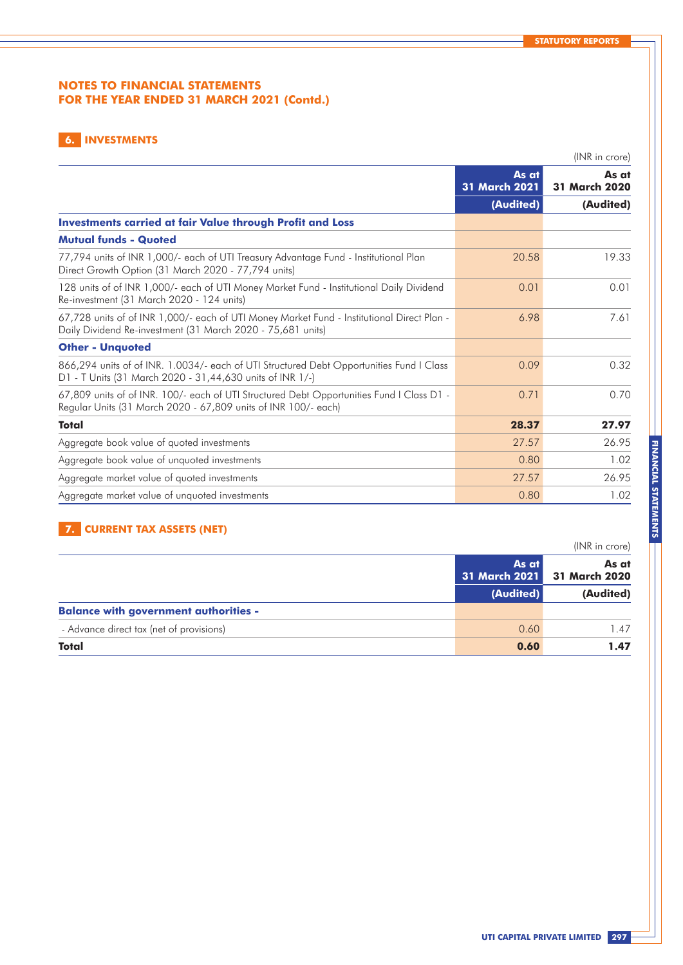## **6. INVESTMENTS**

|                                                                                                                                                             |                               | (INR in crore)                |
|-------------------------------------------------------------------------------------------------------------------------------------------------------------|-------------------------------|-------------------------------|
|                                                                                                                                                             | As at<br><b>31 March 2021</b> | As at<br><b>31 March 2020</b> |
|                                                                                                                                                             | (Audited)                     | (Audited)                     |
| <b>Investments carried at fair Value through Profit and Loss</b>                                                                                            |                               |                               |
| <b>Mutual funds - Quoted</b>                                                                                                                                |                               |                               |
| 77,794 units of INR 1,000/- each of UTI Treasury Advantage Fund - Institutional Plan<br>Direct Growth Option (31 March 2020 - 77,794 units)                 | 20.58                         | 19.33                         |
| 128 units of of INR 1,000/- each of UTI Money Market Fund - Institutional Daily Dividend<br>Re-investment (31 March 2020 - 124 units)                       | 0.01                          | 0.01                          |
| 67,728 units of of INR 1,000/- each of UTI Money Market Fund - Institutional Direct Plan -<br>Daily Dividend Re-investment (31 March 2020 - 75,681 units)   | 6.98                          | 7.61                          |
| <b>Other - Unquoted</b>                                                                                                                                     |                               |                               |
| 866,294 units of of INR. 1.0034/- each of UTI Structured Debt Opportunities Fund I Class<br>D1 - T Units (31 March 2020 - 31,44,630 units of INR 1/-)       | 0.09                          | 0.32                          |
| 67,809 units of of INR. 100/- each of UTI Structured Debt Opportunities Fund I Class D1 -<br>Regular Units (31 March 2020 - 67,809 units of INR 100/- each) | 0.71                          | 0.70                          |
| Total                                                                                                                                                       | 28.37                         | 27.97                         |
| Aggregate book value of quoted investments                                                                                                                  | 27.57                         | 26.95                         |
| Aggregate book value of unquoted investments                                                                                                                | 0.80                          | 1.02                          |
| Aggregate market value of quoted investments                                                                                                                | 27.57                         | 26.95                         |
| Aggregate market value of unquoted investments                                                                                                              | 0.80                          | 1.02                          |

## **7. CURRENT TAX ASSETS (NET)**

|                                              | (INR in crore)                      |                        |
|----------------------------------------------|-------------------------------------|------------------------|
|                                              | As at<br>31 March 2021<br>(Audited) | As at<br>31 March 2020 |
|                                              |                                     | (Audited)              |
| <b>Balance with government authorities -</b> |                                     |                        |
| - Advance direct tax (net of provisions)     | 0.60                                | 147                    |
| <b>Total</b>                                 | 0.60                                | 1.47                   |

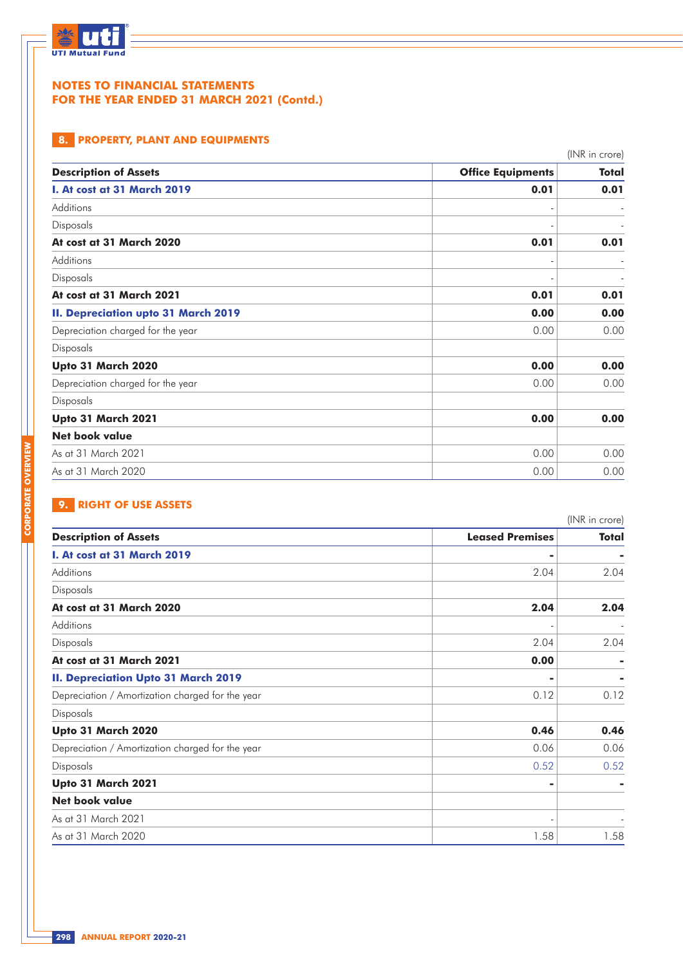

## **8. PROPERTY, PLANT AND EQUIPMENTS**

| <b>Description of Assets</b>               | <b>Office Equipments</b> | (INR in crore)<br>Total |
|--------------------------------------------|--------------------------|-------------------------|
|                                            |                          |                         |
| I. At cost at 31 March 2019                | 0.01                     | 0.01                    |
| <b>Additions</b>                           |                          |                         |
| Disposals                                  |                          |                         |
| At cost at 31 March 2020                   | 0.01                     | 0.01                    |
| Additions                                  |                          |                         |
| Disposals                                  |                          |                         |
| At cost at 31 March 2021                   | 0.01                     | 0.01                    |
| <b>II. Depreciation upto 31 March 2019</b> | 0.00                     | 0.00                    |
| Depreciation charged for the year          | 0.00                     | 0.00                    |
| <b>Disposals</b>                           |                          |                         |
| Upto 31 March 2020                         | 0.00                     | 0.00                    |
| Depreciation charged for the year          | 0.00                     | 0.00                    |
| <b>Disposals</b>                           |                          |                         |
| Upto 31 March 2021                         | 0.00                     | 0.00                    |
| <b>Net book value</b>                      |                          |                         |
| As at 31 March 2021                        | 0.00                     | 0.00                    |
| As at 31 March 2020                        | 0.00                     | 0.00                    |

## **9. RIGHT OF USE ASSETS**

|                                                  |                        | (INR in crore) |
|--------------------------------------------------|------------------------|----------------|
| <b>Description of Assets</b>                     | <b>Leased Premises</b> | Total          |
| I. At cost at 31 March 2019                      | ٠                      |                |
| Additions                                        | 2.04                   | 2.04           |
| Disposals                                        |                        |                |
| At cost at 31 March 2020                         | 2.04                   | 2.04           |
| Additions                                        |                        |                |
| Disposals                                        | 2.04                   | 2.04           |
| At cost at 31 March 2021                         | 0.00                   |                |
| <b>II. Depreciation Upto 31 March 2019</b>       |                        |                |
| Depreciation / Amortization charged for the year | 0.12                   | 0.12           |
| Disposals                                        |                        |                |
| Upto 31 March 2020                               | 0.46                   | 0.46           |
| Depreciation / Amortization charged for the year | 0.06                   | 0.06           |
| Disposals                                        | 0.52                   | 0.52           |
| Upto 31 March 2021                               | ٠                      |                |
| Net book value                                   |                        |                |
| As at 31 March 2021                              |                        |                |
| As at 31 March 2020                              | 1.58                   | 1.58           |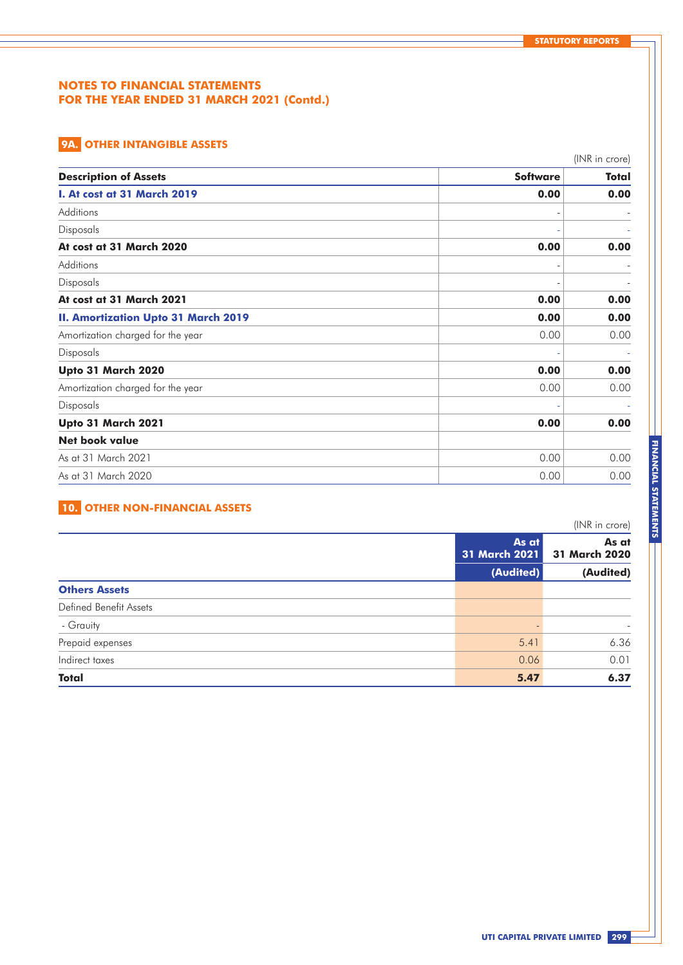## **9A. OTHER INTANGIBLE ASSETS**

|                                            |                 | (INR in crore) |
|--------------------------------------------|-----------------|----------------|
| <b>Description of Assets</b>               | <b>Software</b> | Total          |
| I. At cost at 31 March 2019                | 0.00            | 0.00           |
| <b>Additions</b>                           |                 |                |
| Disposals                                  |                 |                |
| At cost at 31 March 2020                   | 0.00            | 0.00           |
| <b>Additions</b>                           |                 |                |
| Disposals                                  |                 |                |
| At cost at 31 March 2021                   | 0.00            | 0.00           |
| <b>II. Amortization Upto 31 March 2019</b> | 0.00            | 0.00           |
| Amortization charged for the year          | 0.00            | 0.00           |
| Disposals                                  |                 | ٠              |
| Upto 31 March 2020                         | 0.00            | 0.00           |
| Amortization charged for the year          | 0.00            | 0.00           |
| Disposals                                  |                 |                |
| Upto 31 March 2021                         | 0.00            | 0.00           |
| <b>Net book value</b>                      |                 |                |
| As at 31 March 2021                        | 0.00            | 0.00           |
| As at 31 March 2020                        | 0.00            | 0.00           |

## **10. OTHER NON-FINANCIAL ASSETS**

|                                            | (INR in crore)         |
|--------------------------------------------|------------------------|
| As at<br><b>31 March 2021</b><br>(Audited) | As at<br>31 March 2020 |
|                                            | (Audited)              |
|                                            |                        |
|                                            |                        |
|                                            |                        |
| 5.41                                       | 6.36                   |
| 0.06                                       | 0.01                   |
| 5.47                                       | 6.37                   |
|                                            |                        |

**FINANCIAL STATEMENTS**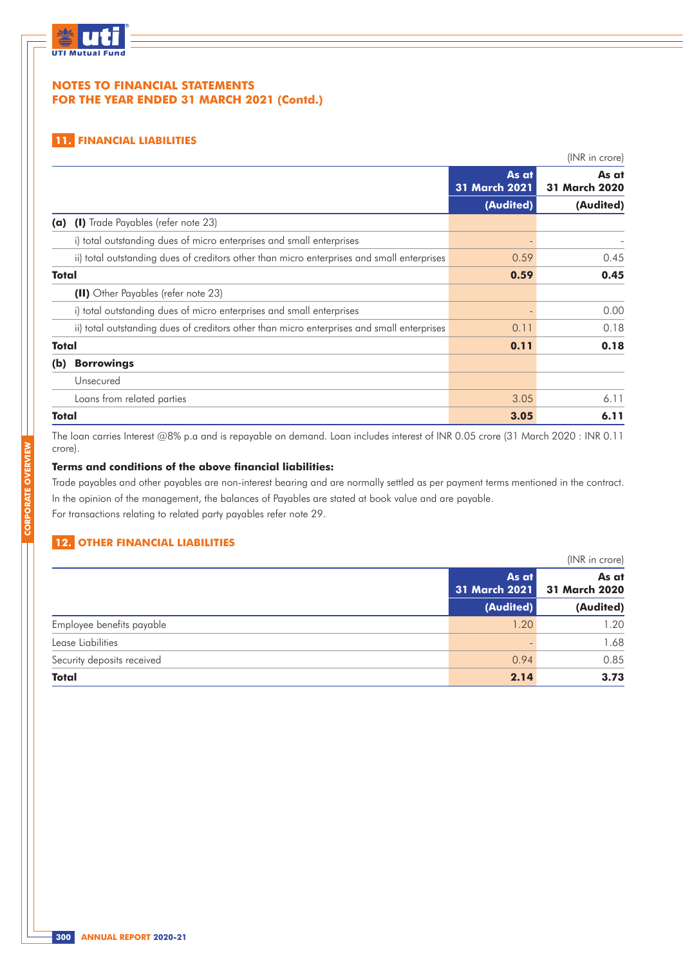

## **11. FINANCIAL LIABILITIES**

|       |                                                                                            |                               | (INR in crore)                |
|-------|--------------------------------------------------------------------------------------------|-------------------------------|-------------------------------|
|       |                                                                                            | As at<br><b>31 March 2021</b> | As at<br><b>31 March 2020</b> |
|       |                                                                                            | (Audited)                     | (Audited)                     |
| (a)   | (I) Trade Payables (refer note 23)                                                         |                               |                               |
|       | i) total outstanding dues of micro enterprises and small enterprises                       |                               |                               |
|       | ii) total outstanding dues of creditors other than micro enterprises and small enterprises | 0.59                          | 0.45                          |
| Total |                                                                                            | 0.59                          | 0.45                          |
|       | (II) Other Payables (refer note 23)                                                        |                               |                               |
|       | i) total outstanding dues of micro enterprises and small enterprises                       |                               | 0.00                          |
|       | ii) total outstanding dues of creditors other than micro enterprises and small enterprises | 0.11                          | 0.18                          |
| Total |                                                                                            | 0.11                          | 0.18                          |
| (b)   | <b>Borrowings</b>                                                                          |                               |                               |
|       | Unsecured                                                                                  |                               |                               |
|       | Loans from related parties                                                                 | 3.05                          | 6.11                          |
| Total |                                                                                            | 3.05                          | 6.11                          |

The loan carries Interest @8% p.a and is repayable on demand. Loan includes interest of INR 0.05 crore (31 March 2020 : INR 0.11 crore).

## **Terms and conditions of the above financial liabilities:**

Trade payables and other payables are non-interest bearing and are normally settled as per payment terms mentioned in the contract. In the opinion of the management, the balances of Payables are stated at book value and are payable. For transactions relating to related party payables refer note 29.

## **12. OTHER FINANCIAL LIABILITIES**

|                            | (INR in crore)         |                                     |
|----------------------------|------------------------|-------------------------------------|
|                            | As at<br>31 March 2021 | As at<br>31 March 2020<br>(Audited) |
|                            | (Audited)              |                                     |
| Employee benefits payable  | 1.20                   | 1.20                                |
| Lease Liabilities          |                        | 1.68                                |
| Security deposits received | 0.94                   | 0.85                                |
| Total                      | 2.14                   | 3.73                                |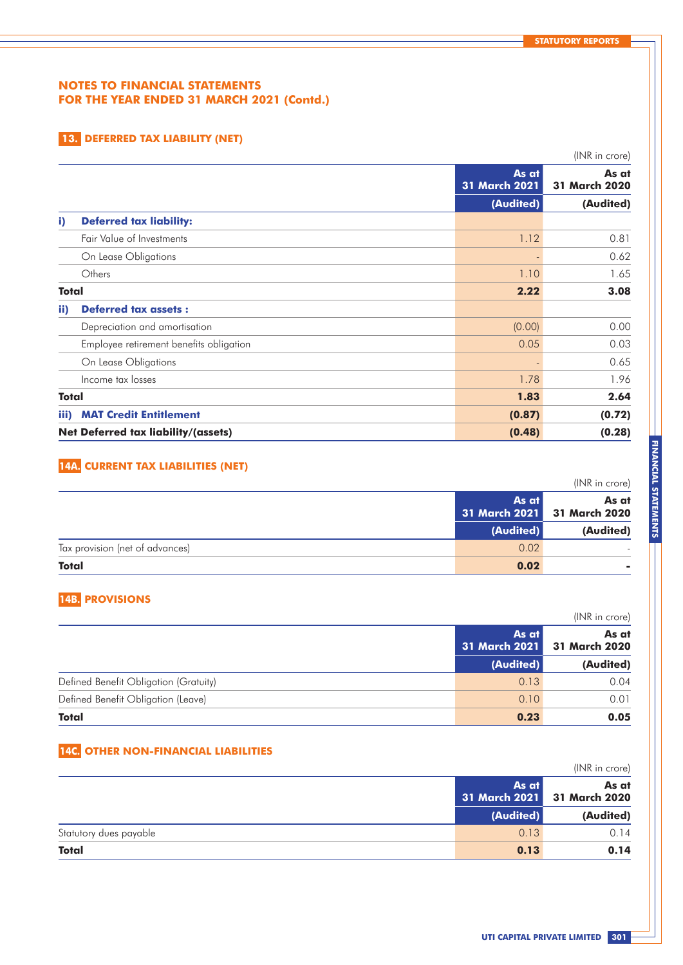## **13. DEFERRED TAX LIABILITY (NET)**

|       |                                         |                               | (INR in crore)         |
|-------|-----------------------------------------|-------------------------------|------------------------|
|       |                                         | As at<br><b>31 March 2021</b> | As at<br>31 March 2020 |
|       |                                         | (Audited)                     | (Audited)              |
| i)    | <b>Deferred tax liability:</b>          |                               |                        |
|       | Fair Value of Investments               | 1.12                          | 0.81                   |
|       | On Lease Obligations                    |                               | 0.62                   |
|       | Others                                  | 1.10                          | 1.65                   |
| Total |                                         | 2.22                          | 3.08                   |
| ii)   | <b>Deferred tax assets:</b>             |                               |                        |
|       | Depreciation and amortisation           | (0.00)                        | 0.00                   |
|       | Employee retirement benefits obligation | 0.05                          | 0.03                   |
|       | On Lease Obligations                    |                               | 0.65                   |
|       | Income tax losses                       | 1.78                          | 1.96                   |
| Total |                                         | 1.83                          | 2.64                   |
| iii)  | <b>MAT Credit Entitlement</b>           | (0.87)                        | (0.72)                 |
|       | Net Deferred tax liability/(assets)     | (0.48)                        | (0.28)                 |

## **14A. CURRENT TAX LIABILITIES (NET)**

|                                 |                                                   | (INR in crore) |
|---------------------------------|---------------------------------------------------|----------------|
|                                 | As at<br>31 March 2021 31 March 2020<br>(Audited) | As at          |
|                                 |                                                   | (Audited)      |
| Tax provision (net of advances) | 0.02                                              |                |
| Total                           | 0.02                                              | ٠              |

## **14B. PROVISIONS**

|                                       | (INR in crore)                |                                            |
|---------------------------------------|-------------------------------|--------------------------------------------|
|                                       | As at<br><b>31 March 2021</b> | As at<br><b>31 March 2020</b><br>(Audited) |
|                                       | (Audited)                     |                                            |
| Defined Benefit Obligation (Gratuity) | 0.13                          | 0.04                                       |
| Defined Benefit Obligation (Leave)    | 0.10                          | 0.01                                       |
| Total                                 | 0.23                          | 0.05                                       |

## **14C. OTHER NON-FINANCIAL LIABILITIES**

|                        |                    | (INK in crore)                       |
|------------------------|--------------------|--------------------------------------|
|                        | As at<br>(Audited) | As at<br>31 March 2021 31 March 2020 |
|                        |                    | (Audited)                            |
| Statutory dues payable | 0.13               | 0.14                                 |
| Total                  | 0.13               | 0.14                                 |

 $\overline{\phantom{a}}$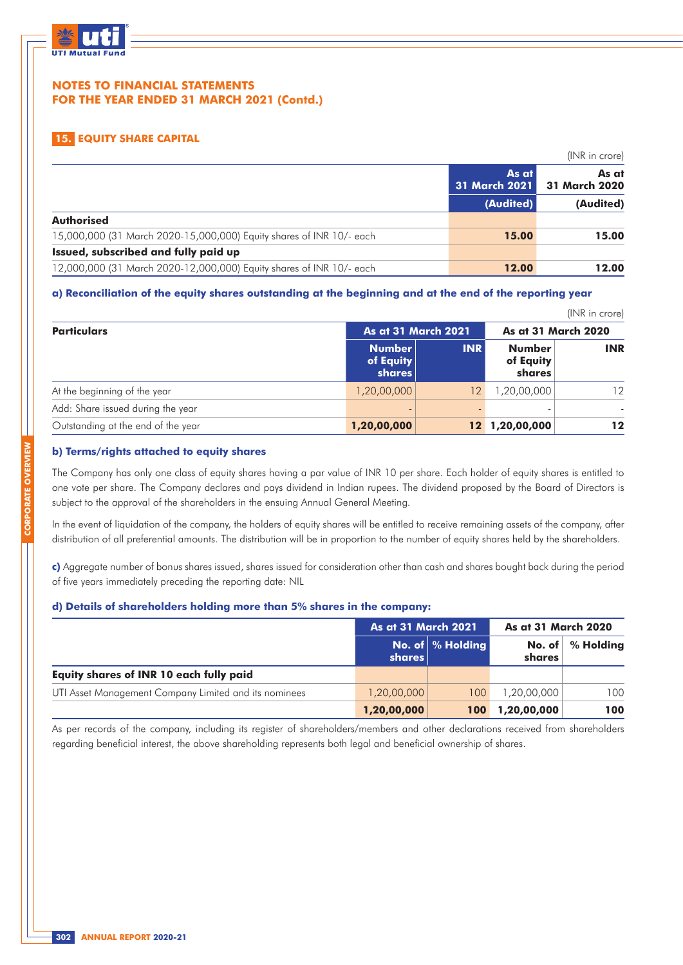

## **15. EQUITY SHARE CAPITAL**

|                                                                      |                        | (INR in crore)                |
|----------------------------------------------------------------------|------------------------|-------------------------------|
|                                                                      | As at<br>31 March 2021 | As at<br><b>31 March 2020</b> |
|                                                                      | (Audited)              | (Audited)                     |
| <b>Authorised</b>                                                    |                        |                               |
| 15,000,000 (31 March 2020-15,000,000) Equity shares of INR 10/- each | 15.00                  | 15.00                         |
| Issued, subscribed and fully paid up                                 |                        |                               |
| 12,000,000 (31 March 2020-12,000,000) Equity shares of INR 10/- each | 12.00                  | 12.00                         |

## **a) Reconciliation of the equity shares outstanding at the beginning and at the end of the reporting year**

|                                    |                               |              |                                      | (INR in crore) |
|------------------------------------|-------------------------------|--------------|--------------------------------------|----------------|
| <b>Particulars</b>                 | As at 31 March 2021           |              | As at 31 March 2020                  |                |
|                                    | Number<br>of Equity<br>shares | <b>INR</b>   | <b>Number</b><br>of Equity<br>shares | <b>INR</b>     |
| At the beginning of the year       | 1,20,00,000                   | $12^{\circ}$ | 1,20,00,000                          | 12             |
| Add: Share issued during the year  |                               |              |                                      |                |
| Outstanding at the end of the year | 1,20,00,000                   |              | 12 1,20,00,000                       | 12             |

## **b) Terms/rights attached to equity shares**

The Company has only one class of equity shares having a par value of INR 10 per share. Each holder of equity shares is entitled to one vote per share. The Company declares and pays dividend in Indian rupees. The dividend proposed by the Board of Directors is subject to the approval of the shareholders in the ensuing Annual General Meeting.

In the event of liquidation of the company, the holders of equity shares will be entitled to receive remaining assets of the company, after distribution of all preferential amounts. The distribution will be in proportion to the number of equity shares held by the shareholders.

**c)** Aggregate number of bonus shares issued, shares issued for consideration other than cash and shares bought back during the period of five years immediately preceding the reporting date: NIL

## **d) Details of shareholders holding more than 5% shares in the company:**

|                                                       |             | As at 31 March 2021 |                  | As at 31 March 2020 |  |
|-------------------------------------------------------|-------------|---------------------|------------------|---------------------|--|
|                                                       | shares      | No. of   % Holding  | No. of<br>shares | % Holding           |  |
| Equity shares of INR 10 each fully paid               |             |                     |                  |                     |  |
| UTI Asset Management Company Limited and its nominees | 1,20,00,000 | 100                 | 1,20,00,000      | 100                 |  |
|                                                       | 1,20,00,000 | 100                 | 1,20,00,000      | 100                 |  |

As per records of the company, including its register of shareholders/members and other declarations received from shareholders regarding beneficial interest, the above shareholding represents both legal and beneficial ownership of shares.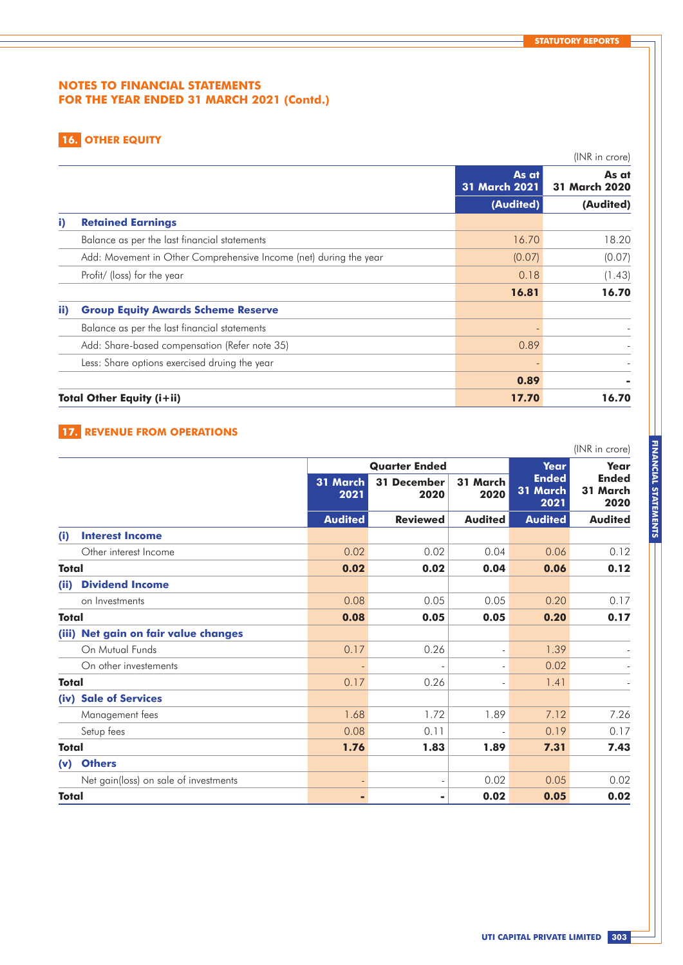## **16. OTHER EQUITY**

|     |                                                                   |                               | (INR in crore)                |
|-----|-------------------------------------------------------------------|-------------------------------|-------------------------------|
|     |                                                                   | As at<br><b>31 March 2021</b> | As at<br><b>31 March 2020</b> |
|     |                                                                   | (Audited)                     | (Audited)                     |
| i)  | <b>Retained Earnings</b>                                          |                               |                               |
|     | Balance as per the last financial statements                      | 16.70                         | 18.20                         |
|     | Add: Movement in Other Comprehensive Income (net) during the year | (0.07)                        | (0.07)                        |
|     | Profit/ (loss) for the year                                       | 0.18                          | (1.43)                        |
|     |                                                                   | 16.81                         | 16.70                         |
| ii) | <b>Group Equity Awards Scheme Reserve</b>                         |                               |                               |
|     | Balance as per the last financial statements                      |                               |                               |
|     | Add: Share-based compensation (Refer note 35)                     | 0.89                          |                               |
|     | Less: Share options exercised druing the year                     |                               |                               |
|     |                                                                   | 0.89                          |                               |
|     | <b>Total Other Equity (i+ii)</b>                                  | 17.70                         | 16.70                         |

## **17. REVENUE FROM OPERATIONS**

|              | (INR in crore)                        |                  |                            |                  |                                  |                                  |
|--------------|---------------------------------------|------------------|----------------------------|------------------|----------------------------------|----------------------------------|
|              |                                       |                  | <b>Quarter Ended</b>       |                  | Year                             | Year                             |
|              |                                       | 31 March<br>2021 | <b>31 December</b><br>2020 | 31 March<br>2020 | <b>Ended</b><br>31 March<br>2021 | <b>Ended</b><br>31 March<br>2020 |
|              |                                       | <b>Audited</b>   | <b>Reviewed</b>            | <b>Audited</b>   | <b>Audited</b>                   | <b>Audited</b>                   |
| (i)          | <b>Interest Income</b>                |                  |                            |                  |                                  |                                  |
|              | Other interest Income                 | 0.02             | 0.02                       | 0.04             | 0.06                             | 0.12                             |
| <b>Total</b> |                                       | 0.02             | 0.02                       | 0.04             | 0.06                             | 0.12                             |
| (ii)         | <b>Dividend Income</b>                |                  |                            |                  |                                  |                                  |
|              | on Investments                        | 0.08             | 0.05                       | 0.05             | 0.20                             | 0.17                             |
| <b>Total</b> |                                       | 0.08             | 0.05                       | 0.05             | 0.20                             | 0.17                             |
|              | (iii) Net gain on fair value changes  |                  |                            |                  |                                  |                                  |
|              | On Mutual Funds                       | 0.17             | 0.26                       | ÷,               | 1.39                             |                                  |
|              | On other investements                 |                  |                            |                  | 0.02                             |                                  |
| Total        |                                       | 0.17             | 0.26                       | ÷,               | 1.41                             |                                  |
|              | (iv) Sale of Services                 |                  |                            |                  |                                  |                                  |
|              | Management fees                       | 1.68             | 1.72                       | 1.89             | 7.12                             | 7.26                             |
|              | Setup fees                            | 0.08             | 0.11                       |                  | 0.19                             | 0.17                             |
| <b>Total</b> |                                       | 1.76             | 1.83                       | 1.89             | 7.31                             | 7.43                             |
| (v)          | <b>Others</b>                         |                  |                            |                  |                                  |                                  |
|              | Net gain(loss) on sale of investments |                  |                            | 0.02             | 0.05                             | 0.02                             |
| Total        |                                       |                  |                            | 0.02             | 0.05                             | 0.02                             |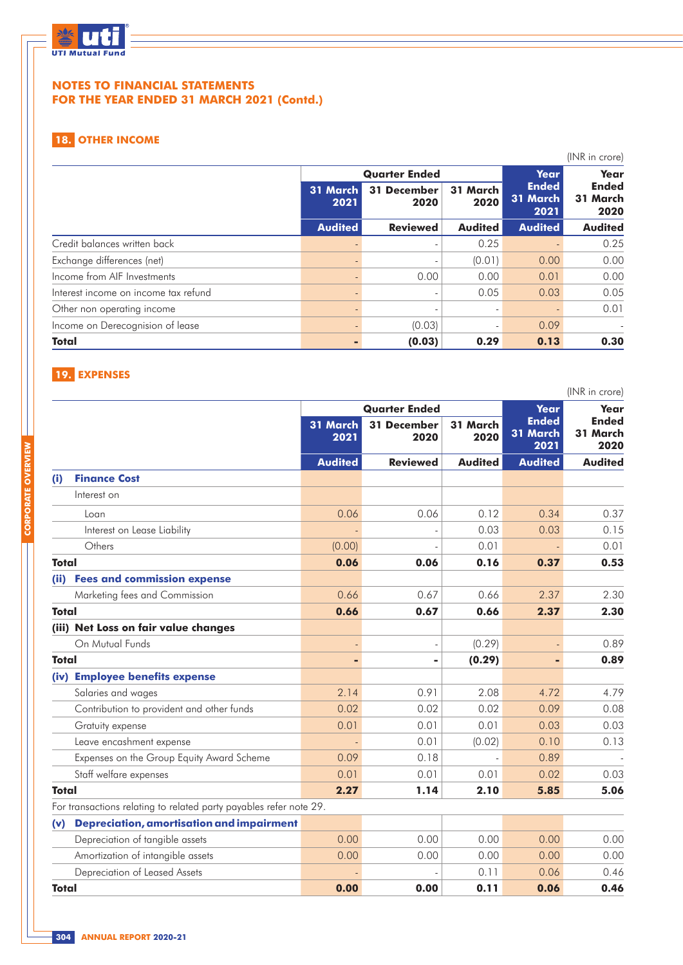

## **18. OTHER INCOME**

| (INR in crore)                       |                  |                            |                          |                                  |                                     |
|--------------------------------------|------------------|----------------------------|--------------------------|----------------------------------|-------------------------------------|
|                                      |                  | <b>Quarter Ended</b>       | <b>Year</b>              | Year                             |                                     |
|                                      | 31 March<br>2021 | <b>31 December</b><br>2020 | 31 March<br>2020         | <b>Ended</b><br>31 March<br>2021 | <b>Ended</b><br>March<br>31<br>2020 |
|                                      | <b>Audited</b>   | <b>Reviewed</b>            | <b>Audited</b>           | <b>Audited</b>                   | <b>Audited</b>                      |
| Credit balances written back         |                  |                            | 0.25                     |                                  | 0.25                                |
| Exchange differences (net)           |                  |                            | (0.01)                   | 0.00                             | 0.00                                |
| Income from AIF Investments          |                  | 0.00                       | 0.00                     | 0.01                             | 0.00                                |
| Interest income on income tax refund |                  | $\overline{\phantom{a}}$   | 0.05                     | 0.03                             | 0.05                                |
| Other non operating income           |                  |                            | $\overline{\phantom{a}}$ |                                  | 0.01                                |
| Income on Derecognision of lease     |                  | (0.03)                     | $\overline{\phantom{a}}$ | 0.09                             |                                     |
| Total                                |                  | (0.03)                     | 0.29                     | 0.13                             | 0.30                                |

## **19. EXPENSES**

|              | (INR in crore)                                                     |                  |                      |                  |                                  |                                  |
|--------------|--------------------------------------------------------------------|------------------|----------------------|------------------|----------------------------------|----------------------------------|
|              |                                                                    |                  | <b>Quarter Ended</b> |                  | Year                             | Year                             |
|              |                                                                    | 31 March<br>2021 | 31 December<br>2020  | 31 March<br>2020 | <b>Ended</b><br>31 March<br>2021 | <b>Ended</b><br>31 March<br>2020 |
|              |                                                                    | <b>Audited</b>   | <b>Reviewed</b>      | <b>Audited</b>   | <b>Audited</b>                   | <b>Audited</b>                   |
| (i)          | <b>Finance Cost</b>                                                |                  |                      |                  |                                  |                                  |
|              | Interest on                                                        |                  |                      |                  |                                  |                                  |
|              | Loan                                                               | 0.06             | 0.06                 | 0.12             | 0.34                             | 0.37                             |
|              | Interest on Lease Liability                                        |                  |                      | 0.03             | 0.03                             | 0.15                             |
|              | Others                                                             | (0.00)           |                      | 0.01             |                                  | 0.01                             |
| Total        |                                                                    | 0.06             | 0.06                 | 0.16             | 0.37                             | 0.53                             |
| (iii)        | <b>Fees and commission expense</b>                                 |                  |                      |                  |                                  |                                  |
|              | Marketing fees and Commission                                      | 0.66             | 0.67                 | 0.66             | 2.37                             | 2.30                             |
| <b>Total</b> |                                                                    | 0.66             | 0.67                 | 0.66             | 2.37                             | 2.30                             |
|              | (iii) Net Loss on fair value changes                               |                  |                      |                  |                                  |                                  |
|              | On Mutual Funds                                                    |                  |                      | (0.29)           |                                  | 0.89                             |
| <b>Total</b> |                                                                    | ٠                |                      | (0.29)           |                                  | 0.89                             |
|              | (iv) Employee benefits expense                                     |                  |                      |                  |                                  |                                  |
|              | Salaries and wages                                                 | 2.14             | 0.91                 | 2.08             | 4.72                             | 4.79                             |
|              | Contribution to provident and other funds                          | 0.02             | 0.02                 | 0.02             | 0.09                             | 0.08                             |
|              | Gratuity expense                                                   | 0.01             | 0.01                 | 0.01             | 0.03                             | 0.03                             |
|              | Leave encashment expense                                           |                  | 0.01                 | (0.02)           | 0.10                             | 0.13                             |
|              | Expenses on the Group Equity Award Scheme                          | 0.09             | 0.18                 |                  | 0.89                             |                                  |
|              | Staff welfare expenses                                             | 0.01             | 0.01                 | 0.01             | 0.02                             | 0.03                             |
| Total        |                                                                    | 2.27             | 1.14                 | 2.10             | 5.85                             | 5.06                             |
|              | For transactions relating to related party payables refer note 29. |                  |                      |                  |                                  |                                  |
| (v)          | <b>Depreciation, amortisation and impairment</b>                   |                  |                      |                  |                                  |                                  |
|              | Depreciation of tangible assets                                    | 0.00             | 0.00                 | 0.00             | 0.00                             | 0.00                             |
|              | Amortization of intangible assets                                  | 0.00             | 0.00                 | 0.00             | 0.00                             | 0.00                             |
|              | Depreciation of Leased Assets                                      |                  |                      | 0.11             | 0.06                             | 0.46                             |
| Total        |                                                                    | 0.00             | 0.00                 | 0.11             | 0.06                             | 0.46                             |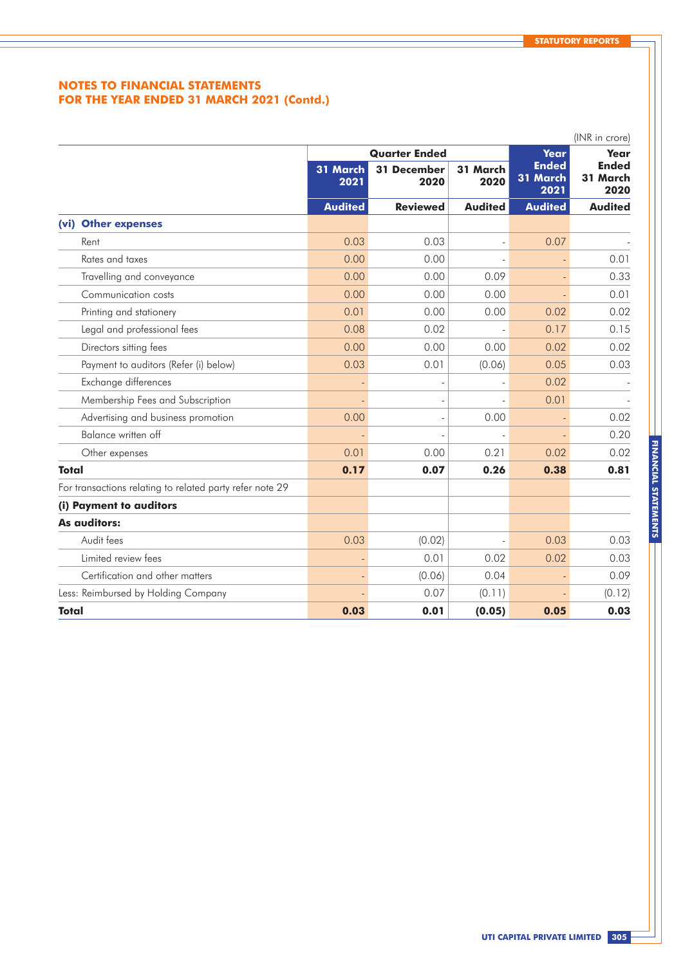|                                                          |                  | (INR in crore)       |                  |                                  |                                  |  |  |  |
|----------------------------------------------------------|------------------|----------------------|------------------|----------------------------------|----------------------------------|--|--|--|
|                                                          |                  | <b>Quarter Ended</b> |                  | Year                             | Year                             |  |  |  |
|                                                          | 31 March<br>2021 | 31 December<br>2020  | 31 March<br>2020 | <b>Ended</b><br>31 March<br>2021 | <b>Ended</b><br>31 March<br>2020 |  |  |  |
|                                                          | <b>Audited</b>   | <b>Reviewed</b>      | <b>Audited</b>   | <b>Audited</b>                   | <b>Audited</b>                   |  |  |  |
| (vi) Other expenses                                      |                  |                      |                  |                                  |                                  |  |  |  |
| Rent                                                     | 0.03             | 0.03                 |                  | 0.07                             |                                  |  |  |  |
| Rates and taxes                                          | 0.00             | 0.00                 |                  |                                  | 0.01                             |  |  |  |
| Travelling and conveyance                                | 0.00             | 0.00                 | 0.09             |                                  | 0.33                             |  |  |  |
| Communication costs                                      | 0.00             | 0.00                 | 0.00             |                                  | 0.01                             |  |  |  |
| Printing and stationery                                  | 0.01             | 0.00                 | 0.00             | 0.02                             | 0.02                             |  |  |  |
| Legal and professional fees                              | 0.08             | 0.02                 |                  | 0.17                             | 0.15                             |  |  |  |
| Directors sitting fees                                   | 0.00             | 0.00                 | 0.00             | 0.02                             | 0.02                             |  |  |  |
| Payment to auditors (Refer (i) below)                    | 0.03             | 0.01                 | (0.06)           | 0.05                             | 0.03                             |  |  |  |
| Exchange differences                                     |                  |                      |                  | 0.02                             |                                  |  |  |  |
| Membership Fees and Subscription                         |                  |                      |                  | 0.01                             |                                  |  |  |  |
| Advertising and business promotion                       | 0.00             |                      | 0.00             |                                  | 0.02                             |  |  |  |
| Balance written off                                      |                  |                      |                  |                                  | 0.20                             |  |  |  |
| Other expenses                                           | 0.01             | 0.00                 | 0.21             | 0.02                             | 0.02                             |  |  |  |
| <b>Total</b>                                             | 0.17             | 0.07                 | 0.26             | 0.38                             | 0.81                             |  |  |  |
| For transactions relating to related party refer note 29 |                  |                      |                  |                                  |                                  |  |  |  |
| (i) Payment to auditors                                  |                  |                      |                  |                                  |                                  |  |  |  |
| As auditors:                                             |                  |                      |                  |                                  |                                  |  |  |  |
| Audit fees                                               | 0.03             | (0.02)               |                  | 0.03                             | 0.03                             |  |  |  |
| Limited review fees                                      |                  | 0.01                 | 0.02             | 0.02                             | 0.03                             |  |  |  |
| Certification and other matters                          |                  | (0.06)               | 0.04             |                                  | 0.09                             |  |  |  |
| Less: Reimbursed by Holding Company                      |                  | 0.07                 | (0.11)           |                                  | (0.12)                           |  |  |  |
| <b>Total</b>                                             | 0.03             | 0.01                 | (0.05)           | 0.05                             | 0.03                             |  |  |  |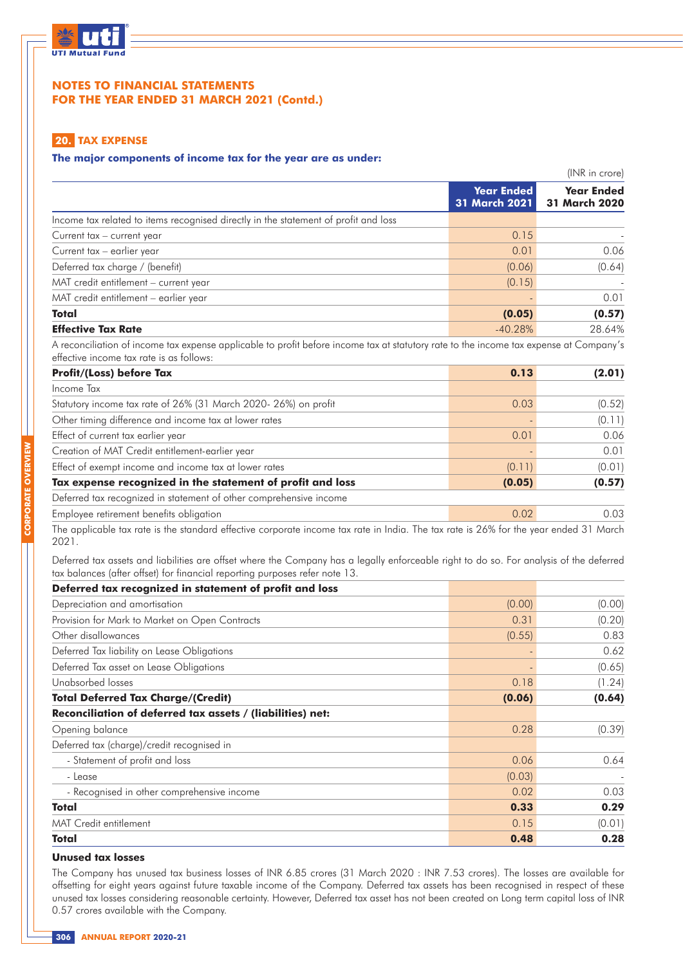

## **20. TAX EXPENSE**

#### **The major components of income tax for the year are as under:**

|                                                                                     |                                           | (INR in crore)                            |
|-------------------------------------------------------------------------------------|-------------------------------------------|-------------------------------------------|
|                                                                                     | <b>Year Ended</b><br><b>31 March 2021</b> | <b>Year Ended</b><br><b>31 March 2020</b> |
| Income tax related to items recognised directly in the statement of profit and loss |                                           |                                           |
| Current tax - current year                                                          | 0.15                                      |                                           |
| Current tax - earlier year                                                          | 0.01                                      | 0.06                                      |
| Deferred tax charge / (benefit)                                                     | (0.06)                                    | (0.64)                                    |
| MAT credit entitlement - current year                                               | (0.15)                                    |                                           |
| MAT credit entitlement - earlier year                                               |                                           | 0.01                                      |
| Total                                                                               | (0.05)                                    | (0.57)                                    |
| <b>Effective Tax Rate</b>                                                           | $-40.28%$                                 | 28.64%                                    |

A reconciliation of income tax expense applicable to profit before income tax at statutory rate to the income tax expense at Company's effective income tax rate is as follows:

| <b>Profit/(Loss) before Tax</b>                                    | 0.13                     | (2.01) |
|--------------------------------------------------------------------|--------------------------|--------|
| Income Tax                                                         |                          |        |
| Statutory income tax rate of 26% (31 March 2020-26%) on profit     | 0.03                     | (0.52) |
| Other timing difference and income tax at lower rates              | $\overline{\phantom{0}}$ | (0.11) |
| Effect of current tax earlier year                                 | 0.01                     | 0.06   |
| Creation of MAT Credit entitlement-earlier year                    |                          | 0.01   |
| Effect of exempt income and income tax at lower rates              | (0.11)                   | (0.01) |
| Tax expense recognized in the statement of profit and loss         | (0.05)                   | (0.57) |
| Deferred tax recognized in statement of other comprehensive income |                          |        |
| Employee retirement benefits obligation                            | 0.02                     | 0.03   |

The applicable tax rate is the standard effective corporate income tax rate in India. The tax rate is 26% for the year ended 31 March 2021.

Deferred tax assets and liabilities are offset where the Company has a legally enforceable right to do so. For analysis of the deferred tax balances (after offset) for financial reporting purposes refer note 13.

| Deferred tax recognized in statement of profit and loss    |        |        |
|------------------------------------------------------------|--------|--------|
| Depreciation and amortisation                              | (0.00) | (0.00) |
| Provision for Mark to Market on Open Contracts             | 0.31   | (0.20) |
| Other disallowances                                        | (0.55) | 0.83   |
| Deferred Tax liability on Lease Obligations                |        | 0.62   |
| Deferred Tax asset on Lease Obligations                    |        | (0.65) |
| Unabsorbed losses                                          | 0.18   | (1.24) |
| <b>Total Deferred Tax Charge/(Credit)</b>                  | (0.06) | (0.64) |
| Reconciliation of deferred tax assets / (liabilities) net: |        |        |
| Opening balance                                            | 0.28   | (0.39) |
| Deferred tax (charge)/credit recognised in                 |        |        |
| - Statement of profit and loss                             | 0.06   | 0.64   |
| - Lease                                                    | (0.03) |        |
| - Recognised in other comprehensive income                 | 0.02   | 0.03   |
| Total                                                      | 0.33   | 0.29   |
| <b>MAT Credit entitlement</b>                              | 0.15   | (0.01) |
| Total                                                      | 0.48   | 0.28   |

#### **Unused tax losses**

The Company has unused tax business losses of INR 6.85 crores (31 March 2020 : INR 7.53 crores). The losses are available for offsetting for eight years against future taxable income of the Company. Deferred tax assets has been recognised in respect of these unused tax losses considering reasonable certainty. However, Deferred tax asset has not been created on Long term capital loss of INR 0.57 crores available with the Company.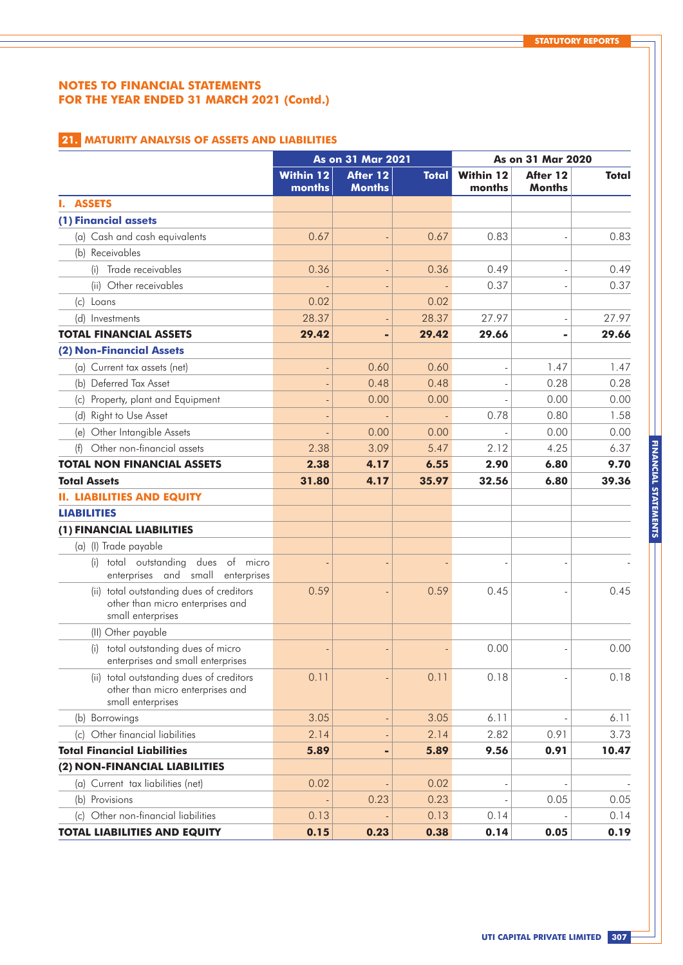## **21. MATURITY ANALYSIS OF ASSETS AND LIABILITIES**

|                                                                                                   |                            | <b>As on 31 Mar 2021</b>  |       | As on 31 Mar 2020   |                    |       |
|---------------------------------------------------------------------------------------------------|----------------------------|---------------------------|-------|---------------------|--------------------|-------|
|                                                                                                   | <b>Within 12</b><br>months | After 12<br><b>Months</b> | Total | Within 12<br>months | After 12<br>Months | Total |
| I. ASSETS                                                                                         |                            |                           |       |                     |                    |       |
| (1) Financial assets                                                                              |                            |                           |       |                     |                    |       |
| (a) Cash and cash equivalents                                                                     | 0.67                       |                           | 0.67  | 0.83                |                    | 0.83  |
| (b) Receivables                                                                                   |                            |                           |       |                     |                    |       |
| (i) Trade receivables                                                                             | 0.36                       | $\overline{\phantom{a}}$  | 0.36  | 0.49                |                    | 0.49  |
| (ii) Other receivables                                                                            |                            |                           |       | 0.37                |                    | 0.37  |
| (c) Loans                                                                                         | 0.02                       |                           | 0.02  |                     |                    |       |
| (d) Investments                                                                                   | 28.37                      |                           | 28.37 | 27.97               |                    | 27.97 |
| <b>TOTAL FINANCIAL ASSETS</b>                                                                     | 29.42                      | ٠                         | 29.42 | 29.66               |                    | 29.66 |
| (2) Non-Financial Assets                                                                          |                            |                           |       |                     |                    |       |
| (a) Current tax assets (net)                                                                      |                            | 0.60                      | 0.60  |                     | 1.47               | 1.47  |
| (b) Deferred Tax Asset                                                                            |                            | 0.48                      | 0.48  |                     | 0.28               | 0.28  |
| (c) Property, plant and Equipment                                                                 |                            | 0.00                      | 0.00  |                     | 0.00               | 0.00  |
| (d) Right to Use Asset                                                                            |                            |                           |       | 0.78                | 0.80               | 1.58  |
| (e) Other Intangible Assets                                                                       |                            | 0.00                      | 0.00  |                     | 0.00               | 0.00  |
| Other non-financial assets<br>(f)                                                                 | 2.38                       | 3.09                      | 5.47  | 2.12                | 4.25               | 6.37  |
| <b>TOTAL NON FINANCIAL ASSETS</b>                                                                 | 2.38                       | 4.17                      | 6.55  | 2.90                | 6.80               | 9.70  |
| <b>Total Assets</b>                                                                               | 31.80                      | 4.17                      | 35.97 | 32.56               | 6.80               | 39.36 |
| <b>II. LIABILITIES AND EQUITY</b>                                                                 |                            |                           |       |                     |                    |       |
| <b>LIABILITIES</b>                                                                                |                            |                           |       |                     |                    |       |
| (1) FINANCIAL LIABILITIES                                                                         |                            |                           |       |                     |                    |       |
| (a) (I) Trade payable                                                                             |                            |                           |       |                     |                    |       |
| (i) total outstanding dues of micro<br>enterprises and small enterprises                          |                            |                           |       |                     |                    |       |
| (ii) total outstanding dues of creditors<br>other than micro enterprises and<br>small enterprises | 0.59                       |                           | 0.59  | 0.45                |                    | 0.45  |
| (II) Other payable                                                                                |                            |                           |       |                     |                    |       |
| total outstanding dues of micro<br>(i)<br>enterprises and small enterprises                       |                            |                           |       | 0.00                |                    | 0.00  |
| (ii) total outstanding dues of creditors<br>other than micro enterprises and<br>small enterprises | 0.11                       |                           | 0.11  | 0.18                |                    | 0.18  |
| (b) Borrowings                                                                                    | 3.05                       |                           | 3.05  | 6.11                |                    | 6.11  |
| (c) Other financial liabilities                                                                   | 2.14                       |                           | 2.14  | 2.82                | 0.91               | 3.73  |
| <b>Total Financial Liabilities</b>                                                                | 5.89                       | ۰                         | 5.89  | 9.56                | 0.91               | 10.47 |
| (2) NON-FINANCIAL LIABILITIES                                                                     |                            |                           |       |                     |                    |       |
| (a) Current tax liabilities (net)                                                                 | 0.02                       |                           | 0.02  |                     |                    |       |
| (b) Provisions                                                                                    |                            | 0.23                      | 0.23  |                     | 0.05               | 0.05  |
| (c) Other non-financial liabilities                                                               | 0.13                       |                           | 0.13  | 0.14                |                    | 0.14  |
| <b>TOTAL LIABILITIES AND EQUITY</b>                                                               | 0.15                       | 0.23                      | 0.38  | 0.14                | 0.05               | 0.19  |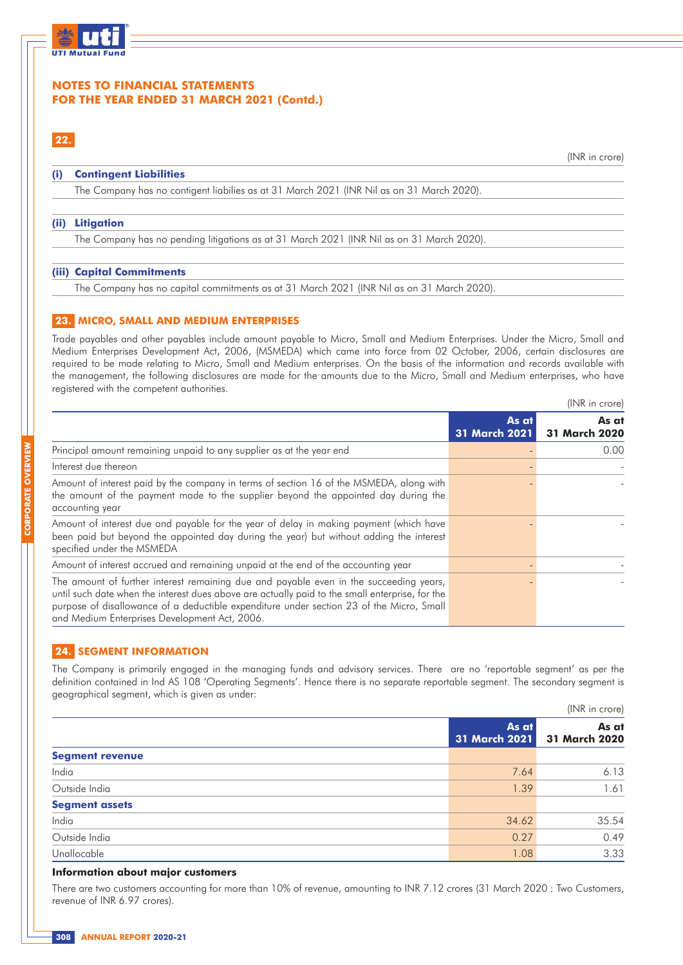

## **22.**

**(i) Contingent Liabilities**

The Company has no contigent liabilies as at 31 March 2021 (INR Nil as on 31 March 2020).

#### **(ii) Litigation**

The Company has no pending litigations as at 31 March 2021 (INR Nil as on 31 March 2020).

#### **(iii) Capital Commitments**

The Company has no capital commitments as at 31 March 2021 (INR Nil as on 31 March 2020).

## **23. MICRO, SMALL AND MEDIUM ENTERPRISES**

Trade payables and other payables include amount payable to Micro, Small and Medium Enterprises. Under the Micro, Small and Medium Enterprises Development Act, 2006, (MSMEDA) which came into force from 02 October, 2006, certain disclosures are required to be made relating to Micro, Small and Medium enterprises. On the basis of the information and records available with the management, the following disclosures are made for the amounts due to the Micro, Small and Medium enterprises, who have registered with the competent authorities.

(INR in crore)

 $(1)$ 

|                                                                                                                                                                                                                                                                                                                                        |                               | (INK in crore)         |
|----------------------------------------------------------------------------------------------------------------------------------------------------------------------------------------------------------------------------------------------------------------------------------------------------------------------------------------|-------------------------------|------------------------|
|                                                                                                                                                                                                                                                                                                                                        | As at<br><b>31 March 2021</b> | As at<br>31 March 2020 |
| Principal amount remaining unpaid to any supplier as at the year end                                                                                                                                                                                                                                                                   |                               | 0.00                   |
| Interest due thereon                                                                                                                                                                                                                                                                                                                   |                               |                        |
| Amount of interest paid by the company in terms of section 16 of the MSMEDA, along with<br>the amount of the payment made to the supplier beyond the appointed day during the<br>accounting year                                                                                                                                       |                               |                        |
| Amount of interest due and payable for the year of delay in making payment (which have<br>been paid but beyond the appointed day during the year) but without adding the interest<br>specified under the MSMEDA                                                                                                                        |                               |                        |
| Amount of interest accrued and remaining unpaid at the end of the accounting year                                                                                                                                                                                                                                                      |                               |                        |
| The amount of further interest remaining due and payable even in the succeeding years,<br>until such date when the interest dues above are actually paid to the small enterprise, for the<br>purpose of disallowance of a deductible expenditure under section 23 of the Micro, Small<br>and Medium Enterprises Development Act, 2006. |                               |                        |

## **24. SEGMENT INFORMATION**

The Company is primarily engaged in the managing funds and advisory services. There are no 'reportable segment' as per the definition contained in Ind AS 108 'Operating Segments'. Hence there is no separate reportable segment. The secondary segment is geographical segment, which is given as under:

|                        |                        | (INR in crore)                |
|------------------------|------------------------|-------------------------------|
|                        | As at<br>31 March 2021 | As at<br><b>31 March 2020</b> |
| <b>Segment revenue</b> |                        |                               |
| India                  | 7.64                   | 6.13                          |
| Outside India          | 1.39                   | 1.61                          |
| <b>Segment assets</b>  |                        |                               |
| India                  | 34.62                  | 35.54                         |
| Outside India          | 0.27                   | 0.49                          |
| Unallocable            | 1.08                   | 3.33                          |

#### **Information about major customers**

There are two customers accounting for more than 10% of revenue, amounting to INR 7.12 crores (31 March 2020 : Two Customers, revenue of INR 6.97 crores).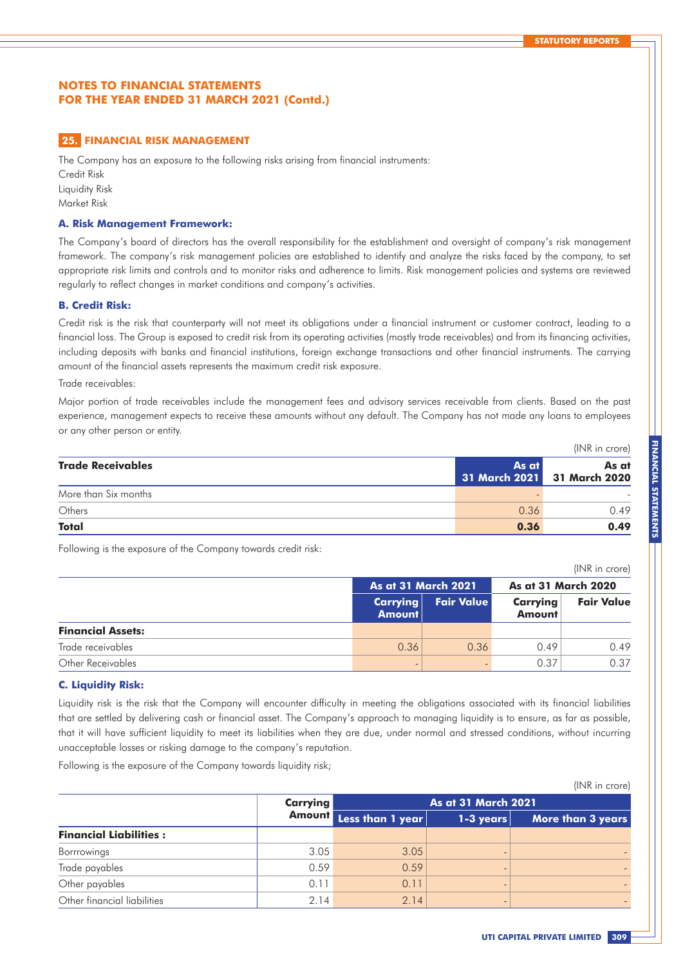#### **25. FINANCIAL RISK MANAGEMENT**

The Company has an exposure to the following risks arising from financial instruments: Credit Risk Liquidity Risk Market Risk

#### **A. Risk Management Framework:**

The Company's board of directors has the overall responsibility for the establishment and oversight of company's risk management framework. The company's risk management policies are established to identify and analyze the risks faced by the company, to set appropriate risk limits and controls and to monitor risks and adherence to limits. Risk management policies and systems are reviewed regularly to reflect changes in market conditions and company's activities.

#### **B. Credit Risk:**

Credit risk is the risk that counterparty will not meet its obligations under a financial instrument or customer contract, leading to a financial loss. The Group is exposed to credit risk from its operating activities (mostly trade receivables) and from its financing activities, including deposits with banks and financial institutions, foreign exchange transactions and other financial instruments. The carrying amount of the financial assets represents the maximum credit risk exposure.

Trade receivables:

Major portion of trade receivables include the management fees and advisory services receivable from clients. Based on the past experience, management expects to receive these amounts without any default. The Company has not made any loans to employees or any other person or entity.

|                          |       | (INR in crore)                       |
|--------------------------|-------|--------------------------------------|
| <b>Trade Receivables</b> | As at | As at<br>31 March 2021 31 March 2020 |
| More than Six months     |       |                                      |
| Others                   | 0.36  | 0.49                                 |
| <b>Total</b>             | 0.36  | 0.49                                 |

Following is the exposure of the Company towards credit risk:

|                          | As at 31 March 2021       |                   |                           | $\left  \right $ $\left  \right $ $\left  \right $ $\left  \right $ $\left  \right $ $\left  \right $ $\left  \right $ $\left  \right $<br>As at 31 March 2020 |
|--------------------------|---------------------------|-------------------|---------------------------|----------------------------------------------------------------------------------------------------------------------------------------------------------------|
|                          | Carrying<br><b>Amount</b> | <b>Fair Value</b> | Carrying<br><b>Amount</b> | <b>Fair Value</b>                                                                                                                                              |
| <b>Financial Assets:</b> |                           |                   |                           |                                                                                                                                                                |
| Trade receivables        | 0.36                      | 0.36              | 0.49                      | 0.49                                                                                                                                                           |
| Other Receivables        |                           |                   | 0.37                      | 0.37                                                                                                                                                           |

#### **C. Liquidity Risk:**

Liquidity risk is the risk that the Company will encounter difficulty in meeting the obligations associated with its financial liabilities that are settled by delivering cash or financial asset. The Company's approach to managing liquidity is to ensure, as far as possible, that it will have sufficient liquidity to meet its liabilities when they are due, under normal and stressed conditions, without incurring unacceptable losses or risking damage to the company's reputation.

Following is the exposure of the Company towards liquidity risk:

|                               |                 |                            |                          | (INR in crore)    |
|-------------------------------|-----------------|----------------------------|--------------------------|-------------------|
|                               | <b>Carrying</b> | <b>As at 31 March 2021</b> |                          |                   |
|                               |                 | Amount Less than 1 year    | $1-3$ years              | More than 3 years |
| <b>Financial Liabilities:</b> |                 |                            |                          |                   |
| Borrrowings                   | 3.05            | 3.05                       | -                        |                   |
| Trade payables                | 0.59            | 0.59                       | -                        |                   |
| Other payables                | 0.11            | 0.11                       | $\overline{\phantom{a}}$ | $\sim$            |
| Other financial liabilities   | 2.14            | 2.14                       | -                        |                   |

 $(\mathsf{INIP} \text{ in } \mathsf{crorol})$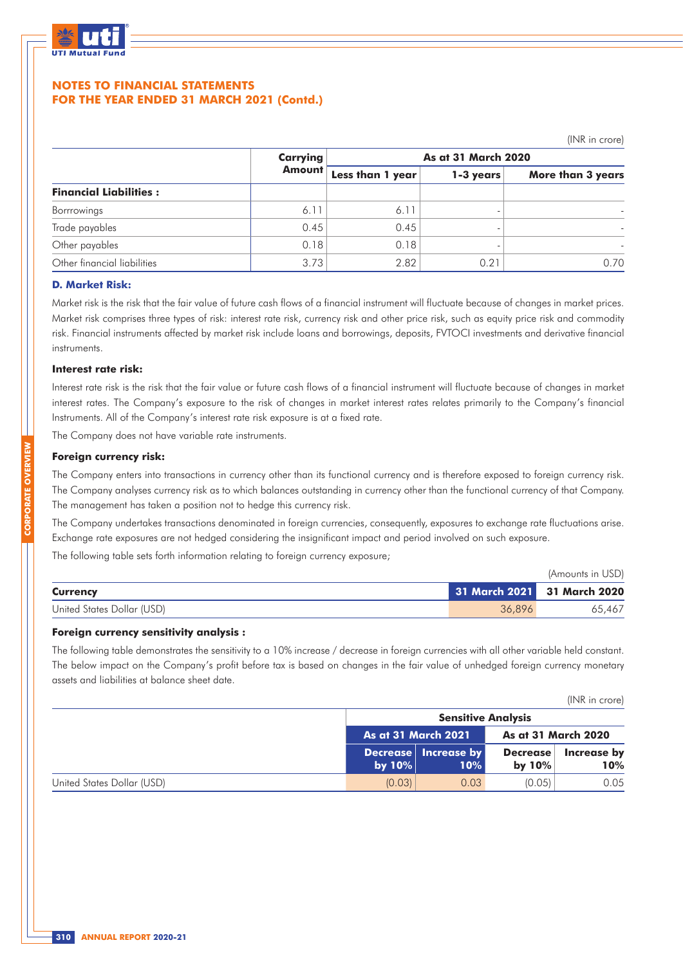

|                               |                 |                     |           | (INR in crore)    |
|-------------------------------|-----------------|---------------------|-----------|-------------------|
|                               | <b>Carrying</b> | As at 31 March 2020 |           |                   |
|                               | Amount          | Less than 1 year    | 1-3 years | More than 3 years |
| <b>Financial Liabilities:</b> |                 |                     |           |                   |
| Borrrowings                   | 6.11            | 6.11                |           |                   |
| Trade payables                | 0.45            | 0.45                |           |                   |
| Other payables                | 0.18            | 0.18                |           |                   |
| Other financial liabilities   | 3.73            | 2.82                | 0.21      | 0.70              |

#### **D. Market Risk:**

Market risk is the risk that the fair value of future cash flows of a financial instrument will fluctuate because of changes in market prices. Market risk comprises three types of risk: interest rate risk, currency risk and other price risk, such as equity price risk and commodity risk. Financial instruments affected by market risk include loans and borrowings, deposits, FVTOCI investments and derivative financial instruments.

#### **Interest rate risk:**

Interest rate risk is the risk that the fair value or future cash flows of a financial instrument will fluctuate because of changes in market interest rates. The Company's exposure to the risk of changes in market interest rates relates primarily to the Company's financial Instruments. All of the Company's interest rate risk exposure is at a fixed rate.

The Company does not have variable rate instruments.

#### **Foreign currency risk:**

The Company enters into transactions in currency other than its functional currency and is therefore exposed to foreign currency risk. The Company analyses currency risk as to which balances outstanding in currency other than the functional currency of that Company. The management has taken a position not to hedge this currency risk.

The Company undertakes transactions denominated in foreign currencies, consequently, exposures to exchange rate fluctuations arise. Exchange rate exposures are not hedged considering the insignificant impact and period involved on such exposure.

The following table sets forth information relating to foreign currency exposure;

|                            |                                    | (Amounts in USD) |
|----------------------------|------------------------------------|------------------|
| Currency                   | <b>31 March 2021</b> 31 March 2020 |                  |
| United States Dollar (USD) | 36,896                             | 65,467           |

#### **Foreign currency sensitivity analysis :**

The following table demonstrates the sensitivity to a 10% increase / decrease in foreign currencies with all other variable held constant. The below impact on the Company's profit before tax is based on changes in the fair value of unhedged foreign currency monetary assets and liabilities at balance sheet date.

|                            |                           |                                 |                              | (INR in crore)     |
|----------------------------|---------------------------|---------------------------------|------------------------------|--------------------|
|                            | <b>Sensitive Analysis</b> |                                 |                              |                    |
|                            | As at 31 March 2021       |                                 | As at 31 March 2020          |                    |
|                            | by $10\%$                 | Decrease   Increase by  <br>10% | <b>Decrease</b><br>by $10\%$ | Increase by<br>10% |
| United States Dollar (USD) | (0.03)                    | 0.03                            | (0.05)                       | 0.05               |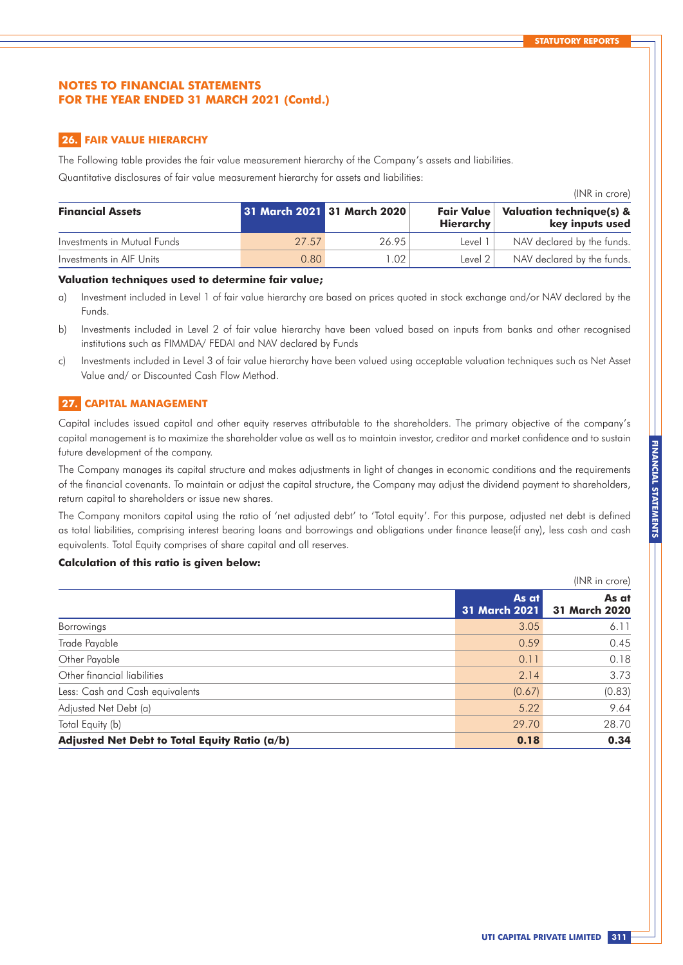## **26. FAIR VALUE HIERARCHY**

The Following table provides the fair value measurement hierarchy of the Company's assets and liabilities.

Quantitative disclosures of fair value measurement hierarchy for assets and liabilities:

| <b>Financial Assets</b>     | 31 March 2021 31 March 2020 |       |                      | Fair Value   Valuation technique(s) &         |
|-----------------------------|-----------------------------|-------|----------------------|-----------------------------------------------|
| Investments in Mutual Funds | 27.57                       | 26.95 | Hierarchy<br>Level 1 | key inputs used<br>NAV declared by the funds. |
| Investments in AIF Units    | 0.80                        | .02   | $ $ evel 2           | NAV declared by the funds.                    |

#### **Valuation techniques used to determine fair value;**

- a) Investment included in Level 1 of fair value hierarchy are based on prices quoted in stock exchange and/or NAV declared by the Funds.
- b) Investments included in Level 2 of fair value hierarchy have been valued based on inputs from banks and other recognised institutions such as FIMMDA/ FEDAI and NAV declared by Funds
- c) Investments included in Level 3 of fair value hierarchy have been valued using acceptable valuation techniques such as Net Asset Value and/ or Discounted Cash Flow Method.

## **27. CAPITAL MANAGEMENT**

Capital includes issued capital and other equity reserves attributable to the shareholders. The primary objective of the company's capital management is to maximize the shareholder value as well as to maintain investor, creditor and market confidence and to sustain future development of the company.

The Company manages its capital structure and makes adjustments in light of changes in economic conditions and the requirements of the financial covenants. To maintain or adjust the capital structure, the Company may adjust the dividend payment to shareholders, return capital to shareholders or issue new shares.

The Company monitors capital using the ratio of 'net adjusted debt' to 'Total equity'. For this purpose, adjusted net debt is defined as total liabilities, comprising interest bearing loans and borrowings and obligations under finance lease(if any), less cash and cash equivalents. Total Equity comprises of share capital and all reserves.

#### **Calculation of this ratio is given below:**

|                                               |                               | (INR in crore)                |
|-----------------------------------------------|-------------------------------|-------------------------------|
|                                               | As at<br><b>31 March 2021</b> | As at<br><b>31 March 2020</b> |
| <b>Borrowings</b>                             | 3.05                          | 6.11                          |
| Trade Payable                                 | 0.59                          | 0.45                          |
| Other Payable                                 | 0.11                          | 0.18                          |
| Other financial liabilities                   | 2.14                          | 3.73                          |
| Less: Cash and Cash equivalents               | (0.67)                        | (0.83)                        |
| Adjusted Net Debt (a)                         | 5.22                          | 9.64                          |
| Total Equity (b)                              | 29.70                         | 28.70                         |
| Adjusted Net Debt to Total Equity Ratio (a/b) | 0.18                          | 0.34                          |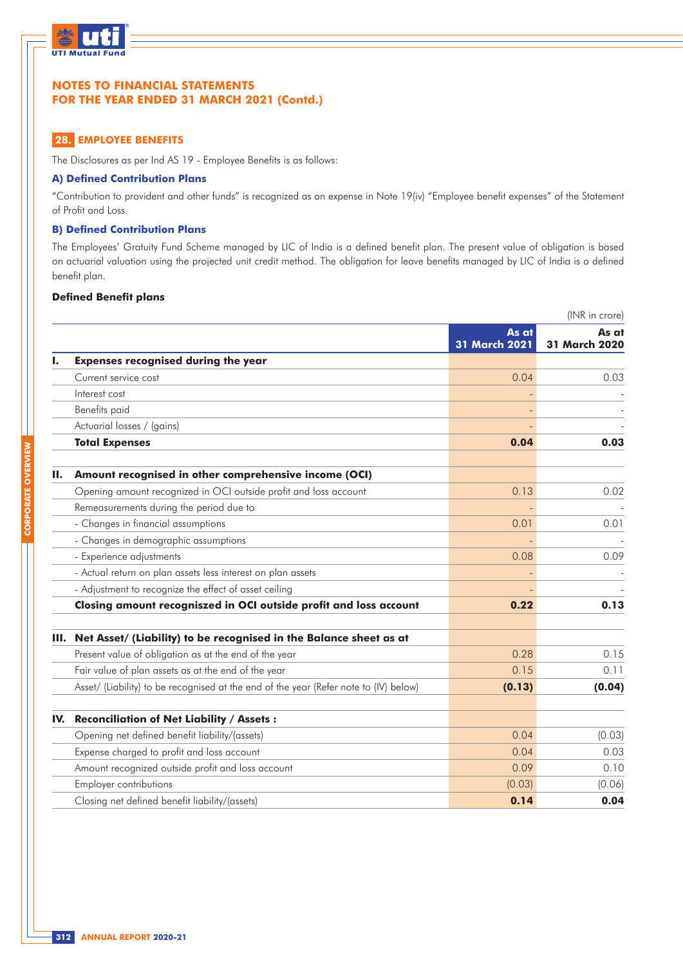

## **28. EMPLOYEE BENEFITS**

The Disclosures as per Ind AS 19 - Employee Benefits is as follows:

#### **A) Defined Contribution Plans**

"Contribution to provident and other funds" is recognized as an expense in Note 19(iv) "Employee benefit expenses" of the Statement of Profit and Loss.

#### **B) Defined Contribution Plans**

The Employees' Gratuity Fund Scheme managed by LIC of India is a defined benefit plan. The present value of obligation is based on actuarial valuation using the projected unit credit method. The obligation for leave benefits managed by LIC of India is a defined benefit plan.

#### **Defined Benefit plans**

|     |                                                                                       |                               | (INR in crore)         |
|-----|---------------------------------------------------------------------------------------|-------------------------------|------------------------|
|     |                                                                                       | As at<br><b>31 March 2021</b> | As at<br>31 March 2020 |
| ı.  | <b>Expenses recognised during the year</b>                                            |                               |                        |
|     | Current service cost                                                                  | 0.04                          | 0.03                   |
|     | Interest cost                                                                         |                               |                        |
|     | Benefits paid                                                                         |                               |                        |
|     | Actuarial losses / (gains)                                                            |                               |                        |
|     | <b>Total Expenses</b>                                                                 | 0.04                          | 0.03                   |
| П.  | Amount recognised in other comprehensive income (OCI)                                 |                               |                        |
|     | Opening amount recognized in OCI outside profit and loss account                      | 0.13                          | 0.02                   |
|     | Remeasurements during the period due to                                               |                               |                        |
|     | - Changes in financial assumptions                                                    | 0.01                          | 0.01                   |
|     | - Changes in demographic assumptions                                                  |                               |                        |
|     | - Experience adjustments                                                              | 0.08                          | 0.09                   |
|     | - Actual return on plan assets less interest on plan assets                           |                               |                        |
|     | - Adjustment to recognize the effect of asset ceiling                                 |                               |                        |
|     | Closing amount recogniszed in OCI outside profit and loss account                     | 0.22                          | 0.13                   |
| Ш.  | Net Asset/ (Liability) to be recognised in the Balance sheet as at                    |                               |                        |
|     | Present value of obligation as at the end of the year                                 | 0.28                          | 0.15                   |
|     | Fair value of plan assets as at the end of the year                                   | 0.15                          | 0.11                   |
|     | Asset/ (Liability) to be recognised at the end of the year (Refer note to (IV) below) | (0.13)                        | (0.04)                 |
| IV. | <b>Reconciliation of Net Liability / Assets:</b>                                      |                               |                        |
|     | Opening net defined benefit liability/(assets)                                        | 0.04                          | (0.03)                 |
|     | Expense charged to profit and loss account                                            | 0.04                          | 0.03                   |
|     | Amount recognized outside profit and loss account                                     | 0.09                          | 0.10                   |
|     | Employer contributions                                                                | (0.03)                        | (0.06)                 |
|     | Closing net defined benefit liability/(assets)                                        | 0.14                          | 0.04                   |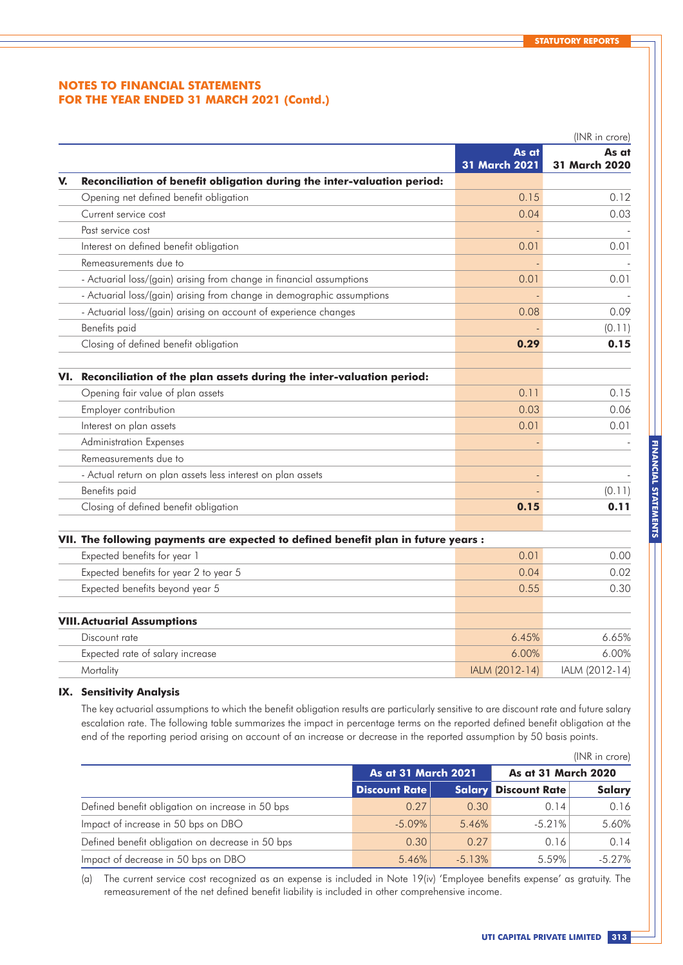|    |                                                                                    |                               | (INR in crore)         |
|----|------------------------------------------------------------------------------------|-------------------------------|------------------------|
|    |                                                                                    | As at<br><b>31 March 2021</b> | As at<br>31 March 2020 |
| V. | Reconciliation of benefit obligation during the inter-valuation period:            |                               |                        |
|    | Opening net defined benefit obligation                                             | 0.15                          | 0.12                   |
|    | Current service cost                                                               | 0.04                          | 0.03                   |
|    | Past service cost                                                                  |                               |                        |
|    | Interest on defined benefit obligation                                             | 0.01                          | 0.01                   |
|    | Remeasurements due to                                                              |                               |                        |
|    | - Actuarial loss/(gain) arising from change in financial assumptions               | 0.01                          | 0.01                   |
|    | - Actuarial loss/(gain) arising from change in demographic assumptions             |                               |                        |
|    | - Actuarial loss/(gain) arising on account of experience changes                   | 0.08                          | 0.09                   |
|    | Benefits paid                                                                      |                               | (0.11)                 |
|    | Closing of defined benefit obligation                                              | 0.29                          | 0.15                   |
|    | VI. Reconciliation of the plan assets during the inter-valuation period:           |                               |                        |
|    | Opening fair value of plan assets                                                  | 0.11                          | 0.15                   |
|    | Employer contribution                                                              | 0.03                          | 0.06                   |
|    | Interest on plan assets                                                            | 0.01                          | 0.01                   |
|    | <b>Administration Expenses</b>                                                     |                               |                        |
|    | Remeasurements due to                                                              |                               |                        |
|    | - Actual return on plan assets less interest on plan assets                        |                               |                        |
|    | <b>Benefits</b> paid                                                               |                               | (0.11)                 |
|    | Closing of defined benefit obligation                                              | 0.15                          | 0.11                   |
|    | VII. The following payments are expected to defined benefit plan in future years : |                               |                        |
|    | Expected benefits for year 1                                                       | 0.01                          | 0.00                   |

| Expected benefits for year 1           | 0.01           | 0.00           |
|----------------------------------------|----------------|----------------|
| Expected benefits for year 2 to year 5 | 0.04           | 0.02           |
| Expected benefits beyond year 5        | 0.55           | 0.30           |
|                                        |                |                |
| <b>VIII. Actuarial Assumptions</b>     |                |                |
| Discount rate                          | 6.45%          | 6.65%          |
| Expected rate of salary increase       | $6.00\%$       | 6.00%          |
| Mortality                              | IALM (2012-14) | IALM (2012-14) |

#### **IX. Sensitivity Analysis**

The key actuarial assumptions to which the benefit obligation results are particularly sensitive to are discount rate and future salary escalation rate. The following table summarizes the impact in percentage terms on the reported defined benefit obligation at the end of the reporting period arising on account of an increase or decrease in the reported assumption by 50 basis points.

| (INR in crore)                                   |                      |          |                             |           |
|--------------------------------------------------|----------------------|----------|-----------------------------|-----------|
|                                                  | As at 31 March 2021  |          | As at 31 March 2020         |           |
|                                                  | <b>Discount Rate</b> |          | <b>Salary Discount Rate</b> | Salary    |
| Defined benefit obligation on increase in 50 bps | 0.27                 | 0.30     | 0.14                        | 0.16      |
| Impact of increase in 50 bps on DBO              | $-5.09\%$            | 5.46%    | $-521%$                     | 5.60%     |
| Defined benefit obligation on decrease in 50 bps | 0.30                 | 0.27     | 0.16                        | 0.14      |
| Impact of decrease in 50 bps on DBO              | 5.46%                | $-5.13%$ | 5.59%                       | $-5.27\%$ |

(a) The current service cost recognized as an expense is included in Note 19(iv) 'Employee benefits expense' as gratuity. The remeasurement of the net defined benefit liability is included in other comprehensive income.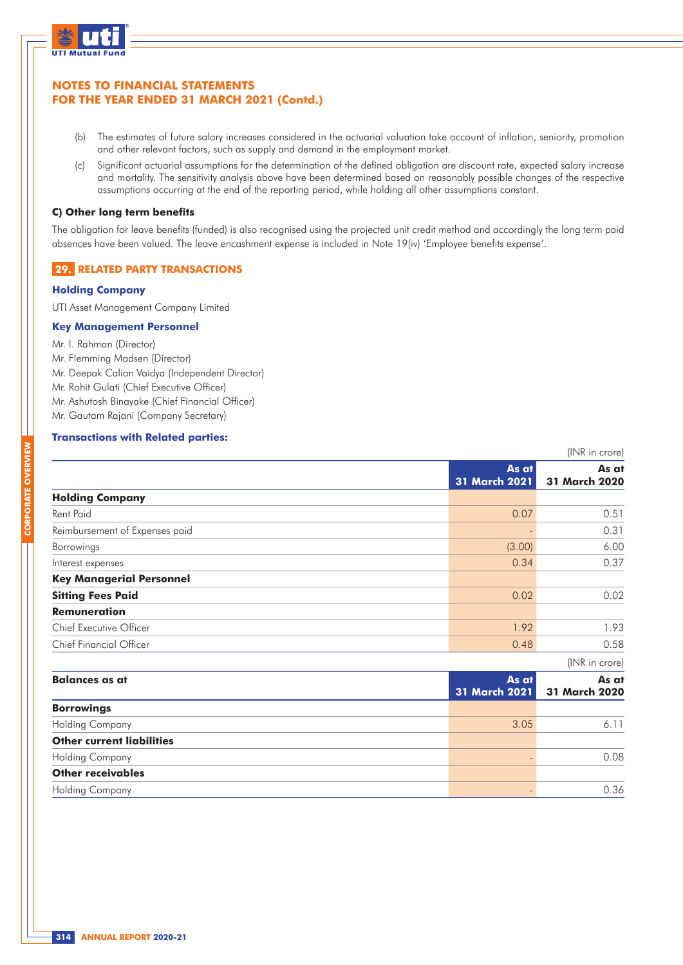

- (b) The estimates of future salary increases considered in the actuarial valuation take account of inflation, seniority, promotion and other relevant factors, such as supply and demand in the employment market.
- (c) Significant actuarial assumptions for the determination of the defined obligation are discount rate, expected salary increase and mortality. The sensitivity analysis above have been determined based on reasonably possible changes of the respective assumptions occurring at the end of the reporting period, while holding all other assumptions constant.

#### **C) Other long term benefits**

The obligation for leave benefits (funded) is also recognised using the projected unit credit method and accordingly the long term paid absences have been valued. The leave encashment expense is included in Note 19(iv) 'Employee benefits expense'.

#### **29. RELATED PARTY TRANSACTIONS**

#### **Holding Company**

UTI Asset Management Company Limited

#### **Key Management Personnel**

- Mr. I. Rahman (Director)
- Mr. Flemming Madsen (Director)
- Mr. Deepak Calian Vaidya (Independent Director)
- Mr. Rohit Gulati (Chief Executive Officer)
- Mr. Ashutosh Binayake (Chief Financial Officer)
- Mr. Gautam Rajani (Company Secretary)

#### **Transactions with Related parties:**

|                                  | $(11.91)$ $111$ $C1$ $O1$ $E$ |                        |  |
|----------------------------------|-------------------------------|------------------------|--|
|                                  | As at<br><b>31 March 2021</b> | As at<br>31 March 2020 |  |
| <b>Holding Company</b>           |                               |                        |  |
| <b>Rent Paid</b>                 | 0.07                          | 0.51                   |  |
| Reimbursement of Expenses paid   |                               | 0.31                   |  |
| Borrowings                       | (3.00)                        | 6.00                   |  |
| Interest expenses                | 0.34                          | 0.37                   |  |
| <b>Key Managerial Personnel</b>  |                               |                        |  |
| <b>Sitting Fees Paid</b>         | 0.02                          | 0.02                   |  |
| <b>Remuneration</b>              |                               |                        |  |
| Chief Executive Officer          | 1.92                          | 1.93                   |  |
| Chief Financial Officer          | 0.48                          | 0.58                   |  |
|                                  |                               | (INR in crore)         |  |
| <b>Balances as at</b>            | As at<br><b>31 March 2021</b> | As at<br>31 March 2020 |  |
| <b>Borrowings</b>                |                               |                        |  |
| <b>Holding Company</b>           | 3.05                          | 6.11                   |  |
| <b>Other current liabilities</b> |                               |                        |  |
| <b>Holding Company</b>           | $\overline{\phantom{a}}$      | 0.08                   |  |
| <b>Other receivables</b>         |                               |                        |  |
| <b>Holding Company</b>           | $\overline{\phantom{a}}$      | 0.36                   |  |

 $(INID : \text{arc}(I))$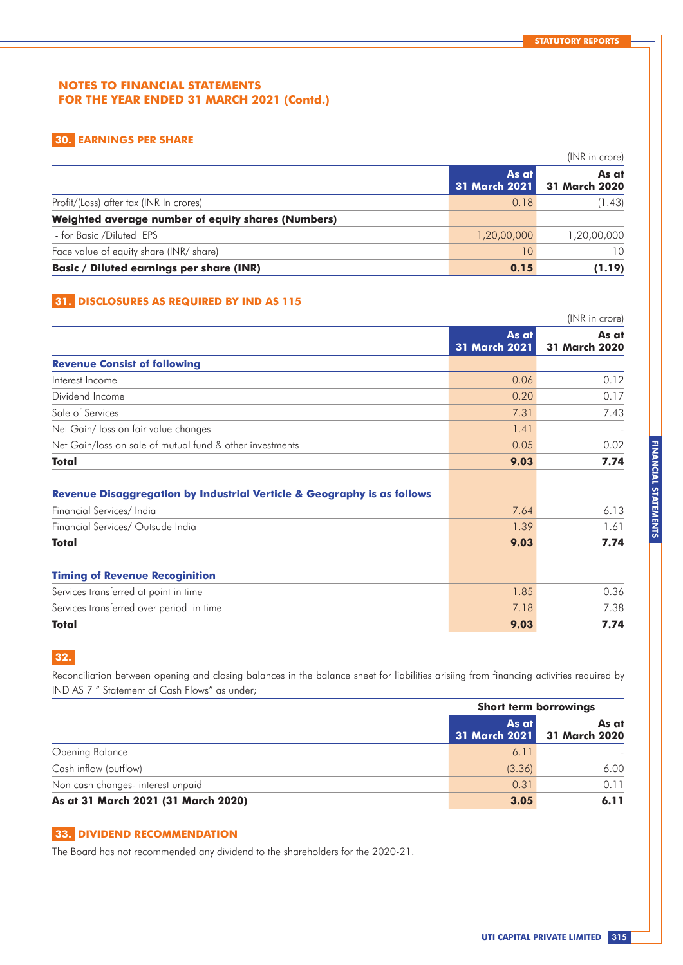## **30. EARNINGS PER SHARE**

|                                                    | (INR in crore)                |                               |  |
|----------------------------------------------------|-------------------------------|-------------------------------|--|
|                                                    | As at<br><b>31 March 2021</b> | As at<br><b>31 March 2020</b> |  |
| Profit/(Loss) after tax (INR In crores)            | 0.18                          | (1.43)                        |  |
| Weighted average number of equity shares (Numbers) |                               |                               |  |
| - for Basic /Diluted EPS                           | 1,20,00,000                   | 1,20,00,000                   |  |
| Face value of equity share (INR/ share)            | 10                            | 10                            |  |
| <b>Basic / Diluted earnings per share (INR)</b>    | 0.15                          | (1.19)                        |  |

## **31. DISCLOSURES AS REQUIRED BY IND AS 115**

|                                                                         | (INR in crore)                |                               |  |
|-------------------------------------------------------------------------|-------------------------------|-------------------------------|--|
|                                                                         | As at<br><b>31 March 2021</b> | As at<br><b>31 March 2020</b> |  |
| <b>Revenue Consist of following</b>                                     |                               |                               |  |
| Interest Income                                                         | 0.06                          | 0.12                          |  |
| Dividend Income                                                         | 0.20                          | 0.17                          |  |
| Sale of Services                                                        | 7.31                          | 7.43                          |  |
| Net Gain/ loss on fair value changes                                    | 1.41                          |                               |  |
| Net Gain/loss on sale of mutual fund & other investments                | 0.05                          | 0.02                          |  |
| Total                                                                   | 9.03                          | 7.74                          |  |
| Revenue Disaggregation by Industrial Verticle & Geography is as follows |                               |                               |  |
| Financial Services/India                                                | 7.64                          | 6.13                          |  |
| Financial Services/ Outsude India                                       | 1.39                          | 1.61                          |  |
| <b>Total</b>                                                            | 9.03                          | 7.74                          |  |
| <b>Timing of Revenue Recoginition</b>                                   |                               |                               |  |
| Services transferred at point in time                                   | 1.85                          | 0.36                          |  |
| Services transferred over period in time                                | 7.18                          | 7.38                          |  |
| Total                                                                   | 9.03                          | 7.74                          |  |

## **32.**

Reconciliation between opening and closing balances in the balance sheet for liabilities arisiing from financing activities required by IND AS 7 " Statement of Cash Flows" as under;

|                                     |                          | <b>Short term borrowings</b> |  |
|-------------------------------------|--------------------------|------------------------------|--|
|                                     | As at I<br>31 March 2021 | As at<br>31 March 2020       |  |
| Opening Balance                     | 6.11                     |                              |  |
| Cash inflow (outflow)               | (3.36)                   | 6.00                         |  |
| Non cash changes- interest unpaid   | 0.31                     | 0.11                         |  |
| As at 31 March 2021 (31 March 2020) | 3.05                     | 6.11                         |  |

## **33. DIVIDEND RECOMMENDATION**

The Board has not recommended any dividend to the shareholders for the 2020-21.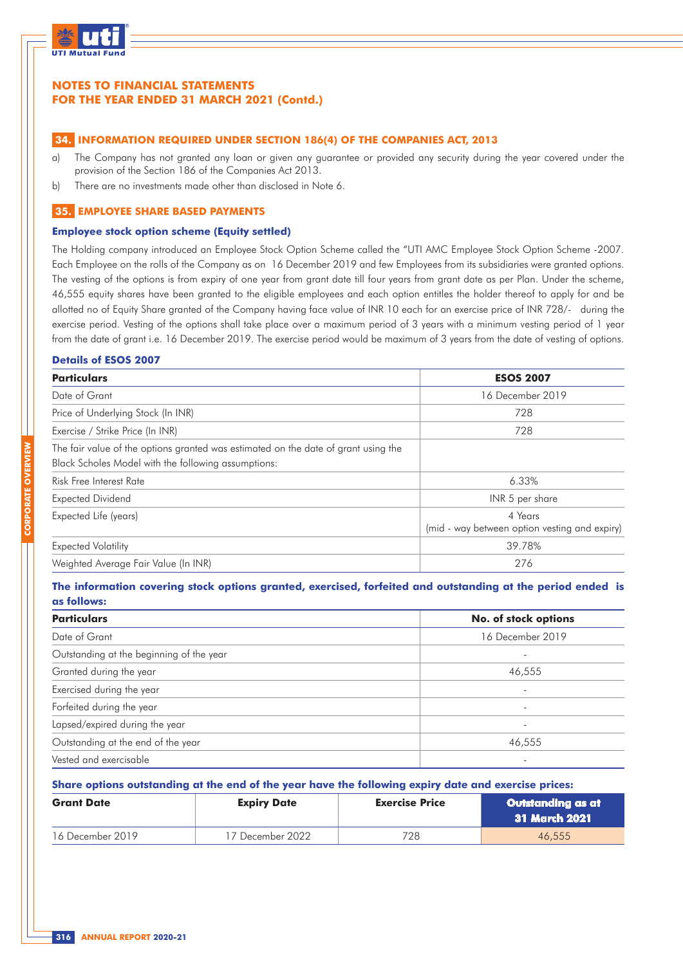

#### **34. INFORMATION REQUIRED UNDER SECTION 186(4) OF THE COMPANIES ACT, 2013**

- a) The Company has not granted any loan or given any guarantee or provided any security during the year covered under the provision of the Section 186 of the Companies Act 2013.
- b) There are no investments made other than disclosed in Note 6.

#### **35. EMPLOYEE SHARE BASED PAYMENTS**

#### **Employee stock option scheme (Equity settled)**

The Holding company introduced an Employee Stock Option Scheme called the "UTI AMC Employee Stock Option Scheme -2007. Each Employee on the rolls of the Company as on 16 December 2019 and few Employees from its subsidiaries were granted options. The vesting of the options is from expiry of one year from grant date till four years from grant date as per Plan. Under the scheme, 46,555 equity shares have been granted to the eligible employees and each option entitles the holder thereof to apply for and be allotted no of Equity Share granted of the Company having face value of INR 10 each for an exercise price of INR 728/- during the exercise period. Vesting of the options shall take place over a maximum period of 3 years with a minimum vesting period of 1 year from the date of grant i.e. 16 December 2019. The exercise period would be maximum of 3 years from the date of vesting of options.

#### **Details of ESOS 2007**

| <b>Particulars</b>                                                                                                                        | <b>ESOS 2007</b>                                         |
|-------------------------------------------------------------------------------------------------------------------------------------------|----------------------------------------------------------|
| Date of Grant                                                                                                                             | 16 December 2019                                         |
| Price of Underlying Stock (In INR)                                                                                                        | 728                                                      |
| Exercise / Strike Price (In INR)                                                                                                          | 728                                                      |
| The fair value of the options granted was estimated on the date of grant using the<br>Black Scholes Model with the following assumptions: |                                                          |
| <b>Risk Free Interest Rate</b>                                                                                                            | 6.33%                                                    |
| <b>Expected Dividend</b>                                                                                                                  | INR 5 per share                                          |
| Expected Life (years)                                                                                                                     | 4 Years<br>(mid - way between option vesting and expiry) |
| <b>Expected Volatility</b>                                                                                                                | 39.78%                                                   |
| Weighted Average Fair Value (In INR)                                                                                                      | 276                                                      |

## **The information covering stock options granted, exercised, forfeited and outstanding at the period ended is as follows:**

| <b>Particulars</b>                       | No. of stock options     |
|------------------------------------------|--------------------------|
| Date of Grant                            | 16 December 2019         |
| Outstanding at the beginning of the year |                          |
| Granted during the year                  | 46,555                   |
| Exercised during the year                |                          |
| Forfeited during the year                | $\overline{\phantom{a}}$ |
| Lapsed/expired during the year           |                          |
| Outstanding at the end of the year       | 46,555                   |
| Vested and exercisable                   |                          |

## **Share options outstanding at the end of the year have the following expiry date and exercise prices:**

| <b>Grant Date</b> | <b>Expiry Date</b> | <b>Exercise Price</b> | <b>Outstanding as at</b><br>31 March 2021 |
|-------------------|--------------------|-----------------------|-------------------------------------------|
| 16 December 2019  | 7 December 2022    | 728                   | 46,555                                    |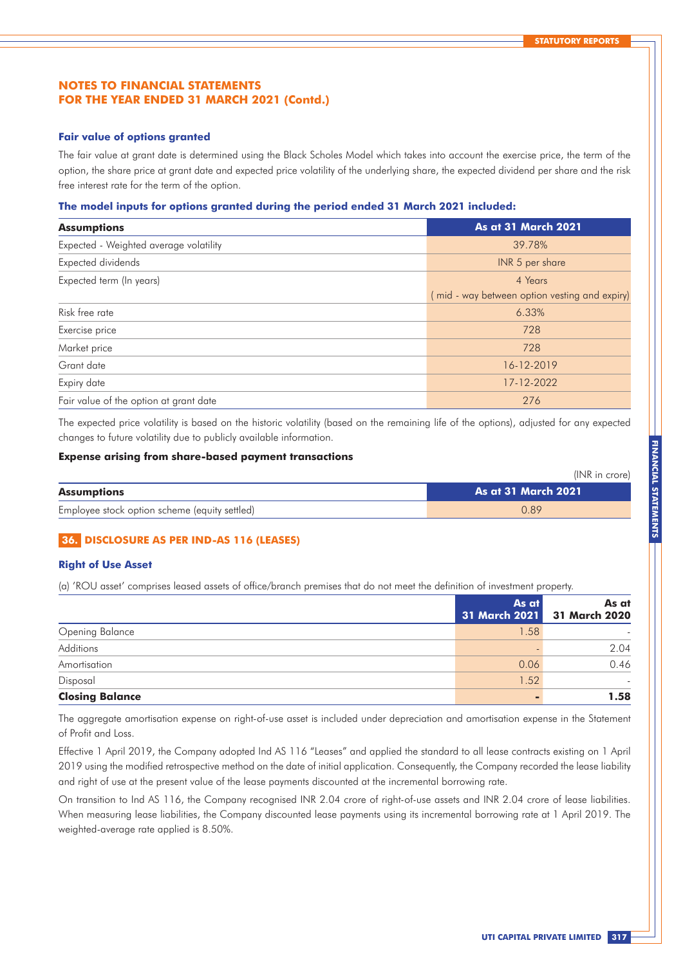#### **Fair value of options granted**

The fair value at grant date is determined using the Black Scholes Model which takes into account the exercise price, the term of the option, the share price at grant date and expected price volatility of the underlying share, the expected dividend per share and the risk free interest rate for the term of the option.

#### **The model inputs for options granted during the period ended 31 March 2021 included:**

| <b>Assumptions</b>                     | <b>As at 31 March 2021</b>                    |
|----------------------------------------|-----------------------------------------------|
| Expected - Weighted average volatility | 39.78%                                        |
| Expected dividends                     | INR 5 per share                               |
| Expected term (In years)               | 4 Years                                       |
|                                        | (mid - way between option vesting and expiry) |
| Risk free rate                         | 6.33%                                         |
| Exercise price                         | 728                                           |
| Market price                           | 728                                           |
| Grant date                             | 16-12-2019                                    |
| Expiry date                            | 17-12-2022                                    |
| Fair value of the option at grant date | 276                                           |

The expected price volatility is based on the historic volatility (based on the remaining life of the options), adjusted for any expected changes to future volatility due to publicly available information.

#### **Expense arising from share-based payment transactions**

|                                               | THE THE CLOTE.      |
|-----------------------------------------------|---------------------|
| <b>Assumptions</b>                            | As at 31 March 2021 |
| Employee stock option scheme (equity settled) | 0.89                |

#### **36. DISCLOSURE AS PER IND-AS 116 (LEASES)**

#### **Right of Use Asset**

(a) 'ROU asset' comprises leased assets of office/branch premises that do not meet the definition of investment property.

|                        | As at | As at<br>31 March 2021 31 March 2020 |
|------------------------|-------|--------------------------------------|
| Opening Balance        | 1.58  |                                      |
| Additions              |       | 2.04                                 |
| Amortisation           | 0.06  | 0.46                                 |
| Disposal               | 1.52  |                                      |
| <b>Closing Balance</b> |       | 1.58                                 |

The aggregate amortisation expense on right-of-use asset is included under depreciation and amortisation expense in the Statement of Profit and Loss.

Effective 1 April 2019, the Company adopted Ind AS 116 "Leases" and applied the standard to all lease contracts existing on 1 April 2019 using the modified retrospective method on the date of initial application. Consequently, the Company recorded the lease liability and right of use at the present value of the lease payments discounted at the incremental borrowing rate.

On transition to Ind AS 116, the Company recognised INR 2.04 crore of right-of-use assets and INR 2.04 crore of lease liabilities. When measuring lease liabilities, the Company discounted lease payments using its incremental borrowing rate at 1 April 2019. The weighted-average rate applied is 8.50%.

 $(1)$